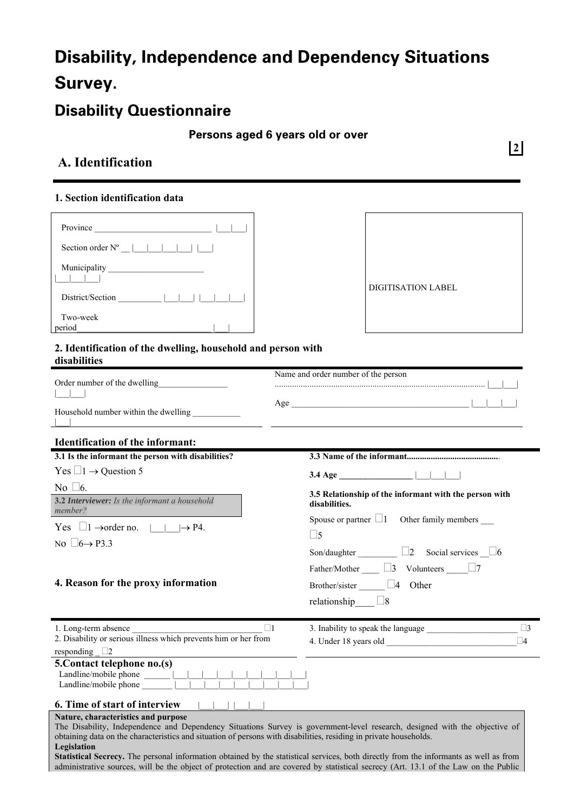# **Disability, Independence and Dependency Situations Survey.**

# **Disability Questionnaire**

**Persons aged 6 years old or over** 

# **A. Identification**

## **1. Section identification data**

| Section order $N^{\circ}$ $\Box$ $\Box$ $\Box$                                                                                                                                                                                                                                                                                                                                                                                                                                                                                                                                        |                                                                         |
|---------------------------------------------------------------------------------------------------------------------------------------------------------------------------------------------------------------------------------------------------------------------------------------------------------------------------------------------------------------------------------------------------------------------------------------------------------------------------------------------------------------------------------------------------------------------------------------|-------------------------------------------------------------------------|
|                                                                                                                                                                                                                                                                                                                                                                                                                                                                                                                                                                                       | <b>DIGITISATION LABEL</b>                                               |
| Two-week<br>period                                                                                                                                                                                                                                                                                                                                                                                                                                                                                                                                                                    |                                                                         |
| 2. Identification of the dwelling, household and person with<br>disabilities                                                                                                                                                                                                                                                                                                                                                                                                                                                                                                          |                                                                         |
| Order number of the dwelling                                                                                                                                                                                                                                                                                                                                                                                                                                                                                                                                                          | Name and order number of the person                                     |
| Household number within the dwelling                                                                                                                                                                                                                                                                                                                                                                                                                                                                                                                                                  |                                                                         |
| Identification of the informant:                                                                                                                                                                                                                                                                                                                                                                                                                                                                                                                                                      |                                                                         |
| 3.1 Is the informant the person with disabilities?                                                                                                                                                                                                                                                                                                                                                                                                                                                                                                                                    |                                                                         |
| Yes $\Box$ 1 $\rightarrow$ Question 5                                                                                                                                                                                                                                                                                                                                                                                                                                                                                                                                                 | $3.4 \text{ Age}$                                                       |
| No $\square$ 6.                                                                                                                                                                                                                                                                                                                                                                                                                                                                                                                                                                       |                                                                         |
| 3.2 Interviewer: Is the informant a household<br>member?                                                                                                                                                                                                                                                                                                                                                                                                                                                                                                                              | 3.5 Relationship of the informant with the person with<br>disabilities. |
| Yes $\Box 1 \rightarrow$ order no. $\Box 1 \rightarrow$ P4.                                                                                                                                                                                                                                                                                                                                                                                                                                                                                                                           | Spouse or partner $\Box 1$ Other family members<br>$\square$ 5          |
| No $\Box$ 6 $\rightarrow$ P3.3                                                                                                                                                                                                                                                                                                                                                                                                                                                                                                                                                        | Son/daughter $\Box$ $\Box$ Social services $\Box$ 6                     |
|                                                                                                                                                                                                                                                                                                                                                                                                                                                                                                                                                                                       | Father/Mother $\Box$ 3 Volunteers $\Box$ 7                              |
| 4. Reason for the proxy information                                                                                                                                                                                                                                                                                                                                                                                                                                                                                                                                                   | Brother/sister 4 Other                                                  |
|                                                                                                                                                                                                                                                                                                                                                                                                                                                                                                                                                                                       |                                                                         |
|                                                                                                                                                                                                                                                                                                                                                                                                                                                                                                                                                                                       | relationship $\Box$ 8                                                   |
| 1. Long-term absence<br>$\sqcup 1$                                                                                                                                                                                                                                                                                                                                                                                                                                                                                                                                                    | $\square$ 3<br>3. Inability to speak the language                       |
| 2. Disability or serious illness which prevents him or her from<br>responding $\square$ 2                                                                                                                                                                                                                                                                                                                                                                                                                                                                                             | 4. Under 18 years old<br>$\Box 4$                                       |
| 5. Contact telephone no.(s)<br>Landline/mobile phone<br>Landline/mobile phone                                                                                                                                                                                                                                                                                                                                                                                                                                                                                                         |                                                                         |
| 6. Time of start of interview                                                                                                                                                                                                                                                                                                                                                                                                                                                                                                                                                         |                                                                         |
| Nature, characteristics and purpose<br>The Disability, Independence and Dependency Situations Survey is government-level research, designed with the objective of<br>obtaining data on the characteristics and situation of persons with disabilities, residing in private households.<br>Legislation<br>Statistical Secrecy. The personal information obtained by the statistical services, both directly from the informants as well as from<br>administrative sources, will be the object of protection and are covered by statistical secrecy (Art. 13.1 of the Law on the Public |                                                                         |

 **2**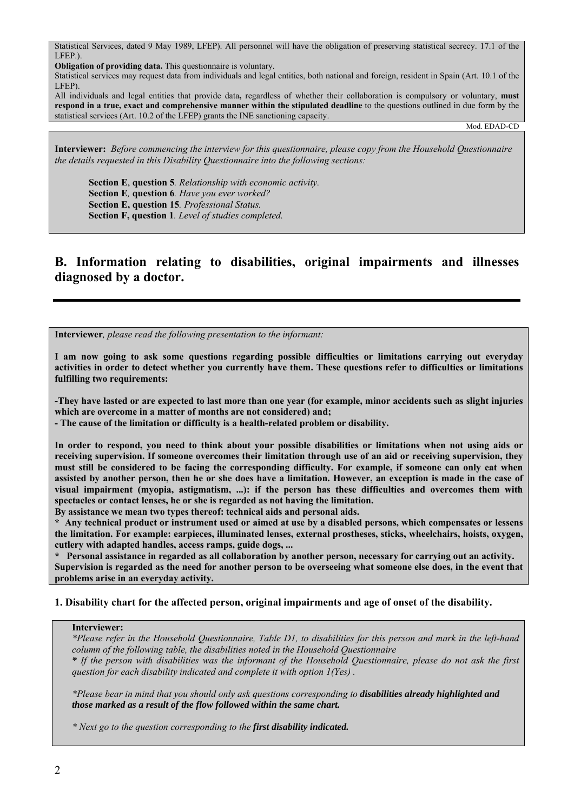Statistical Services, dated 9 May 1989, LFEP). All personnel will have the obligation of preserving statistical secrecy. 17.1 of the LFEP.)

**Obligation of providing data.** This questionnaire is voluntary.

Statistical services may request data from individuals and legal entities, both national and foreign, resident in Spain (Art. 10.1 of the LFEP).

All individuals and legal entities that provide data**,** regardless of whether their collaboration is compulsory or voluntary, **must respond in a true, exact and comprehensive manner within the stipulated deadline** to the questions outlined in due form by the statistical services (Art. 10.2 of the LFEP) grants the INE sanctioning capacity.

Mod. EDAD-CD

**Interviewer:** *Before commencing the interview for this questionnaire, please copy from the Household Questionnaire the details requested in this Disability Questionnaire into the following sections:* 

**Section E**, **question 5***. Relationship with economic activity.*  **Section E***,* **question 6***. Have you ever worked?*  **Section E, question 15***. Professional Status.*  **Section F, question 1***. Level of studies completed.* 

# **B. Information relating to disabilities, original impairments and illnesses diagnosed by a doctor.**

**Interviewer***, please read the following presentation to the informant:* 

**I am now going to ask some questions regarding possible difficulties or limitations carrying out everyday activities in order to detect whether you currently have them. These questions refer to difficulties or limitations fulfilling two requirements:** 

**-They have lasted or are expected to last more than one year (for example, minor accidents such as slight injuries which are overcome in a matter of months are not considered) and;** 

**- The cause of the limitation or difficulty is a health-related problem or disability.** 

**In order to respond, you need to think about your possible disabilities or limitations when not using aids or receiving supervision. If someone overcomes their limitation through use of an aid or receiving supervision, they must still be considered to be facing the corresponding difficulty. For example, if someone can only eat when assisted by another person, then he or she does have a limitation. However, an exception is made in the case of visual impairment (myopia, astigmatism, ...): if the person has these difficulties and overcomes them with spectacles or contact lenses, he or she is regarded as not having the limitation.** 

**By assistance we mean two types thereof: technical aids and personal aids.** 

**\* Any technical product or instrument used or aimed at use by a disabled persons, which compensates or lessens the limitation. For example: earpieces, illuminated lenses, external prostheses, sticks, wheelchairs, hoists, oxygen, cutlery with adapted handles, access ramps, guide dogs, ...** 

**\* Personal assistance in regarded as all collaboration by another person, necessary for carrying out an activity. Supervision is regarded as the need for another person to be overseeing what someone else does, in the event that problems arise in an everyday activity.** 

## **1. Disability chart for the affected person, original impairments and age of onset of the disability.**

#### **Interviewer:**

*\*Please refer in the Household Questionnaire, Table D1, to disabilities for this person and mark in the left-hand column of the following table, the disabilities noted in the Household Questionnaire \* If the person with disabilities was the informant of the Household Questionnaire, please do not ask the first question for each disability indicated and complete it with option 1(Yes) .* 

*\*Please bear in mind that you should only ask questions corresponding to disabilities already highlighted and those marked as a result of the flow followed within the same chart.* 

*\* Next go to the question corresponding to the first disability indicated.*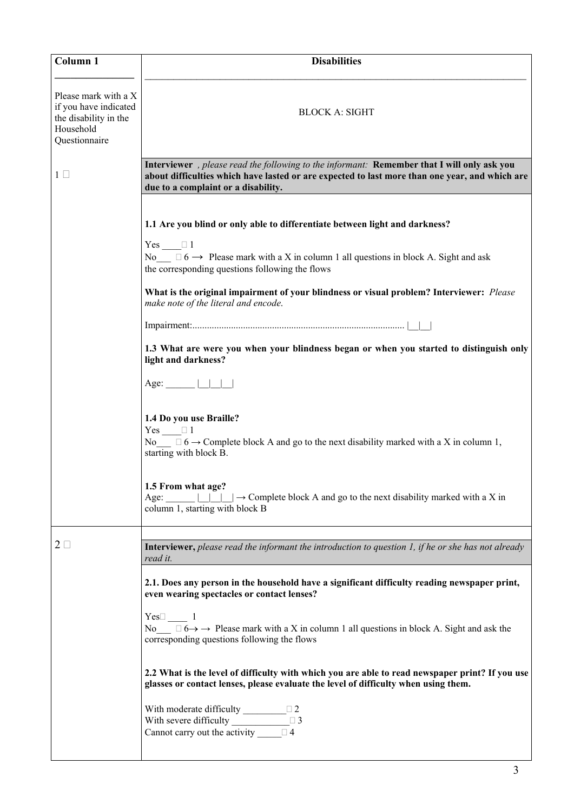| Column 1                                                                                             | <b>Disabilities</b>                                                                                                                                                                                                                  |
|------------------------------------------------------------------------------------------------------|--------------------------------------------------------------------------------------------------------------------------------------------------------------------------------------------------------------------------------------|
| Please mark with a X<br>if you have indicated<br>the disability in the<br>Household<br>Questionnaire | <b>BLOCK A: SIGHT</b>                                                                                                                                                                                                                |
| $1\Box$                                                                                              | Interviewer , please read the following to the informant: Remember that I will only ask you<br>about difficulties which have lasted or are expected to last more than one year, and which are<br>due to a complaint or a disability. |
|                                                                                                      | 1.1 Are you blind or only able to differentiate between light and darkness?<br>$Yes \square 1$                                                                                                                                       |
|                                                                                                      | No $\Box$ 6 $\rightarrow$ Please mark with a X in column 1 all questions in block A. Sight and ask<br>the corresponding questions following the flows                                                                                |
|                                                                                                      | What is the original impairment of your blindness or visual problem? Interviewer: Please<br>make note of the literal and encode.                                                                                                     |
|                                                                                                      |                                                                                                                                                                                                                                      |
|                                                                                                      | 1.3 What are were you when your blindness began or when you started to distinguish only<br>light and darkness?                                                                                                                       |
|                                                                                                      |                                                                                                                                                                                                                                      |
|                                                                                                      | 1.4 Do you use Braille?<br>Yes $\Box$ 1<br>No $\Box$ 6 $\rightarrow$ Complete block A and go to the next disability marked with a X in column 1,<br>starting with block B.                                                           |
|                                                                                                      | 1.5 From what age?<br>Age:<br>column 1, starting with block B                                                                                                                                                                        |
| $2~\Box$                                                                                             | <b>Interviewer</b> , please read the informant the introduction to question $l$ , if he or she has not already<br>read it.                                                                                                           |
|                                                                                                      | 2.1. Does any person in the household have a significant difficulty reading newspaper print,<br>even wearing spectacles or contact lenses?                                                                                           |
|                                                                                                      | $Yes \square$ 1<br>No $\Box$ 6 $\rightarrow$ $\rightarrow$ Please mark with a X in column 1 all questions in block A. Sight and ask the<br>corresponding questions following the flows                                               |
|                                                                                                      | 2.2 What is the level of difficulty with which you are able to read newspaper print? If you use<br>glasses or contact lenses, please evaluate the level of difficulty when using them.                                               |
|                                                                                                      | With moderate difficulty $\frac{1}{2}$<br>With severe difficulty $\Box$ $\Box$ 3<br>Cannot carry out the activity $\Box$ 4                                                                                                           |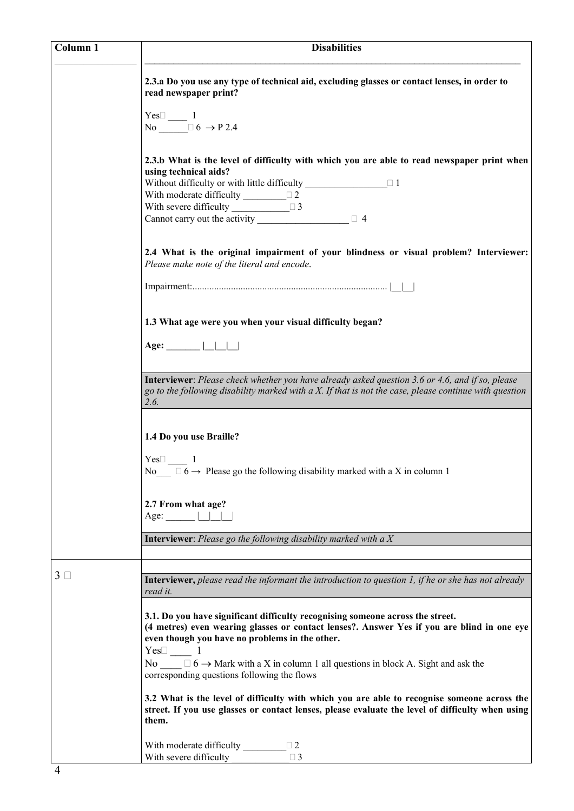| Column <sub>1</sub> | <b>Disabilities</b>                                                                                                                                                                                                                                                                                                                               |
|---------------------|---------------------------------------------------------------------------------------------------------------------------------------------------------------------------------------------------------------------------------------------------------------------------------------------------------------------------------------------------|
|                     | 2.3.a Do you use any type of technical aid, excluding glasses or contact lenses, in order to<br>read newspaper print?                                                                                                                                                                                                                             |
|                     | $Yes\square$ 1<br>No $\Box 6 \rightarrow P 2.4$                                                                                                                                                                                                                                                                                                   |
|                     | 2.3.b What is the level of difficulty with which you are able to read newspaper print when<br>using technical aids?                                                                                                                                                                                                                               |
|                     | Without difficulty or with little difficulty $\Box$<br>With moderate difficulty $\sqrt{2}$<br>With severe difficulty $\Box$ 3                                                                                                                                                                                                                     |
|                     | Cannot carry out the activity $\qquad \qquad \square$ 4                                                                                                                                                                                                                                                                                           |
|                     | 2.4 What is the original impairment of your blindness or visual problem? Interviewer:<br>Please make note of the literal and encode.                                                                                                                                                                                                              |
|                     |                                                                                                                                                                                                                                                                                                                                                   |
|                     | 1.3 What age were you when your visual difficulty began?                                                                                                                                                                                                                                                                                          |
|                     | Age: $       $                                                                                                                                                                                                                                                                                                                                    |
|                     | Interviewer: Please check whether you have already asked question 3.6 or 4.6, and if so, please<br>go to the following disability marked with a $X$ . If that is not the case, please continue with question<br>2.6.                                                                                                                              |
|                     | 1.4 Do you use Braille?                                                                                                                                                                                                                                                                                                                           |
|                     | $Yes\square$ 1<br>No $\boxed{\Box 6}$ $\rightarrow$ Please go the following disability marked with a X in column 1                                                                                                                                                                                                                                |
|                     | 2.7 From what age?<br>Age: $\qquad \qquad$                                                                                                                                                                                                                                                                                                        |
|                     | <b>Interviewer</b> : Please go the following disability marked with a $X$                                                                                                                                                                                                                                                                         |
| $3\Box$             | <b>Interviewer</b> , please read the informant the introduction to question 1, if he or she has not already<br>read it.                                                                                                                                                                                                                           |
|                     | 3.1. Do you have significant difficulty recognising someone across the street.<br>(4 metres) even wearing glasses or contact lenses?. Answer Yes if you are blind in one eye<br>even though you have no problems in the other.<br>$Yes \Box$ 1<br>No $\Box$ 6 $\rightarrow$ Mark with a X in column 1 all questions in block A. Sight and ask the |
|                     | corresponding questions following the flows                                                                                                                                                                                                                                                                                                       |
|                     | 3.2 What is the level of difficulty with which you are able to recognise someone across the<br>street. If you use glasses or contact lenses, please evaluate the level of difficulty when using<br>them.                                                                                                                                          |
|                     | With severe difficulty<br>$\Box$ 3                                                                                                                                                                                                                                                                                                                |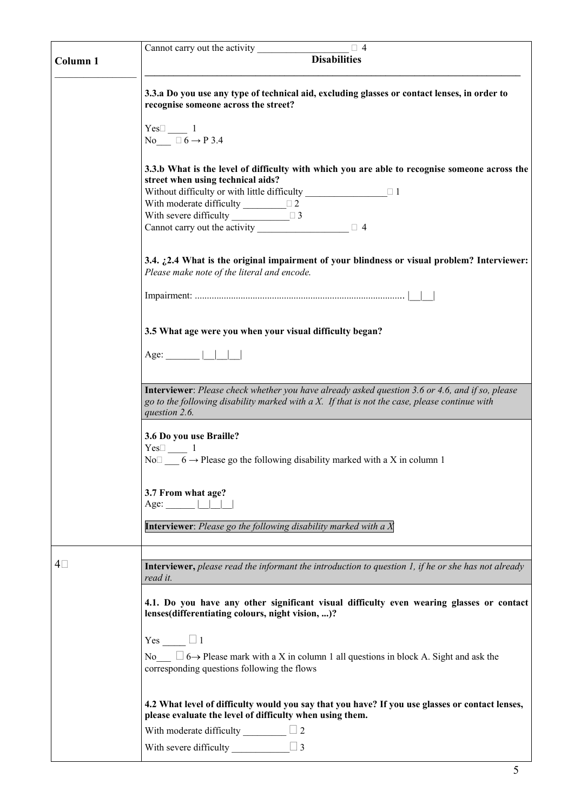|            | Cannot carry out the activity $\Box$ 4                                                                                                                                                                               |
|------------|----------------------------------------------------------------------------------------------------------------------------------------------------------------------------------------------------------------------|
| Column 1   | <b>Disabilities</b>                                                                                                                                                                                                  |
|            | 3.3.a Do you use any type of technical aid, excluding glasses or contact lenses, in order to<br>recognise someone across the street?                                                                                 |
|            | $Yes \_ 1$<br>No $\Box$ 6 $\rightarrow$ P 3.4                                                                                                                                                                        |
|            |                                                                                                                                                                                                                      |
|            | 3.3.b What is the level of difficulty with which you are able to recognise someone across the<br>street when using technical aids?                                                                                   |
|            | Without difficulty or with little difficulty $\Box$ $\Box$<br>With moderate difficulty $\Box$                                                                                                                        |
|            | With severe difficulty $\qquad \qquad \Box$ 3<br>Cannot carry out the activity $\qquad \qquad \Box$ 4                                                                                                                |
|            | 3.4. $\zeta$ 2.4 What is the original impairment of your blindness or visual problem? Interviewer:<br>Please make note of the literal and encode.                                                                    |
|            |                                                                                                                                                                                                                      |
|            | 3.5 What age were you when your visual difficulty began?                                                                                                                                                             |
|            | Age: $\qquad$                                                                                                                                                                                                        |
|            | Interviewer: Please check whether you have already asked question 3.6 or 4.6, and if so, please<br>go to the following disability marked with $a X$ . If that is not the case, please continue with<br>question 2.6. |
|            | 3.6 Do you use Braille?<br>$Yes \Box$ 1<br>No $\square$ 6 $\rightarrow$ Please go the following disability marked with a X in column 1                                                                               |
|            | 3.7 From what age?<br>Age: $\frac{1}{1}$                                                                                                                                                                             |
|            | <b>Interviewer</b> : Please go the following disability marked with a $X$                                                                                                                                            |
| $4\square$ | Interviewer, please read the informant the introduction to question 1, if he or she has not already<br>read it.                                                                                                      |
|            | 4.1. Do you have any other significant visual difficulty even wearing glasses or contact<br>lenses(differentiating colours, night vision, )?                                                                         |
|            | Yes $\Box$ 1                                                                                                                                                                                                         |
|            | No $\Box$ 6 $\rightarrow$ Please mark with a X in column 1 all questions in block A. Sight and ask the<br>corresponding questions following the flows                                                                |
|            | 4.2 What level of difficulty would you say that you have? If you use glasses or contact lenses,<br>please evaluate the level of difficulty when using them.                                                          |
|            | With moderate difficulty $\Box$                                                                                                                                                                                      |
|            |                                                                                                                                                                                                                      |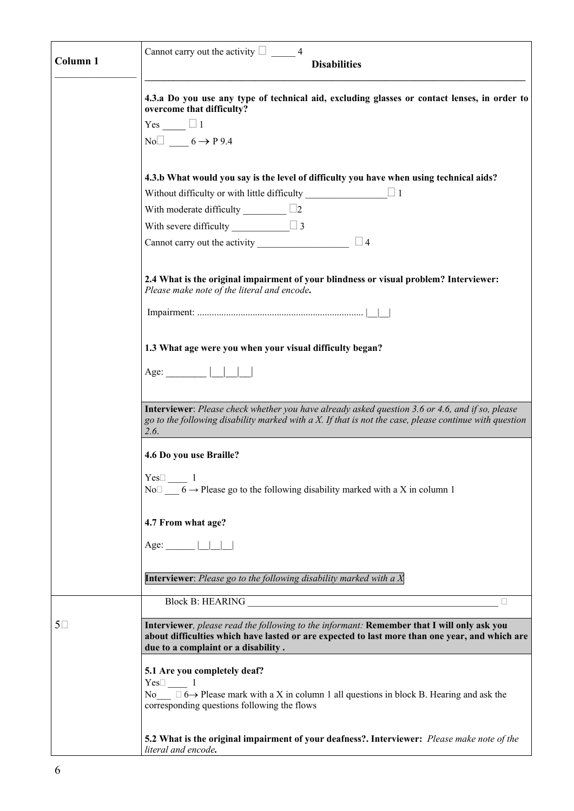| Column 1   |                                                                                                                                                                                                                                     |
|------------|-------------------------------------------------------------------------------------------------------------------------------------------------------------------------------------------------------------------------------------|
|            | <b>Disabilities</b>                                                                                                                                                                                                                 |
|            | 4.3.a Do you use any type of technical aid, excluding glasses or contact lenses, in order to<br>overcome that difficulty?<br>Yes $\Box$ 1<br>$No \Box \_ 6 \rightarrow P 9.4$                                                       |
|            | 4.3.b What would you say is the level of difficulty you have when using technical aids?                                                                                                                                             |
|            | Without difficulty or with little difficulty $\Box$ 1                                                                                                                                                                               |
|            | With moderate difficulty $\Box$ 2                                                                                                                                                                                                   |
|            | With severe difficulty $\Box$ 3                                                                                                                                                                                                     |
|            | Cannot carry out the activity $\qquad \qquad \Box$ 4                                                                                                                                                                                |
|            | 2.4 What is the original impairment of your blindness or visual problem? Interviewer:<br>Please make note of the literal and encode.                                                                                                |
|            | 1.3 What age were you when your visual difficulty began?<br>Age: $\Box$                                                                                                                                                             |
|            | Interviewer: Please check whether you have already asked question 3.6 or 4.6, and if so, please<br>go to the following disability marked with a X. If that is not the case, please continue with question<br>2.6.                   |
|            | 4.6 Do you use Braille?                                                                                                                                                                                                             |
|            | $Yes\square$ 1<br>No $\square$ 6 $\rightarrow$ Please go to the following disability marked with a X in column 1                                                                                                                    |
|            | 4.7 From what age?                                                                                                                                                                                                                  |
|            | Age: $\boxed{\qquad \qquad \Box \qquad \Box \qquad \Box \qquad \Box}$                                                                                                                                                               |
|            | Interviewer: Please go to the following disability marked with a $X$                                                                                                                                                                |
|            | Block B: HEARING<br>$\Box$                                                                                                                                                                                                          |
| $5\square$ | Interviewer, please read the following to the informant: Remember that I will only ask you<br>about difficulties which have lasted or are expected to last more than one year, and which are<br>due to a complaint or a disability. |
|            | 5.1 Are you completely deaf?<br>$Yes \Box$ 1<br>No $\Box$ 6 $\rightarrow$ Please mark with a X in column 1 all questions in block B. Hearing and ask the<br>corresponding questions following the flows                             |
|            | 5.2 What is the original impairment of your deafness?. Interviewer: Please make note of the<br>literal and encode.                                                                                                                  |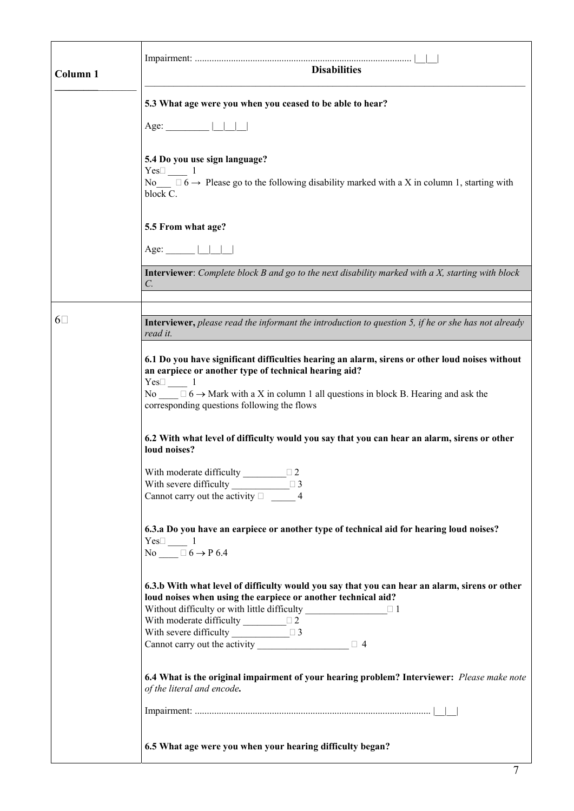| Column <sub>1</sub> | <b>Disabilities</b>                                                                                                                                                                                                                                                                                                                                            |
|---------------------|----------------------------------------------------------------------------------------------------------------------------------------------------------------------------------------------------------------------------------------------------------------------------------------------------------------------------------------------------------------|
|                     | 5.3 What age were you when you ceased to be able to hear?<br>$\text{Age:}$                                                                                                                                                                                                                                                                                     |
|                     | 5.4 Do you use sign language?<br>$Yes \Box$ 1<br>No $\Box$ 6 $\rightarrow$ Please go to the following disability marked with a X in column 1, starting with<br>block C.                                                                                                                                                                                        |
|                     | 5.5 From what age?<br>Age:                                                                                                                                                                                                                                                                                                                                     |
|                     | <b>Interviewer:</b> Complete block $B$ and go to the next disability marked with a $X$ , starting with block<br>$\mathcal{C}$                                                                                                                                                                                                                                  |
| $6\square$          | Interviewer, please read the informant the introduction to question 5, if he or she has not already<br>read it.                                                                                                                                                                                                                                                |
|                     | 6.1 Do you have significant difficulties hearing an alarm, sirens or other loud noises without<br>an earpiece or another type of technical hearing aid?<br>$Yes \Box \qquad 1$<br>No $\Box$ 6 $\rightarrow$ Mark with a X in column 1 all questions in block B. Hearing and ask the<br>corresponding questions following the flows                             |
|                     | 6.2 With what level of difficulty would you say that you can hear an alarm, sirens or other<br>loud noises?                                                                                                                                                                                                                                                    |
|                     | With moderate difficulty $\frac{\Box 2}{\Box 2}$<br>With severe difficulty $\Box$ 3<br>Cannot carry out the activity $\Box$ $\Box$ 4                                                                                                                                                                                                                           |
|                     | 6.3.a Do you have an earpiece or another type of technical aid for hearing loud noises?<br>$Yes\square$ 1<br>No $\Box$ 6 $\rightarrow$ P 6.4                                                                                                                                                                                                                   |
|                     | 6.3.b With what level of difficulty would you say that you can hear an alarm, sirens or other<br>loud noises when using the earpiece or another technical aid?<br>Without difficulty or with little difficulty $\Box$<br>With moderate difficulty $\frac{1}{2}$<br>With severe difficulty $\Box$ 3<br>Cannot carry out the activity $\boxed{\phantom{2\,2\,3}$ |
|                     | 6.4 What is the original impairment of your hearing problem? Interviewer: Please make note<br>of the literal and encode.                                                                                                                                                                                                                                       |
|                     |                                                                                                                                                                                                                                                                                                                                                                |
|                     | 6.5 What age were you when your hearing difficulty began?                                                                                                                                                                                                                                                                                                      |
|                     | $\overline{7}$                                                                                                                                                                                                                                                                                                                                                 |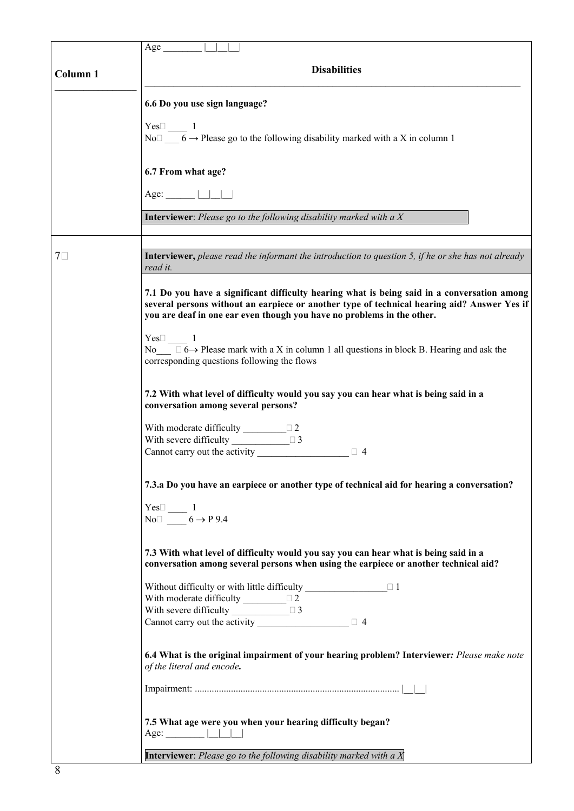| Column 1   | <b>Disabilities</b>                                                                                                                                                                                                                                                  |
|------------|----------------------------------------------------------------------------------------------------------------------------------------------------------------------------------------------------------------------------------------------------------------------|
|            | 6.6 Do you use sign language?                                                                                                                                                                                                                                        |
|            | $Yes \Box \qquad 1$<br>No $\square$ 6 $\rightarrow$ Please go to the following disability marked with a X in column 1                                                                                                                                                |
|            | 6.7 From what age?                                                                                                                                                                                                                                                   |
|            | Age: $\Box$                                                                                                                                                                                                                                                          |
|            | <b>Interviewer</b> : Please go to the following disability marked with a $X$                                                                                                                                                                                         |
| $7\square$ | Interviewer, please read the informant the introduction to question 5, if he or she has not already<br>read it.                                                                                                                                                      |
|            | 7.1 Do you have a significant difficulty hearing what is being said in a conversation among<br>several persons without an earpiece or another type of technical hearing aid? Answer Yes if<br>you are deaf in one ear even though you have no problems in the other. |
|            | $Yes \Box$ 1<br>No $\Box$ 6 $\rightarrow$ Please mark with a X in column 1 all questions in block B. Hearing and ask the<br>corresponding questions following the flows                                                                                              |
|            | 7.2 With what level of difficulty would you say you can hear what is being said in a<br>conversation among several persons?                                                                                                                                          |
|            | With moderate difficulty $\sqrt{2}$<br>With severe difficulty $\Box$ $\Box$ 3<br>Cannot carry out the activity<br>$\Box$ 4                                                                                                                                           |
|            | 7.3.a Do you have an earpiece or another type of technical aid for hearing a conversation?                                                                                                                                                                           |
|            | $Yes\Box$ 1<br>No $\Box$ 6 $\rightarrow$ P 9.4                                                                                                                                                                                                                       |
|            | 7.3 With what level of difficulty would you say you can hear what is being said in a<br>conversation among several persons when using the earpiece or another technical aid?                                                                                         |
|            | Without difficulty or with little difficulty $\Box$ $\Box$                                                                                                                                                                                                           |
|            | With severe difficulty $\qquad \qquad \Box$ 3<br>Cannot carry out the activity $\qquad \qquad \square$ 4                                                                                                                                                             |
|            | 6.4 What is the original impairment of your hearing problem? Interviewer: Please make note<br>of the literal and encode.                                                                                                                                             |
|            |                                                                                                                                                                                                                                                                      |
|            | 7.5 What age were you when your hearing difficulty began?<br>Age: $\Box$                                                                                                                                                                                             |
|            | Interviewer: Please go to the following disability marked with a $X$                                                                                                                                                                                                 |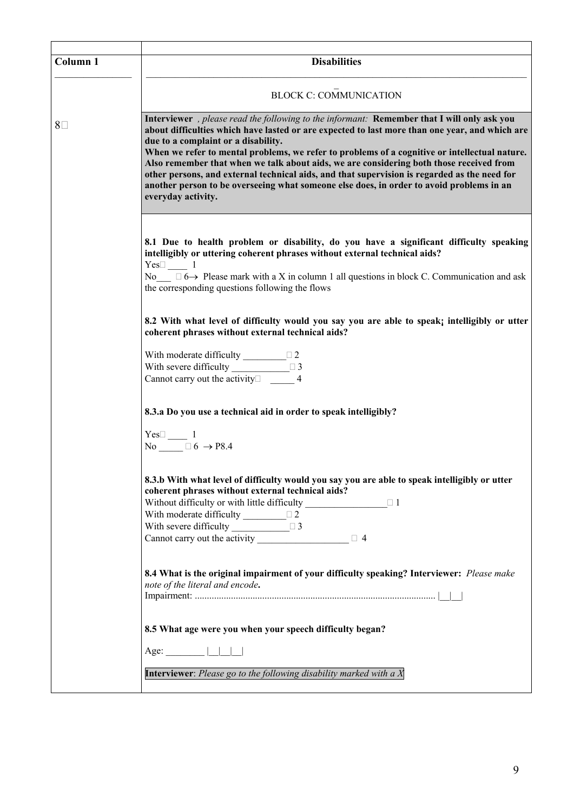| Column <sub>1</sub> | <b>Disabilities</b>                                                                                                                                                                                                                                                                                                                                                                                                                                                                                                                                                                                                                                |
|---------------------|----------------------------------------------------------------------------------------------------------------------------------------------------------------------------------------------------------------------------------------------------------------------------------------------------------------------------------------------------------------------------------------------------------------------------------------------------------------------------------------------------------------------------------------------------------------------------------------------------------------------------------------------------|
|                     | <b>BLOCK C: COMMUNICATION</b>                                                                                                                                                                                                                                                                                                                                                                                                                                                                                                                                                                                                                      |
| $8\square$          | Interviewer , please read the following to the informant: Remember that I will only ask you<br>about difficulties which have lasted or are expected to last more than one year, and which are<br>due to a complaint or a disability.<br>When we refer to mental problems, we refer to problems of a cognitive or intellectual nature.<br>Also remember that when we talk about aids, we are considering both those received from<br>other persons, and external technical aids, and that supervision is regarded as the need for<br>another person to be overseeing what someone else does, in order to avoid problems in an<br>everyday activity. |
|                     | 8.1 Due to health problem or disability, do you have a significant difficulty speaking<br>intelligibly or uttering coherent phrases without external technical aids?<br>$Yes \Box$ 1<br>No $\Box$ 6 $\rightarrow$ Please mark with a X in column 1 all questions in block C. Communication and ask<br>the corresponding questions following the flows                                                                                                                                                                                                                                                                                              |
|                     | 8.2 With what level of difficulty would you say you are able to speak; intelligibly or utter<br>coherent phrases without external technical aids?                                                                                                                                                                                                                                                                                                                                                                                                                                                                                                  |
|                     | With moderate difficulty $\sqrt{2}$<br>With severe difficulty $\Box$ 3<br>Cannot carry out the activity $\Box$ 4                                                                                                                                                                                                                                                                                                                                                                                                                                                                                                                                   |
|                     | 8.3.a Do you use a technical aid in order to speak intelligibly?                                                                                                                                                                                                                                                                                                                                                                                                                                                                                                                                                                                   |
|                     | Yes $\square$ $\overline{\phantom{0}}$ $\overline{\phantom{0}}$ $\overline{\phantom{0}}$ $\overline{\phantom{0}}$ $\overline{\phantom{0}}$ $\overline{\phantom{0}}$ $\overline{\phantom{0}}$ $\overline{\phantom{0}}$ $\overline{\phantom{0}}$ $\overline{\phantom{0}}$ $\overline{\phantom{0}}$ $\overline{\phantom{0}}$ $\overline{\phantom{0}}$ $\overline{\phantom{0}}$ $\overline{\phantom{0}}$ $\overline{\phantom{0}}$ $\overline{\phantom{0}}$ $\overline{\phantom{0$                                                                                                                                                                      |
|                     | 8.3.b With what level of difficulty would you say you are able to speak intelligibly or utter<br>coherent phrases without external technical aids?<br>Without difficulty or with little difficulty $\Box$<br>With moderate difficulty $\Box$<br>With severe difficulty<br>$\Box$ 3<br>Cannot carry out the activity $\boxed{\phantom{2442} \phantom{244}}$                                                                                                                                                                                                                                                                                         |
|                     | 8.4 What is the original impairment of your difficulty speaking? Interviewer: Please make<br>note of the literal and encode.                                                                                                                                                                                                                                                                                                                                                                                                                                                                                                                       |
|                     | 8.5 What age were you when your speech difficulty began?                                                                                                                                                                                                                                                                                                                                                                                                                                                                                                                                                                                           |
|                     | Age: <u>_______</u>  _ _ _ <br><b>Interviewer</b> : Please go to the following disability marked with a $X$                                                                                                                                                                                                                                                                                                                                                                                                                                                                                                                                        |
|                     |                                                                                                                                                                                                                                                                                                                                                                                                                                                                                                                                                                                                                                                    |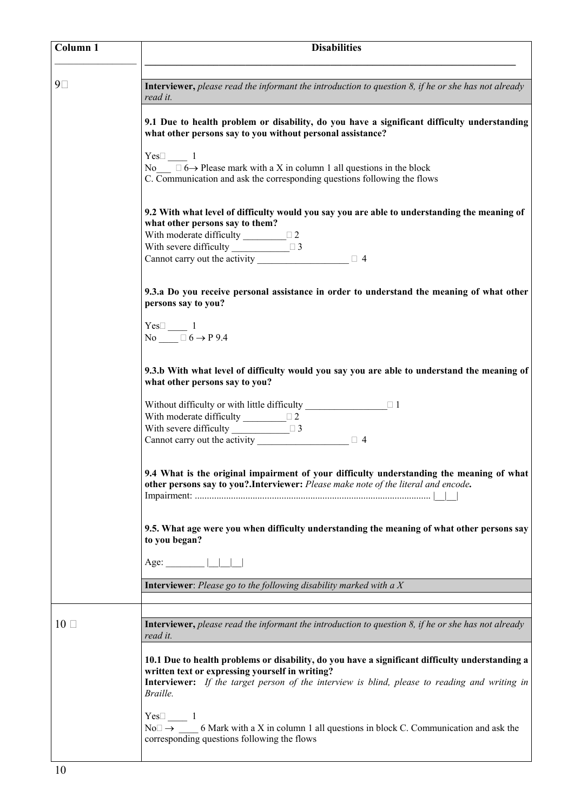| Column 1    | <b>Disabilities</b>                                                                                                                                                                                                                                             |
|-------------|-----------------------------------------------------------------------------------------------------------------------------------------------------------------------------------------------------------------------------------------------------------------|
| $9\square$  | <b>Interviewer,</b> please read the informant the introduction to question $\delta$ , if he or she has not already<br>read it.                                                                                                                                  |
|             | 9.1 Due to health problem or disability, do you have a significant difficulty understanding<br>what other persons say to you without personal assistance?                                                                                                       |
|             | Yes $\Box$ 1<br>No $\Box$ 6 $\rightarrow$ Please mark with a X in column 1 all questions in the block<br>C. Communication and ask the corresponding questions following the flows                                                                               |
|             | 9.2 With what level of difficulty would you say you are able to understanding the meaning of<br>what other persons say to them?<br>With moderate difficulty $\Box$<br>With severe difficulty $\Box$ 3                                                           |
|             | Cannot carry out the activity $\Box$ 4                                                                                                                                                                                                                          |
|             | 9.3.a Do you receive personal assistance in order to understand the meaning of what other<br>persons say to you?                                                                                                                                                |
|             | Yes $\Box$ 1<br>No $\Box$ 0 $\rightarrow$ P 9.4                                                                                                                                                                                                                 |
|             | 9.3.b With what level of difficulty would you say you are able to understand the meaning of<br>what other persons say to you?                                                                                                                                   |
|             | Without difficulty or with little difficulty $\Box$ $\Box$<br>With moderate difficulty $\frac{1}{2}$                                                                                                                                                            |
|             | With severe difficulty $\Box$ $\Box$ 3<br>Cannot carry out the activity $\qquad \qquad \Box$ 4                                                                                                                                                                  |
|             | 9.4 What is the original impairment of your difficulty understanding the meaning of what<br>other persons say to you?. Interviewer: Please make note of the literal and encode.                                                                                 |
|             | 9.5. What age were you when difficulty understanding the meaning of what other persons say<br>to you began?                                                                                                                                                     |
|             | Age: $   \cdot      $                                                                                                                                                                                                                                           |
|             | <b>Interviewer</b> : Please go to the following disability marked with a $X$                                                                                                                                                                                    |
| $10\square$ | <b>Interviewer</b> , please read the informant the introduction to question $\delta$ , if he or she has not already<br>read it.                                                                                                                                 |
|             | 10.1 Due to health problems or disability, do you have a significant difficulty understanding a<br>written text or expressing yourself in writing?<br>Interviewer: If the target person of the interview is blind, please to reading and writing in<br>Braille. |
|             | $Yes \Box$ 1<br>No $\square \rightarrow$ 6 Mark with a X in column 1 all questions in block C. Communication and ask the<br>corresponding questions following the flows                                                                                         |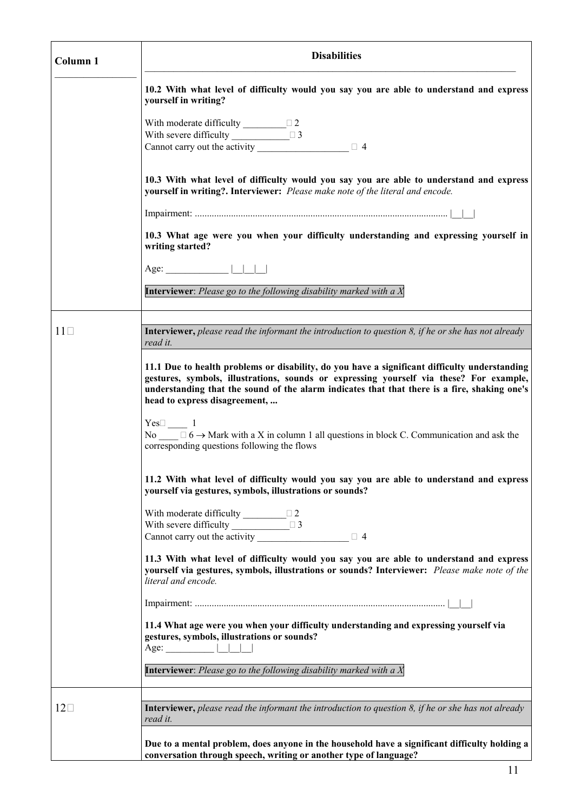| Column <sub>1</sub> | <b>Disabilities</b>                                                                                                                                                                                                                                                                                                       |
|---------------------|---------------------------------------------------------------------------------------------------------------------------------------------------------------------------------------------------------------------------------------------------------------------------------------------------------------------------|
|                     | 10.2 With what level of difficulty would you say you are able to understand and express<br>yourself in writing?                                                                                                                                                                                                           |
|                     | With moderate difficulty $\sqrt{2}$<br>With severe difficulty $\Box$ 3<br>Cannot carry out the activity $\qquad \qquad \Box$ 4                                                                                                                                                                                            |
|                     | 10.3 With what level of difficulty would you say you are able to understand and express<br>yourself in writing?. Interviewer: Please make note of the literal and encode.                                                                                                                                                 |
|                     |                                                                                                                                                                                                                                                                                                                           |
|                     | 10.3 What age were you when your difficulty understanding and expressing yourself in<br>writing started?                                                                                                                                                                                                                  |
|                     | Age: $\qquad \qquad$                                                                                                                                                                                                                                                                                                      |
|                     | Interviewer: Please go to the following disability marked with a X                                                                                                                                                                                                                                                        |
| $11\square$         | <b>Interviewer</b> , please read the informant the introduction to question $\delta$ , if he or she has not already<br>read it.                                                                                                                                                                                           |
|                     | 11.1 Due to health problems or disability, do you have a significant difficulty understanding<br>gestures, symbols, illustrations, sounds or expressing yourself via these? For example,<br>understanding that the sound of the alarm indicates that that there is a fire, shaking one's<br>head to express disagreement, |
|                     | $Yes \Box \qquad 1$<br>No $\square$ 6 $\rightarrow$ Mark with a X in column 1 all questions in block C. Communication and ask the<br>corresponding questions following the flows                                                                                                                                          |
|                     | 11.2 With what level of difficulty would you say you are able to understand and express<br>yourself via gestures, symbols, illustrations or sounds?                                                                                                                                                                       |
|                     | With moderate difficulty $\sqrt{2}$<br>With severe difficulty $\Box$ $\Box$ 3<br>Cannot carry out the activity $\Box$ 4                                                                                                                                                                                                   |
|                     | 11.3 With what level of difficulty would you say you are able to understand and express<br>yourself via gestures, symbols, illustrations or sounds? Interviewer: Please make note of the<br>literal and encode.                                                                                                           |
|                     |                                                                                                                                                                                                                                                                                                                           |
|                     | 11.4 What age were you when your difficulty understanding and expressing yourself via<br>gestures, symbols, illustrations or sounds?<br>Age: 1                                                                                                                                                                            |
|                     | Interviewer: Please go to the following disability marked with a $X$                                                                                                                                                                                                                                                      |
| $12\square$         | <b>Interviewer</b> , please read the informant the introduction to question $\delta$ , if he or she has not already<br>read it.                                                                                                                                                                                           |
|                     | Due to a mental problem, does anyone in the household have a significant difficulty holding a<br>conversation through speech, writing or another type of language?                                                                                                                                                        |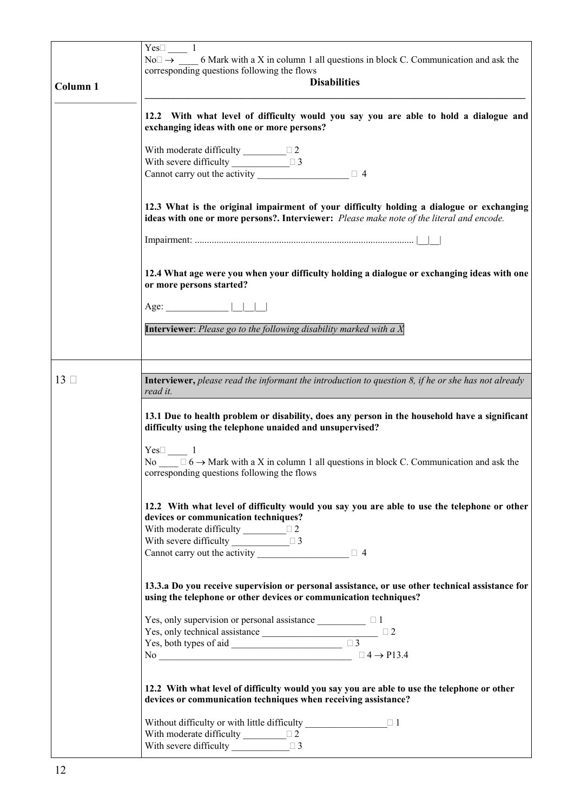|              | $Yes \Box$ 1<br>$N_0 \rightarrow$ 6 Mark with a X in column 1 all questions in block C. Communication and ask the                                                                                                                                                    |
|--------------|----------------------------------------------------------------------------------------------------------------------------------------------------------------------------------------------------------------------------------------------------------------------|
|              | corresponding questions following the flows                                                                                                                                                                                                                          |
| Column 1     | <b>Disabilities</b>                                                                                                                                                                                                                                                  |
|              | 12.2 With what level of difficulty would you say you are able to hold a dialogue and<br>exchanging ideas with one or more persons?                                                                                                                                   |
|              | With moderate difficulty $\sqrt{2}$<br>With severe difficulty $\Box$ $\Box$ 3                                                                                                                                                                                        |
|              | Cannot carry out the activity $\boxed{\qquad \qquad }$                                                                                                                                                                                                               |
|              | 12.3 What is the original impairment of your difficulty holding a dialogue or exchanging<br>ideas with one or more persons?. Interviewer: Please make note of the literal and encode.                                                                                |
|              | 12.4 What age were you when your difficulty holding a dialogue or exchanging ideas with one<br>or more persons started?                                                                                                                                              |
|              | Age: $\begin{array}{c c c c c c} \hline \end{array}$                                                                                                                                                                                                                 |
|              | <b>Interviewer</b> : Please go to the following disability marked with a $X$                                                                                                                                                                                         |
|              |                                                                                                                                                                                                                                                                      |
|              |                                                                                                                                                                                                                                                                      |
| $13 \square$ | Interviewer, please read the informant the introduction to question 8, if he or she has not already<br>read it.                                                                                                                                                      |
|              | 13.1 Due to health problem or disability, does any person in the household have a significant<br>difficulty using the telephone unaided and unsupervised?                                                                                                            |
|              | $Yes \Box \qquad 1$<br>No $\Box$ $\Box$ 6 $\rightarrow$ Mark with a X in column 1 all questions in block C. Communication and ask the<br>corresponding questions following the flows                                                                                 |
|              | 12.2 With what level of difficulty would you say you are able to use the telephone or other<br>devices or communication techniques?<br>With moderate difficulty $\Box$<br>With severe difficulty $\Box$ 3<br>Cannot carry out the activity $\qquad \qquad \square$ 4 |
|              | 13.3.a Do you receive supervision or personal assistance, or use other technical assistance for<br>using the telephone or other devices or communication techniques?                                                                                                 |
|              | Yes, only supervision or personal assistance $\Box$ $\Box$ $\Box$<br>Yes, only technical assistance $\qquad \qquad \square$<br>Yes, both types of aid $\qquad \qquad \qquad$                                                                                         |
|              | No $\qquad \qquad \Box 4 \rightarrow P13.4$                                                                                                                                                                                                                          |
|              | 12.2 With what level of difficulty would you say you are able to use the telephone or other<br>devices or communication techniques when receiving assistance?                                                                                                        |
|              | Without difficulty or with little difficulty $\Box$<br>With moderate difficulty $\Box$<br>With severe difficulty $\Box$ 3                                                                                                                                            |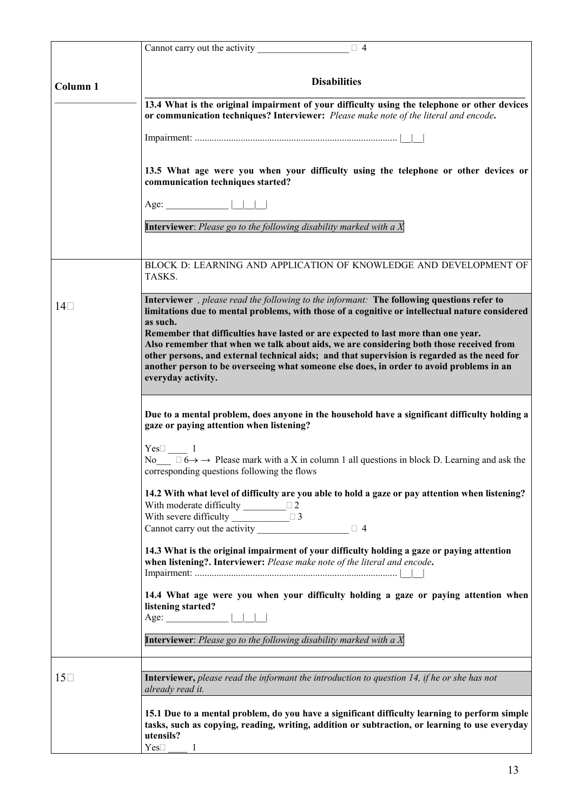|                     | $\Box$ 4<br>Cannot carry out the activity                                                                                                                                                                                                                                                                                                                                                                   |
|---------------------|-------------------------------------------------------------------------------------------------------------------------------------------------------------------------------------------------------------------------------------------------------------------------------------------------------------------------------------------------------------------------------------------------------------|
|                     | <b>Disabilities</b>                                                                                                                                                                                                                                                                                                                                                                                         |
| Column <sub>1</sub> |                                                                                                                                                                                                                                                                                                                                                                                                             |
|                     | 13.4 What is the original impairment of your difficulty using the telephone or other devices<br>or communication techniques? Interviewer: Please make note of the literal and encode.                                                                                                                                                                                                                       |
|                     |                                                                                                                                                                                                                                                                                                                                                                                                             |
|                     | 13.5 What age were you when your difficulty using the telephone or other devices or<br>communication techniques started?                                                                                                                                                                                                                                                                                    |
|                     | Age:                                                                                                                                                                                                                                                                                                                                                                                                        |
|                     | Interviewer: Please go to the following disability marked with a X                                                                                                                                                                                                                                                                                                                                          |
|                     | BLOCK D: LEARNING AND APPLICATION OF KNOWLEDGE AND DEVELOPMENT OF<br>TASKS.                                                                                                                                                                                                                                                                                                                                 |
| $14\square$         | Interviewer , please read the following to the informant: The following questions refer to<br>limitations due to mental problems, with those of a cognitive or intellectual nature considered                                                                                                                                                                                                               |
|                     | as such.<br>Remember that difficulties have lasted or are expected to last more than one year.<br>Also remember that when we talk about aids, we are considering both those received from<br>other persons, and external technical aids; and that supervision is regarded as the need for<br>another person to be overseeing what someone else does, in order to avoid problems in an<br>everyday activity. |
|                     | Due to a mental problem, does anyone in the household have a significant difficulty holding a<br>gaze or paying attention when listening?                                                                                                                                                                                                                                                                   |
|                     | $Yes \Box$ 1<br>No $\Box$ 6 $\rightarrow$ Please mark with a X in column 1 all questions in block D. Learning and ask the<br>corresponding questions following the flows                                                                                                                                                                                                                                    |
|                     | 14.2 With what level of difficulty are you able to hold a gaze or pay attention when listening?<br>With moderate difficulty $\Box$<br>With severe difficulty $\Box$ $\Box$ 3                                                                                                                                                                                                                                |
|                     | Cannot carry out the activity $\qquad \qquad \Box$ 4                                                                                                                                                                                                                                                                                                                                                        |
|                     | 14.3 What is the original impairment of your difficulty holding a gaze or paying attention<br>when listening?. Interviewer: Please make note of the literal and encode.                                                                                                                                                                                                                                     |
|                     | 14.4 What age were you when your difficulty holding a gaze or paying attention when<br>listening started?<br>Age: $\qquad \qquad$                                                                                                                                                                                                                                                                           |
|                     | Interviewer: Please go to the following disability marked with a $X$                                                                                                                                                                                                                                                                                                                                        |
| $15\square$         | Interviewer, please read the informant the introduction to question 14, if he or she has not<br>already read it.                                                                                                                                                                                                                                                                                            |
|                     | 15.1 Due to a mental problem, do you have a significant difficulty learning to perform simple<br>tasks, such as copying, reading, writing, addition or subtraction, or learning to use everyday<br>utensils?<br>Yes<br>1                                                                                                                                                                                    |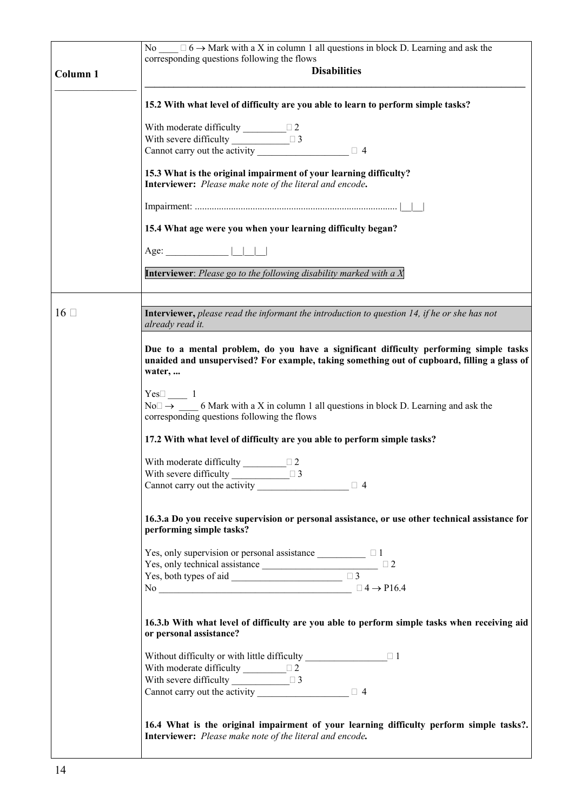|          | No $\Box$ 6 $\rightarrow$ Mark with a X in column 1 all questions in block D. Learning and ask the                                                                                             |
|----------|------------------------------------------------------------------------------------------------------------------------------------------------------------------------------------------------|
|          | corresponding questions following the flows<br><b>Disabilities</b>                                                                                                                             |
| Column 1 |                                                                                                                                                                                                |
|          | 15.2 With what level of difficulty are you able to learn to perform simple tasks?                                                                                                              |
|          | With moderate difficulty $\frac{\Box 2}{\Box 2}$                                                                                                                                               |
|          | With severe difficulty $\Box$ 3                                                                                                                                                                |
|          | Cannot carry out the activity $\qquad \qquad \square$ 4                                                                                                                                        |
|          | 15.3 What is the original impairment of your learning difficulty?<br>Interviewer: Please make note of the literal and encode.                                                                  |
|          |                                                                                                                                                                                                |
|          | 15.4 What age were you when your learning difficulty began?                                                                                                                                    |
|          | Age: $\qquad \qquad$                                                                                                                                                                           |
|          | <b>Interviewer</b> : Please go to the following disability marked with a $X$                                                                                                                   |
|          |                                                                                                                                                                                                |
| $16\Box$ | Interviewer, please read the informant the introduction to question 14, if he or she has not<br>already read it.                                                                               |
|          | Due to a mental problem, do you have a significant difficulty performing simple tasks<br>unaided and unsupervised? For example, taking something out of cupboard, filling a glass of<br>water, |
|          |                                                                                                                                                                                                |
|          | $Yes\square$ 1<br>$No \rightarrow \_\_\_$ 6 Mark with a X in column 1 all questions in block D. Learning and ask the                                                                           |
|          | corresponding questions following the flows                                                                                                                                                    |
|          | 17.2 With what level of difficulty are you able to perform simple tasks?                                                                                                                       |
|          |                                                                                                                                                                                                |
|          | With moderate difficulty $\Box$ 2                                                                                                                                                              |
|          | With severe difficulty $\Box$ $\Box$ 3<br>Cannot carry out the activity ________________ □ 4                                                                                                   |
|          |                                                                                                                                                                                                |
|          | 16.3.a Do you receive supervision or personal assistance, or use other technical assistance for<br>performing simple tasks?                                                                    |
|          | Yes, only supervision or personal assistance $\Box$ $\Box$ 1                                                                                                                                   |
|          |                                                                                                                                                                                                |
|          | No $\qquad \qquad \Box 4 \rightarrow P16.4$                                                                                                                                                    |
|          | 16.3.b With what level of difficulty are you able to perform simple tasks when receiving aid<br>or personal assistance?                                                                        |
|          | Without difficulty or with little difficulty $\Box$                                                                                                                                            |
|          | With moderate difficulty $\frac{1}{2}$<br>With severe difficulty $\Box$ 3                                                                                                                      |
|          | Cannot carry out the activity $\qquad \qquad \square$ 4                                                                                                                                        |
|          |                                                                                                                                                                                                |
|          | 16.4 What is the original impairment of your learning difficulty perform simple tasks?.<br>Interviewer: Please make note of the literal and encode.                                            |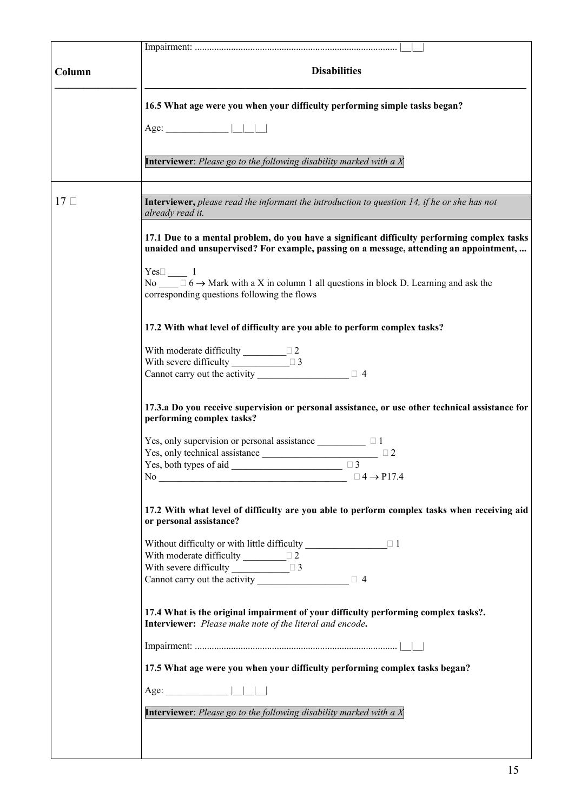| Column   | <b>Disabilities</b>                                                                                                                                                                   |
|----------|---------------------------------------------------------------------------------------------------------------------------------------------------------------------------------------|
|          | 16.5 What age were you when your difficulty performing simple tasks began?                                                                                                            |
|          |                                                                                                                                                                                       |
|          | <b>Interviewer</b> : Please go to the following disability marked with a $X$                                                                                                          |
| $17\Box$ | Interviewer, please read the informant the introduction to question 14, if he or she has not<br>already read it.                                                                      |
|          | 17.1 Due to a mental problem, do you have a significant difficulty performing complex tasks<br>unaided and unsupervised? For example, passing on a message, attending an appointment, |
|          | Yes $\Box$ 1<br>No $\Box$ 6 $\rightarrow$ Mark with a X in column 1 all questions in block D. Learning and ask the<br>corresponding questions following the flows                     |
|          | 17.2 With what level of difficulty are you able to perform complex tasks?                                                                                                             |
|          | With moderate difficulty $\sqrt{2}$<br>With severe difficulty $\Box$ 3<br>Cannot carry out the activity $\qquad \qquad \square$ 4                                                     |
|          | 17.3.a Do you receive supervision or personal assistance, or use other technical assistance for<br>performing complex tasks?                                                          |
|          | Yes, only supervision or personal assistance $\Box$ $\Box$<br>Yes, only technical assistance $\qquad \qquad \square$                                                                  |
|          | $\Box$ 3<br>Yes, both types of aid<br>No $\qquad \qquad \Box 4 \rightarrow P17.4$                                                                                                     |
|          | 17.2 With what level of difficulty are you able to perform complex tasks when receiving aid<br>or personal assistance?                                                                |
|          | Without difficulty or with little difficulty $\Box$ $\Box$<br>With moderate difficulty $\Box$<br>With severe difficulty<br>$\Box$ 3<br>Cannot carry out the activity $\Box$ 4         |
|          | 17.4 What is the original impairment of your difficulty performing complex tasks?.<br>Interviewer: Please make note of the literal and encode.                                        |
|          |                                                                                                                                                                                       |
|          | 17.5 What age were you when your difficulty performing complex tasks began?                                                                                                           |
|          |                                                                                                                                                                                       |
|          | <b>Interviewer</b> : Please go to the following disability marked with a $X$                                                                                                          |
|          |                                                                                                                                                                                       |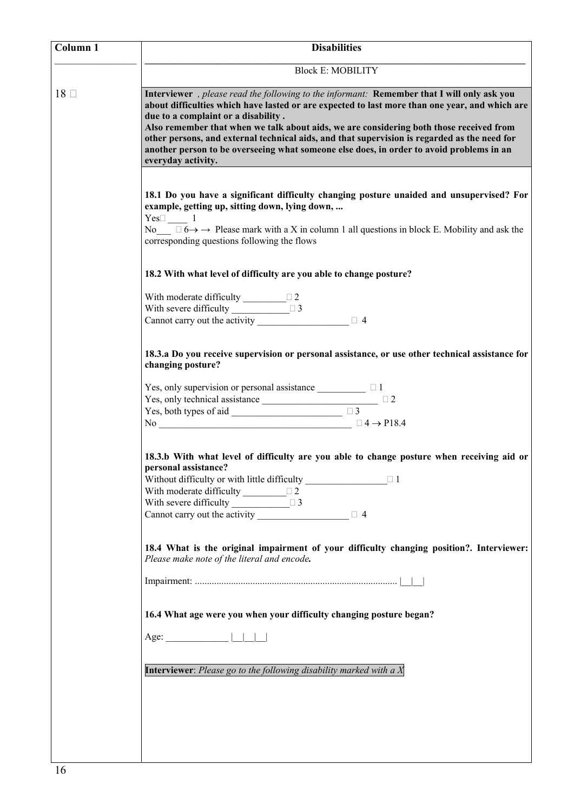| Column 1       | <b>Disabilities</b>                                                                                                                                                                                                                                                                                                                                                                                                                                                                                                                               |
|----------------|---------------------------------------------------------------------------------------------------------------------------------------------------------------------------------------------------------------------------------------------------------------------------------------------------------------------------------------------------------------------------------------------------------------------------------------------------------------------------------------------------------------------------------------------------|
|                | <b>Block E: MOBILITY</b>                                                                                                                                                                                                                                                                                                                                                                                                                                                                                                                          |
| $18$ $\square$ | Interviewer , please read the following to the informant: Remember that I will only ask you<br>about difficulties which have lasted or are expected to last more than one year, and which are<br>due to a complaint or a disability.<br>Also remember that when we talk about aids, we are considering both those received from<br>other persons, and external technical aids, and that supervision is regarded as the need for<br>another person to be overseeing what someone else does, in order to avoid problems in an<br>everyday activity. |
|                | 18.1 Do you have a significant difficulty changing posture unaided and unsupervised? For<br>example, getting up, sitting down, lying down,<br>$Yes\square$ 1<br>No $\Box$ 6 $\rightarrow$ Please mark with a X in column 1 all questions in block E. Mobility and ask the<br>corresponding questions following the flows                                                                                                                                                                                                                          |
|                | 18.2 With what level of difficulty are you able to change posture?                                                                                                                                                                                                                                                                                                                                                                                                                                                                                |
|                | With moderate difficulty $\frac{\Box 2}{\Box 2}$<br>With severe difficulty $\frac{1}{2}$ 3<br>Cannot carry out the activity $\qquad \qquad \square$ 4                                                                                                                                                                                                                                                                                                                                                                                             |
|                | 18.3.a Do you receive supervision or personal assistance, or use other technical assistance for<br>changing posture?                                                                                                                                                                                                                                                                                                                                                                                                                              |
|                | Yes, only supervision or personal assistance $\Box$ $\Box$ 1<br>No $\qquad \qquad \Box 4 \rightarrow P18.4$                                                                                                                                                                                                                                                                                                                                                                                                                                       |
|                | 18.3.b With what level of difficulty are you able to change posture when receiving aid or<br>personal assistance?<br>$\Box$ 1<br>With moderate difficulty $\frac{1}{2}$<br>With severe difficulty $\Box$ 3                                                                                                                                                                                                                                                                                                                                        |
|                | 18.4 What is the original impairment of your difficulty changing position?. Interviewer:<br>Please make note of the literal and encode.                                                                                                                                                                                                                                                                                                                                                                                                           |
|                |                                                                                                                                                                                                                                                                                                                                                                                                                                                                                                                                                   |
|                | 16.4 What age were you when your difficulty changing posture began?<br>Age: $\Box$                                                                                                                                                                                                                                                                                                                                                                                                                                                                |
|                | Interviewer: Please go to the following disability marked with a $X$                                                                                                                                                                                                                                                                                                                                                                                                                                                                              |
|                |                                                                                                                                                                                                                                                                                                                                                                                                                                                                                                                                                   |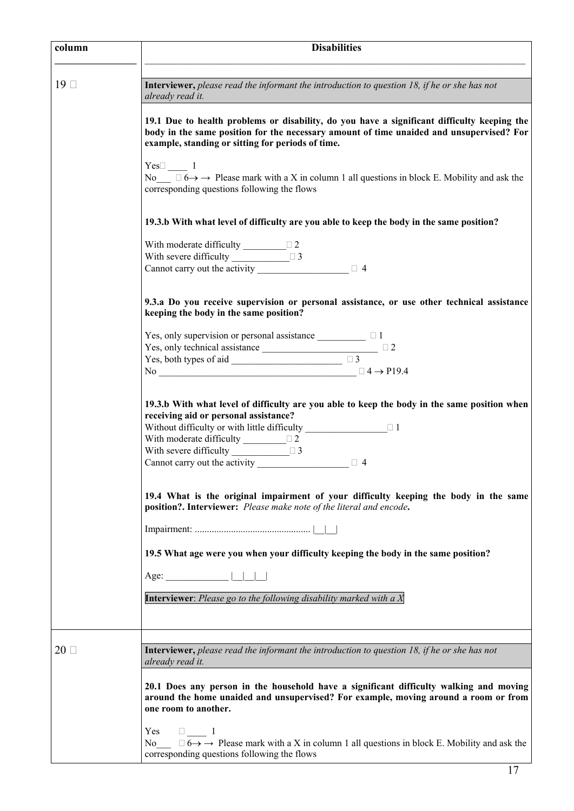| column         | <b>Disabilities</b>                                                                                                                                                                                                                                                                               |
|----------------|---------------------------------------------------------------------------------------------------------------------------------------------------------------------------------------------------------------------------------------------------------------------------------------------------|
| $19$ $\square$ | Interviewer, please read the informant the introduction to question 18, if he or she has not<br>already read it.                                                                                                                                                                                  |
|                | 19.1 Due to health problems or disability, do you have a significant difficulty keeping the<br>body in the same position for the necessary amount of time unaided and unsupervised? For<br>example, standing or sitting for periods of time.                                                      |
|                | $Yes\square$ 1<br>No $\Box$ 6 $\rightarrow$ Please mark with a X in column 1 all questions in block E. Mobility and ask the<br>corresponding questions following the flows                                                                                                                        |
|                | 19.3.b With what level of difficulty are you able to keep the body in the same position?                                                                                                                                                                                                          |
|                | With moderate difficulty $\sqrt{2}$<br>With severe difficulty $\Box$ $\Box$ 3<br>Cannot carry out the activity $\qquad \qquad \square$ 4                                                                                                                                                          |
|                | 9.3.a Do you receive supervision or personal assistance, or use other technical assistance<br>keeping the body in the same position?                                                                                                                                                              |
|                | Yes, only supervision or personal assistance $\Box$ $\Box$ $\Box$<br>No $\qquad \qquad \Box$ $\Box$ $\rightarrow$ P19.4                                                                                                                                                                           |
|                | 19.3.b With what level of difficulty are you able to keep the body in the same position when<br>receiving aid or personal assistance?<br>Without difficulty or with little difficulty $\Box$<br>With severe difficulty $\Box$ $\Box$ 3<br>Cannot carry out the activity $\qquad \qquad \square$ 4 |
|                | 19.4 What is the original impairment of your difficulty keeping the body in the same<br>position?. Interviewer: Please make note of the literal and encode.                                                                                                                                       |
|                |                                                                                                                                                                                                                                                                                                   |
|                | 19.5 What age were you when your difficulty keeping the body in the same position?                                                                                                                                                                                                                |
|                | Age: $\qquad \qquad$    <br>Interviewer: Please go to the following disability marked with a X                                                                                                                                                                                                    |
|                |                                                                                                                                                                                                                                                                                                   |
| $20\ \Box$     | <b>Interviewer,</b> please read the informant the introduction to question 18, if he or she has not<br>already read it.                                                                                                                                                                           |
|                | 20.1 Does any person in the household have a significant difficulty walking and moving<br>around the home unaided and unsupervised? For example, moving around a room or from<br>one room to another.                                                                                             |
|                | Yes<br>$\Box$ 1<br>$\Box$ 6 $\rightarrow$ $\rightarrow$ Please mark with a X in column 1 all questions in block E. Mobility and ask the<br>No<br>corresponding questions following the flows                                                                                                      |
|                | 17                                                                                                                                                                                                                                                                                                |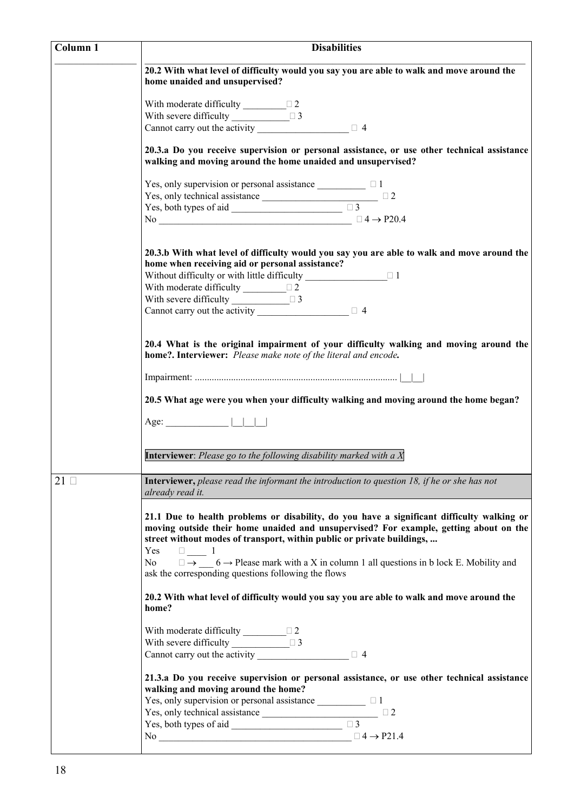| Column 1 | <b>Disabilities</b>                                                                                                                                                                                                                                                                                                                                                                                                                                         |
|----------|-------------------------------------------------------------------------------------------------------------------------------------------------------------------------------------------------------------------------------------------------------------------------------------------------------------------------------------------------------------------------------------------------------------------------------------------------------------|
|          | 20.2 With what level of difficulty would you say you are able to walk and move around the<br>home unaided and unsupervised?                                                                                                                                                                                                                                                                                                                                 |
|          | With moderate difficulty $\sqrt{2}$<br>With severe difficulty $\Box$ 3<br>Cannot carry out the activity $\qquad \qquad \square$ 4                                                                                                                                                                                                                                                                                                                           |
|          | 20.3.a Do you receive supervision or personal assistance, or use other technical assistance<br>walking and moving around the home unaided and unsupervised?                                                                                                                                                                                                                                                                                                 |
|          | Yes, only supervision or personal assistance $\Box$ $\Box$<br>Yes, only technical assistance $\Box$<br>Yes, both types of aid $\Box$<br>No $\qquad \qquad \Box 4 \rightarrow P20.4$                                                                                                                                                                                                                                                                         |
|          | 20.3.b With what level of difficulty would you say you are able to walk and move around the<br>home when receiving aid or personal assistance?<br>Without difficulty or with little difficulty $\Box$<br>With moderate difficulty $\Box$<br>With severe difficulty $\sqrt{3}$<br>Cannot carry out the activity $\boxed{\phantom{2\,2\,3\,4\,}}$                                                                                                             |
|          | 20.4 What is the original impairment of your difficulty walking and moving around the<br>home?. Interviewer: Please make note of the literal and encode.                                                                                                                                                                                                                                                                                                    |
|          |                                                                                                                                                                                                                                                                                                                                                                                                                                                             |
|          | 20.5 What age were you when your difficulty walking and moving around the home began?                                                                                                                                                                                                                                                                                                                                                                       |
|          | Age: $\vert \vert \vert \vert \vert$                                                                                                                                                                                                                                                                                                                                                                                                                        |
|          | Interviewer: Please go to the following disability marked with a $X$                                                                                                                                                                                                                                                                                                                                                                                        |
| 21       | <b>Interviewer,</b> please read the informant the introduction to question 18, if he or she has not<br>already read it.                                                                                                                                                                                                                                                                                                                                     |
|          | 21.1 Due to health problems or disability, do you have a significant difficulty walking or<br>moving outside their home unaided and unsupervised? For example, getting about on the<br>street without modes of transport, within public or private buildings,<br>$\Box$<br>Yes<br>$\Box \rightarrow$ 6 $\rightarrow$ Please mark with a X in column 1 all questions in b lock E. Mobility and<br>No.<br>ask the corresponding questions following the flows |
|          | 20.2 With what level of difficulty would you say you are able to walk and move around the<br>home?                                                                                                                                                                                                                                                                                                                                                          |
|          | With moderate difficulty $\sqrt{2}$<br>With severe difficulty $\Box$ 3<br>Cannot carry out the activity $\Box$ 4                                                                                                                                                                                                                                                                                                                                            |
|          | 21.3.a Do you receive supervision or personal assistance, or use other technical assistance<br>walking and moving around the home?<br>Yes, only supervision or personal assistance $\frac{1}{\sqrt{1-\frac{1}{n}}}\square 1$<br>No $\qquad \qquad \Box$ $\Box$ 4 $\rightarrow$ P21.4                                                                                                                                                                        |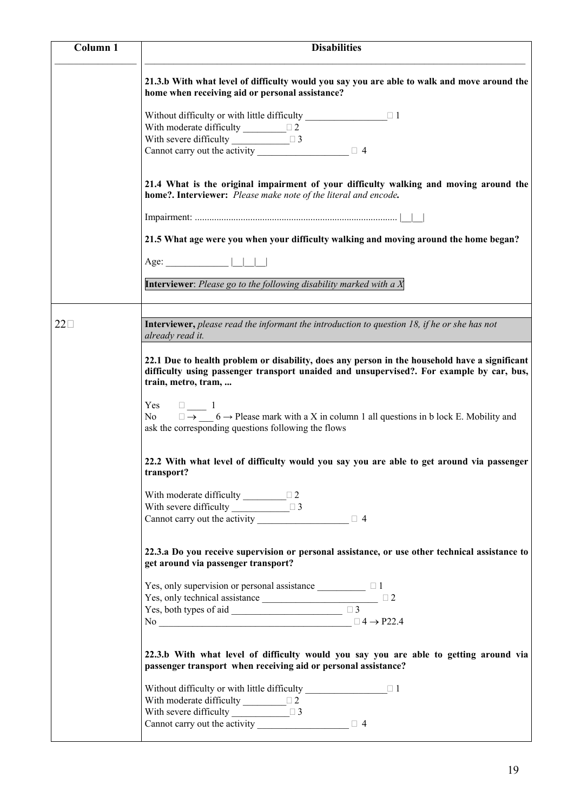| Column 1    | <b>Disabilities</b>                                                                                                                                                                                              |
|-------------|------------------------------------------------------------------------------------------------------------------------------------------------------------------------------------------------------------------|
|             | 21.3.b With what level of difficulty would you say you are able to walk and move around the<br>home when receiving aid or personal assistance?                                                                   |
|             | Without difficulty or with little difficulty $\Box$ $\Box$                                                                                                                                                       |
|             | With moderate difficulty $\frac{1}{2}$                                                                                                                                                                           |
|             | With severe difficulty $\Box$ $\Box$                                                                                                                                                                             |
|             | Cannot carry out the activity $\qquad \qquad \square$ 4                                                                                                                                                          |
|             | 21.4 What is the original impairment of your difficulty walking and moving around the<br>home?. Interviewer: Please make note of the literal and encode.                                                         |
|             |                                                                                                                                                                                                                  |
|             | 21.5 What age were you when your difficulty walking and moving around the home began?                                                                                                                            |
|             |                                                                                                                                                                                                                  |
|             | <b>Interviewer</b> : Please go to the following disability marked with a $X$                                                                                                                                     |
|             |                                                                                                                                                                                                                  |
| $22\square$ | <b>Interviewer</b> , please read the informant the introduction to question 18, if he or she has not<br>already read it.                                                                                         |
|             | 22.1 Due to health problem or disability, does any person in the household have a significant<br>difficulty using passenger transport unaided and unsupervised?. For example by car, bus,<br>train, metro, tram, |
|             | Yes<br>$\Box$<br>No $\Box \rightarrow \Box$ 6 $\rightarrow$ Please mark with a X in column 1 all questions in b lock E. Mobility and<br>ask the corresponding questions following the flows                      |
|             | 22.2 With what level of difficulty would you say you are able to get around via passenger<br>transport?                                                                                                          |
|             | With moderate difficulty $\Box$ $\Box$ 2                                                                                                                                                                         |
|             | With severe difficulty $\Box$ $\Box$ 3                                                                                                                                                                           |
|             | Cannot carry out the activity $\qquad \qquad \square$ 4                                                                                                                                                          |
|             | 22.3.a Do you receive supervision or personal assistance, or use other technical assistance to<br>get around via passenger transport?                                                                            |
|             | Yes, only supervision or personal assistance $\Box$ $\Box$ 1                                                                                                                                                     |
|             |                                                                                                                                                                                                                  |
|             | No $\qquad \qquad \Box 4 \rightarrow P22.4$                                                                                                                                                                      |
|             | 22.3.b With what level of difficulty would you say you are able to getting around via<br>passenger transport when receiving aid or personal assistance?                                                          |
|             | Without difficulty or with little difficulty $\Box$<br>With moderate difficulty $\Box$<br>With severe difficulty $\Box$ $\Box$ 3                                                                                 |
|             | Cannot carry out the activity $\qquad \qquad \square$ 4                                                                                                                                                          |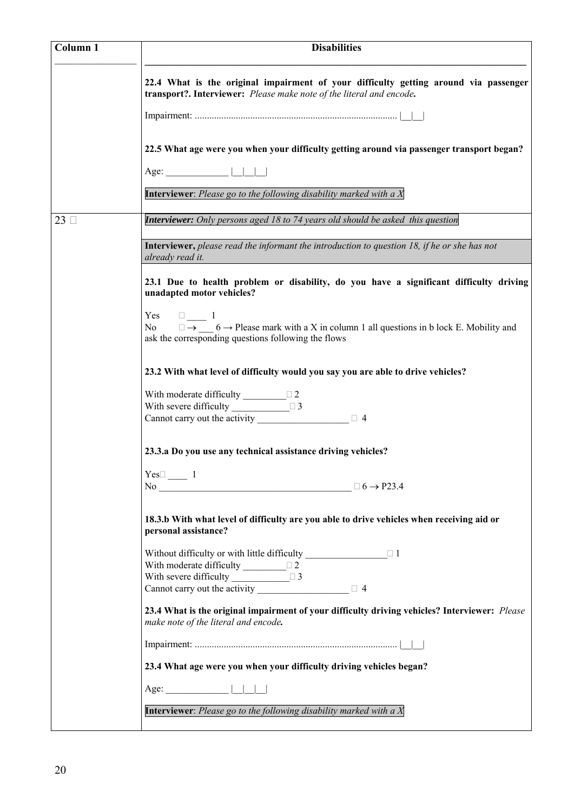| Column 1       | <b>Disabilities</b>                                                                                                                                                                                         |
|----------------|-------------------------------------------------------------------------------------------------------------------------------------------------------------------------------------------------------------|
|                | 22.4 What is the original impairment of your difficulty getting around via passenger<br>transport?. Interviewer: Please make note of the literal and encode.                                                |
|                | 22.5 What age were you when your difficulty getting around via passenger transport began?<br>Age: $\vert \vert \vert$                                                                                       |
|                | Interviewer: Please go to the following disability marked with a $X$                                                                                                                                        |
| $23$ $\square$ | <b>Interviewer:</b> Only persons aged 18 to 74 years old should be asked this question                                                                                                                      |
|                | <b>Interviewer,</b> please read the informant the introduction to question 18, if he or she has not<br>already read it.                                                                                     |
|                | 23.1 Due to health problem or disability, do you have a significant difficulty driving<br>unadapted motor vehicles?                                                                                         |
|                | Yes<br>$\Box$<br>$\Box \rightarrow$ 6 $\rightarrow$ Please mark with a X in column 1 all questions in b lock E. Mobility and<br>No<br>ask the corresponding questions following the flows                   |
|                | 23.2 With what level of difficulty would you say you are able to drive vehicles?                                                                                                                            |
|                | With moderate difficulty $\sqrt{2}$<br>With severe difficulty $\Box$ 3<br>$\Box$ 4                                                                                                                          |
|                | 23.3.a Do you use any technical assistance driving vehicles?                                                                                                                                                |
|                | $Yes \Box$ 1<br>No $\qquad \qquad \Box$                                                                                                                                                                     |
|                | 18.3.b With what level of difficulty are you able to drive vehicles when receiving aid or<br>personal assistance?                                                                                           |
|                | Without difficulty or with little difficulty $\Box$ $\Box$<br>With moderate difficulty $\qquad \qquad \Box$ 2<br>With severe difficulty $\Box$ 3<br>Cannot carry out the activity $\qquad \qquad \square$ 4 |
|                | 23.4 What is the original impairment of your difficulty driving vehicles? Interviewer: Please<br>make note of the literal and encode.                                                                       |
|                |                                                                                                                                                                                                             |
|                | 23.4 What age were you when your difficulty driving vehicles began?                                                                                                                                         |
|                | Age: ________________  __ __ __                                                                                                                                                                             |
|                | Interviewer: Please go to the following disability marked with a X                                                                                                                                          |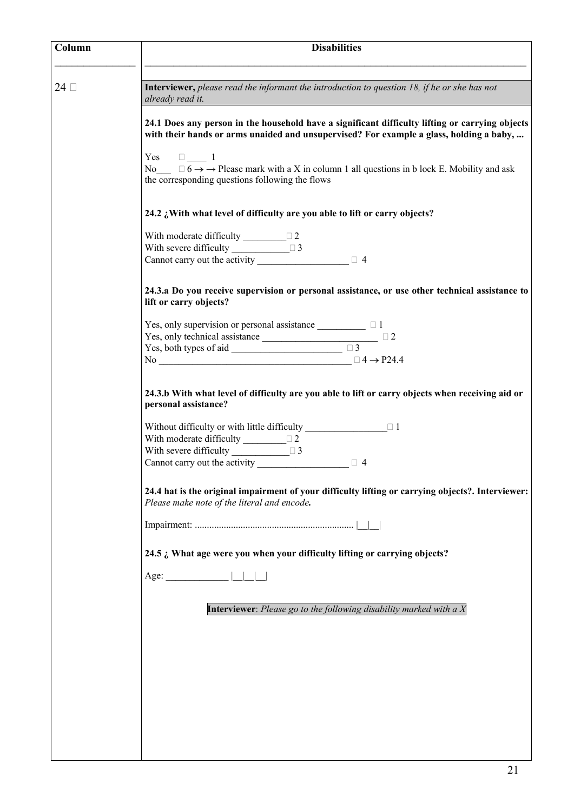| Column         | <b>Disabilities</b>                                                                                                                                                                           |
|----------------|-----------------------------------------------------------------------------------------------------------------------------------------------------------------------------------------------|
| $24$ $\square$ | <b>Interviewer,</b> please read the informant the introduction to question 18, if he or she has not<br>already read it.                                                                       |
|                | 24.1 Does any person in the household have a significant difficulty lifting or carrying objects<br>with their hands or arms unaided and unsupervised? For example a glass, holding a baby,    |
|                | Yes $\Box$ 1<br>No $\Box$ $\Box$ $\overline{6}$ $\rightarrow$ Please mark with a X in column 1 all questions in b lock E. Mobility and ask<br>the corresponding questions following the flows |
|                | 24.2 ¿With what level of difficulty are you able to lift or carry objects?                                                                                                                    |
|                | With moderate difficulty $\sqrt{2}$<br>With severe difficulty $\Box$ 3                                                                                                                        |
|                | Cannot carry out the activity $\qquad \qquad \square$ 4                                                                                                                                       |
|                | 24.3.a Do you receive supervision or personal assistance, or use other technical assistance to<br>lift or carry objects?                                                                      |
|                | Yes, only supervision or personal assistance $\Box$ $\Box$ $\Box$                                                                                                                             |
|                | No $\qquad \qquad \Box$ $\Box$ 4 $\rightarrow$ P24.4                                                                                                                                          |
|                | 24.3.b With what level of difficulty are you able to lift or carry objects when receiving aid or<br>personal assistance?                                                                      |
|                | Without difficulty or with little difficulty $\Box$ $\Box$<br>With moderate difficulty $\frac{1}{2}$                                                                                          |
|                | With severe difficulty $\Box$ 3<br>$\Box$ 4                                                                                                                                                   |
|                | 24.4 hat is the original impairment of your difficulty lifting or carrying objects?. Interviewer:<br>Please make note of the literal and encode.                                              |
|                |                                                                                                                                                                                               |
|                | 24.5 : What age were you when your difficulty lifting or carrying objects?                                                                                                                    |
|                |                                                                                                                                                                                               |
|                | Interviewer: Please go to the following disability marked with a $X$                                                                                                                          |
|                |                                                                                                                                                                                               |
|                |                                                                                                                                                                                               |
|                |                                                                                                                                                                                               |
|                |                                                                                                                                                                                               |
|                |                                                                                                                                                                                               |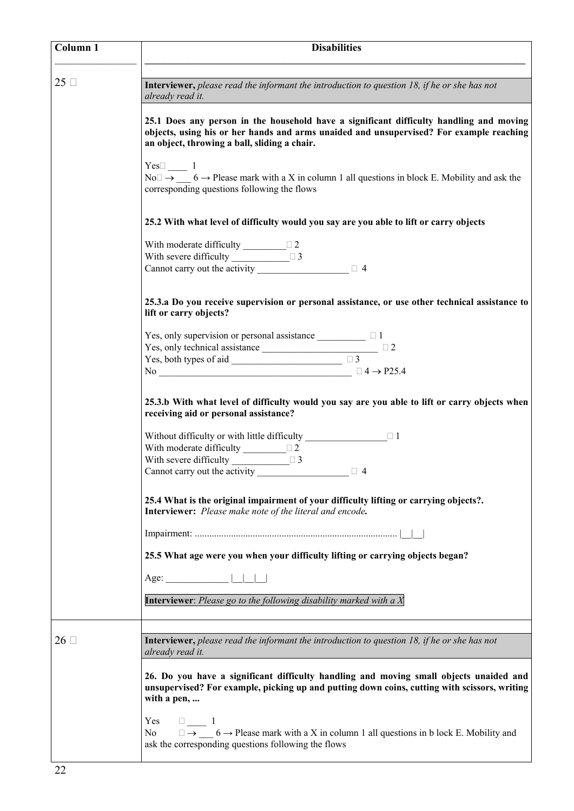| Column 1  | <b>Disabilities</b>                                                                                                                                                                                                                |
|-----------|------------------------------------------------------------------------------------------------------------------------------------------------------------------------------------------------------------------------------------|
| $25 \Box$ | Interviewer, please read the informant the introduction to question $18$ , if he or she has not<br>already read it.                                                                                                                |
|           | 25.1 Does any person in the household have a significant difficulty handling and moving<br>objects, using his or her hands and arms unaided and unsupervised? For example reaching<br>an object, throwing a ball, sliding a chair. |
|           | $Yes\square$ 1<br>$N_0 \rightarrow$ 6 $\rightarrow$ Please mark with a X in column 1 all questions in block E. Mobility and ask the<br>corresponding questions following the flows                                                 |
|           | 25.2 With what level of difficulty would you say are you able to lift or carry objects                                                                                                                                             |
|           | With moderate difficulty $\frac{\Box 2}{\Box 2}$<br>With severe difficulty $\Box$ $\Box$ 3<br>$\Box$ 4                                                                                                                             |
|           | 25.3.a Do you receive supervision or personal assistance, or use other technical assistance to<br>lift or carry objects?                                                                                                           |
|           | Yes, only supervision or personal assistance $\frac{\Box \Box}{\Box \Box \Box \Box}$<br>No $\qquad \qquad \Box 4 \rightarrow P25.4$                                                                                                |
|           | 25.3.b With what level of difficulty would you say are you able to lift or carry objects when<br>receiving aid or personal assistance?                                                                                             |
|           | Without difficulty or with little difficulty $\Box$ $\Box$<br>With moderate difficulty $\frac{\Box 2}{\Box 2}$<br>With severe difficulty<br>$\Box$ 3                                                                               |
|           | 25.4 What is the original impairment of your difficulty lifting or carrying objects?.<br>Interviewer: Please make note of the literal and encode.                                                                                  |
|           |                                                                                                                                                                                                                                    |
|           | 25.5 What age were you when your difficulty lifting or carrying objects began?<br>Age: $\qquad \qquad$                                                                                                                             |
|           | <b>Interviewer</b> : Please go to the following disability marked with a $X$                                                                                                                                                       |
| $26\Box$  | <b>Interviewer</b> , please read the informant the introduction to question 18, if he or she has not<br>already read it.                                                                                                           |
|           | 26. Do you have a significant difficulty handling and moving small objects unaided and<br>unsupervised? For example, picking up and putting down coins, cutting with scissors, writing<br>with a pen,                              |
|           | Yes<br>$\square$ $\square$ 1<br>$\Box \rightarrow$ 6 $\rightarrow$ Please mark with a X in column 1 all questions in b lock E. Mobility and<br>No<br>ask the corresponding questions following the flows                           |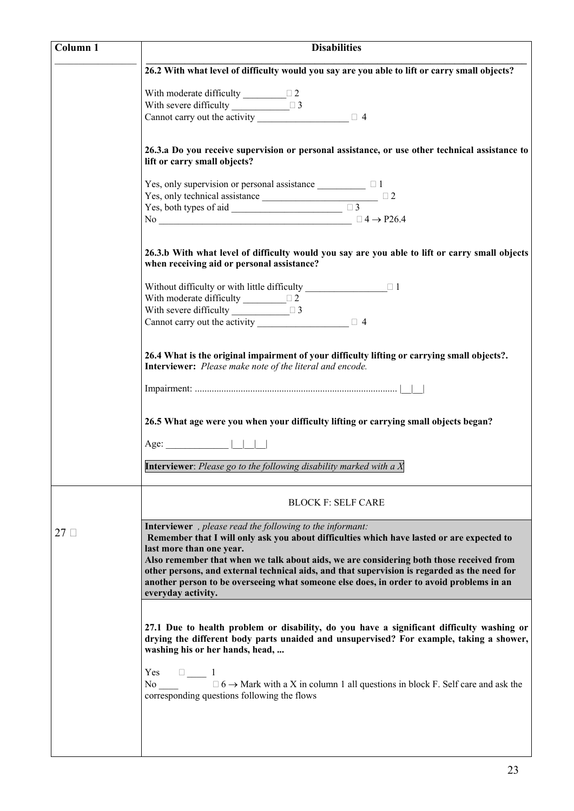| Column 1     | <b>Disabilities</b>                                                                                                                                                                                                                                                                                                                                                                                                                                                                                    |
|--------------|--------------------------------------------------------------------------------------------------------------------------------------------------------------------------------------------------------------------------------------------------------------------------------------------------------------------------------------------------------------------------------------------------------------------------------------------------------------------------------------------------------|
|              | 26.2 With what level of difficulty would you say are you able to lift or carry small objects?                                                                                                                                                                                                                                                                                                                                                                                                          |
|              | With moderate difficulty $\sqrt{2}$                                                                                                                                                                                                                                                                                                                                                                                                                                                                    |
|              | With severe difficulty $\Box$ $\Box$                                                                                                                                                                                                                                                                                                                                                                                                                                                                   |
|              | Cannot carry out the activity $\qquad \qquad \square$ 4                                                                                                                                                                                                                                                                                                                                                                                                                                                |
|              |                                                                                                                                                                                                                                                                                                                                                                                                                                                                                                        |
|              | 26.3.a Do you receive supervision or personal assistance, or use other technical assistance to<br>lift or carry small objects?                                                                                                                                                                                                                                                                                                                                                                         |
|              | Yes, only supervision or personal assistance $\Box$ $\Box$ 1                                                                                                                                                                                                                                                                                                                                                                                                                                           |
|              | Yes, only technical assistance $\qquad \qquad \square$                                                                                                                                                                                                                                                                                                                                                                                                                                                 |
|              | Yes, both types of aid $\qquad \qquad \square$ $\qquad \square$                                                                                                                                                                                                                                                                                                                                                                                                                                        |
|              | No $\qquad \qquad \Box 4 \rightarrow P26.4$                                                                                                                                                                                                                                                                                                                                                                                                                                                            |
|              | 26.3.b With what level of difficulty would you say are you able to lift or carry small objects<br>when receiving aid or personal assistance?                                                                                                                                                                                                                                                                                                                                                           |
|              | Without difficulty or with little difficulty $\Box$                                                                                                                                                                                                                                                                                                                                                                                                                                                    |
|              | With moderate difficulty $\qquad \qquad \Box$ 2                                                                                                                                                                                                                                                                                                                                                                                                                                                        |
|              | With severe difficulty $\Box$ $\Box$ 3                                                                                                                                                                                                                                                                                                                                                                                                                                                                 |
|              | Cannot carry out the activity $\boxed{\phantom{2442} \phantom{2444} \phantom{2444} \phantom{24444} \phantom{24444} \phantom{244444} \phantom{244444} \phantom{244444} \phantom{2444444} \phantom{2444444} \phantom{2444444}\phantom{2444444}\phantom{2444444}\phantom{2444444}\phantom{2444444}\phantom{2444444}\phantom{2444444}\phantom{244$                                                                                                                                                         |
|              |                                                                                                                                                                                                                                                                                                                                                                                                                                                                                                        |
|              | 26.4 What is the original impairment of your difficulty lifting or carrying small objects?.<br>Interviewer: Please make note of the literal and encode.                                                                                                                                                                                                                                                                                                                                                |
|              |                                                                                                                                                                                                                                                                                                                                                                                                                                                                                                        |
|              | 26.5 What age were you when your difficulty lifting or carrying small objects began?<br>Age: $\qquad \qquad$<br>Interviewer: Please go to the following disability marked with a $X$                                                                                                                                                                                                                                                                                                                   |
|              | <b>BLOCK F: SELF CARE</b>                                                                                                                                                                                                                                                                                                                                                                                                                                                                              |
| $27~\square$ | <b>Interviewer</b> , please read the following to the informant:<br>Remember that I will only ask you about difficulties which have lasted or are expected to<br>last more than one year.<br>Also remember that when we talk about aids, we are considering both those received from<br>other persons, and external technical aids, and that supervision is regarded as the need for<br>another person to be overseeing what someone else does, in order to avoid problems in an<br>everyday activity. |
|              | 27.1 Due to health problem or disability, do you have a significant difficulty washing or<br>drying the different body parts unaided and unsupervised? For example, taking a shower,<br>washing his or her hands, head,<br>Yes<br>$\square$ $\square$ 1<br>$\Box$ 6 $\rightarrow$ Mark with a X in column 1 all questions in block F. Self care and ask the<br>No<br>corresponding questions following the flows                                                                                       |
|              |                                                                                                                                                                                                                                                                                                                                                                                                                                                                                                        |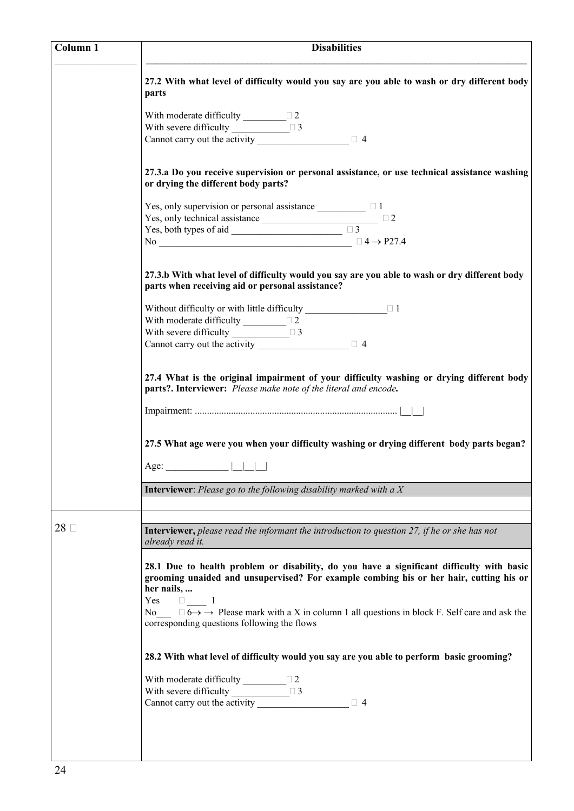| Column 1 | <b>Disabilities</b>                                                                                                                                                                                                                                                                                                                                                                           |
|----------|-----------------------------------------------------------------------------------------------------------------------------------------------------------------------------------------------------------------------------------------------------------------------------------------------------------------------------------------------------------------------------------------------|
|          | 27.2 With what level of difficulty would you say are you able to wash or dry different body<br>parts                                                                                                                                                                                                                                                                                          |
|          | With moderate difficulty $\sqrt{2}$<br>With severe difficulty $\Box$ 3                                                                                                                                                                                                                                                                                                                        |
|          | $\Box$ 4                                                                                                                                                                                                                                                                                                                                                                                      |
|          | 27.3.a Do you receive supervision or personal assistance, or use technical assistance washing<br>or drying the different body parts?                                                                                                                                                                                                                                                          |
|          | Yes, only supervision or personal assistance $\Box$ $\Box$ 1<br>Yes, only technical assistance $\qquad \qquad \square$                                                                                                                                                                                                                                                                        |
|          | Yes, both types of aid $\frac{1}{\sqrt{3}}$<br>No $\qquad \qquad \Box 4 \rightarrow P27.4$                                                                                                                                                                                                                                                                                                    |
|          | 27.3.b With what level of difficulty would you say are you able to wash or dry different body<br>parts when receiving aid or personal assistance?                                                                                                                                                                                                                                             |
|          | Without difficulty or with little difficulty $\Box$ $\Box$<br>With moderate difficulty $\frac{\Box 2}{\Box 2}$                                                                                                                                                                                                                                                                                |
|          | With severe difficulty $\Box$ $\Box$ 3<br>Cannot carry out the activity $\boxed{\phantom{2\phantom{2\phantom{2}}\phantom{2}}\phantom{2}}$ $\phantom{2\phantom{2\phantom{2}}\phantom{2}}\phantom{2\phantom{2}}$                                                                                                                                                                                |
|          | 27.4 What is the original impairment of your difficulty washing or drying different body<br>parts?. Interviewer: Please make note of the literal and encode.                                                                                                                                                                                                                                  |
|          |                                                                                                                                                                                                                                                                                                                                                                                               |
|          | 27.5 What age were you when your difficulty washing or drying different body parts began?                                                                                                                                                                                                                                                                                                     |
|          | Age:                                                                                                                                                                                                                                                                                                                                                                                          |
|          | <b>Interviewer</b> : Please go to the following disability marked with a $X$                                                                                                                                                                                                                                                                                                                  |
| $28\Box$ | Interviewer, please read the informant the introduction to question 27, if he or she has not<br>already read it.                                                                                                                                                                                                                                                                              |
|          | 28.1 Due to health problem or disability, do you have a significant difficulty with basic<br>grooming unaided and unsupervised? For example combing his or her hair, cutting his or<br>her nails,<br>$\Box$ 1<br>Yes<br>No $\Box$ $6 \rightarrow \rightarrow$ Please mark with a X in column 1 all questions in block F. Self care and ask the<br>corresponding questions following the flows |
|          | 28.2 With what level of difficulty would you say are you able to perform basic grooming?                                                                                                                                                                                                                                                                                                      |
|          | With moderate difficulty $\sqrt{2}$<br>With severe difficulty $\Box$ $\Box$ 3<br>$\Box$ 4                                                                                                                                                                                                                                                                                                     |
|          |                                                                                                                                                                                                                                                                                                                                                                                               |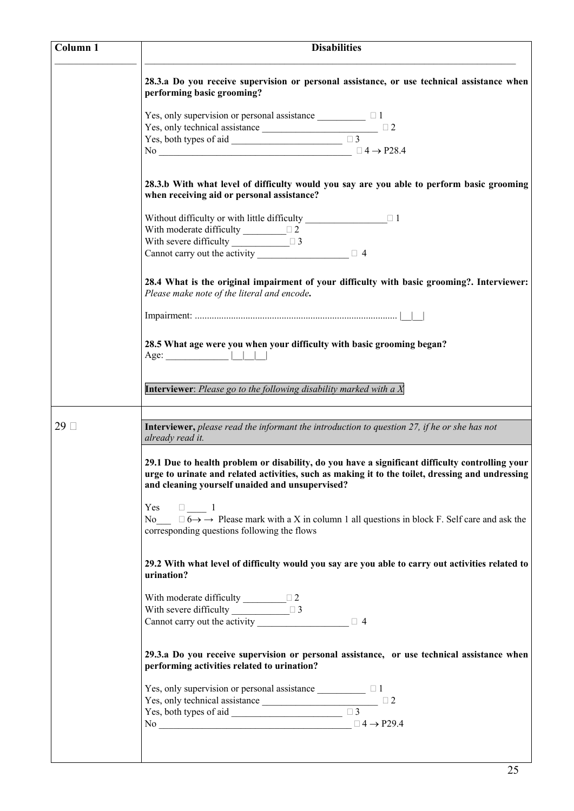| Column 1 | <b>Disabilities</b>                                                                                                                                                                                                                                    |
|----------|--------------------------------------------------------------------------------------------------------------------------------------------------------------------------------------------------------------------------------------------------------|
|          | 28.3.a Do you receive supervision or personal assistance, or use technical assistance when<br>performing basic grooming?                                                                                                                               |
|          | Yes, only supervision or personal assistance $\Box$ $\Box$ 1                                                                                                                                                                                           |
|          | No $\qquad \qquad \Box 4 \rightarrow P28.4$                                                                                                                                                                                                            |
|          | 28.3.b With what level of difficulty would you say are you able to perform basic grooming<br>when receiving aid or personal assistance?                                                                                                                |
|          | Without difficulty or with little difficulty $\Box$<br>With moderate difficulty $\sqrt{2}$<br>Cannot carry out the activity $\qquad \qquad \square$ 4                                                                                                  |
|          | 28.4 What is the original impairment of your difficulty with basic grooming?. Interviewer:<br>Please make note of the literal and encode.                                                                                                              |
|          |                                                                                                                                                                                                                                                        |
|          | 28.5 What age were you when your difficulty with basic grooming began?                                                                                                                                                                                 |
|          | Interviewer: Please go to the following disability marked with a $X$                                                                                                                                                                                   |
| 29       | Interviewer, please read the informant the introduction to question 27, if he or she has not<br>already read it.                                                                                                                                       |
|          | 29.1 Due to health problem or disability, do you have a significant difficulty controlling your<br>urge to urinate and related activities, such as making it to the toilet, dressing and undressing<br>and cleaning yourself unaided and unsupervised? |
|          | Yes $\Box$ 1<br>No $\Box$ 6 $\rightarrow$ Please mark with a X in column 1 all questions in block F. Self care and ask the<br>corresponding questions following the flows                                                                              |
|          | 29.2 With what level of difficulty would you say are you able to carry out activities related to<br>urination?                                                                                                                                         |
|          | With moderate difficulty $\Box$<br>With severe difficulty $\Box$ 3<br>Cannot carry out the activity $\qquad \qquad \square$ 4                                                                                                                          |
|          | 29.3.a Do you receive supervision or personal assistance, or use technical assistance when<br>performing activities related to urination?                                                                                                              |
|          | Yes, only supervision or personal assistance $\Box$ $\Box$ $\Box$                                                                                                                                                                                      |
|          | No $\qquad \qquad \Box$ $\Box$ 4 $\rightarrow$ P29.4                                                                                                                                                                                                   |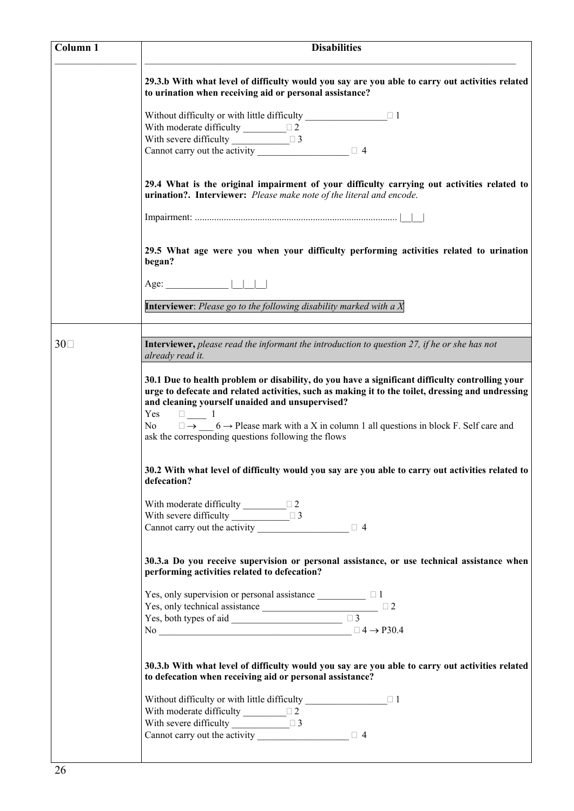| Column <sub>1</sub> | <b>Disabilities</b>                                                                                                                                                                                                                                                                                                                                                                                                                                        |
|---------------------|------------------------------------------------------------------------------------------------------------------------------------------------------------------------------------------------------------------------------------------------------------------------------------------------------------------------------------------------------------------------------------------------------------------------------------------------------------|
|                     | 29.3.b With what level of difficulty would you say are you able to carry out activities related<br>to urination when receiving aid or personal assistance?                                                                                                                                                                                                                                                                                                 |
|                     | Without difficulty or with little difficulty $\Box$<br>With moderate difficulty $\sqrt{2}$                                                                                                                                                                                                                                                                                                                                                                 |
|                     | With severe difficulty $\Box$ $\Box$ 3                                                                                                                                                                                                                                                                                                                                                                                                                     |
|                     | Cannot carry out the activity $\qquad \qquad \square$ 4                                                                                                                                                                                                                                                                                                                                                                                                    |
|                     |                                                                                                                                                                                                                                                                                                                                                                                                                                                            |
|                     | 29.4 What is the original impairment of your difficulty carrying out activities related to<br>urination?. Interviewer: Please make note of the literal and encode.                                                                                                                                                                                                                                                                                         |
|                     |                                                                                                                                                                                                                                                                                                                                                                                                                                                            |
|                     | 29.5 What age were you when your difficulty performing activities related to urination<br>began?                                                                                                                                                                                                                                                                                                                                                           |
|                     | Age: $\Box$                                                                                                                                                                                                                                                                                                                                                                                                                                                |
|                     | <b>Interviewer</b> : Please go to the following disability marked with a $X$                                                                                                                                                                                                                                                                                                                                                                               |
|                     |                                                                                                                                                                                                                                                                                                                                                                                                                                                            |
| $30\square$         | <b>Interviewer</b> , please read the informant the introduction to question 27, if he or she has not<br>already read it.                                                                                                                                                                                                                                                                                                                                   |
|                     | 30.1 Due to health problem or disability, do you have a significant difficulty controlling your<br>urge to defecate and related activities, such as making it to the toilet, dressing and undressing<br>and cleaning yourself unaided and unsupervised?<br>Yes<br>$\square$ 1<br>$\Box \rightarrow \_ 6 \rightarrow$ Please mark with a X in column 1 all questions in block F. Self care and<br>No<br>ask the corresponding questions following the flows |
|                     | 30.2 With what level of difficulty would you say are you able to carry out activities related to<br>defecation?                                                                                                                                                                                                                                                                                                                                            |
|                     |                                                                                                                                                                                                                                                                                                                                                                                                                                                            |
|                     | With moderate difficulty $\sqrt{2}$<br>With severe difficulty $\Box$ 3                                                                                                                                                                                                                                                                                                                                                                                     |
|                     |                                                                                                                                                                                                                                                                                                                                                                                                                                                            |
|                     | 30.3.a Do you receive supervision or personal assistance, or use technical assistance when<br>performing activities related to defecation?                                                                                                                                                                                                                                                                                                                 |
|                     | Yes, only supervision or personal assistance $\Box$ $\Box$ $\Box$                                                                                                                                                                                                                                                                                                                                                                                          |
|                     |                                                                                                                                                                                                                                                                                                                                                                                                                                                            |
|                     |                                                                                                                                                                                                                                                                                                                                                                                                                                                            |
|                     | No $\qquad \qquad \Box 4 \rightarrow P30.4$                                                                                                                                                                                                                                                                                                                                                                                                                |
|                     | 30.3.b With what level of difficulty would you say are you able to carry out activities related<br>to defecation when receiving aid or personal assistance?                                                                                                                                                                                                                                                                                                |
|                     | Without difficulty or with little difficulty $\Box$                                                                                                                                                                                                                                                                                                                                                                                                        |
|                     | With moderate difficulty $\sqrt{2}$                                                                                                                                                                                                                                                                                                                                                                                                                        |
|                     | With severe difficulty $\Box$ 3                                                                                                                                                                                                                                                                                                                                                                                                                            |
|                     | Cannot carry out the activity $\qquad \qquad \square$ 4                                                                                                                                                                                                                                                                                                                                                                                                    |
|                     |                                                                                                                                                                                                                                                                                                                                                                                                                                                            |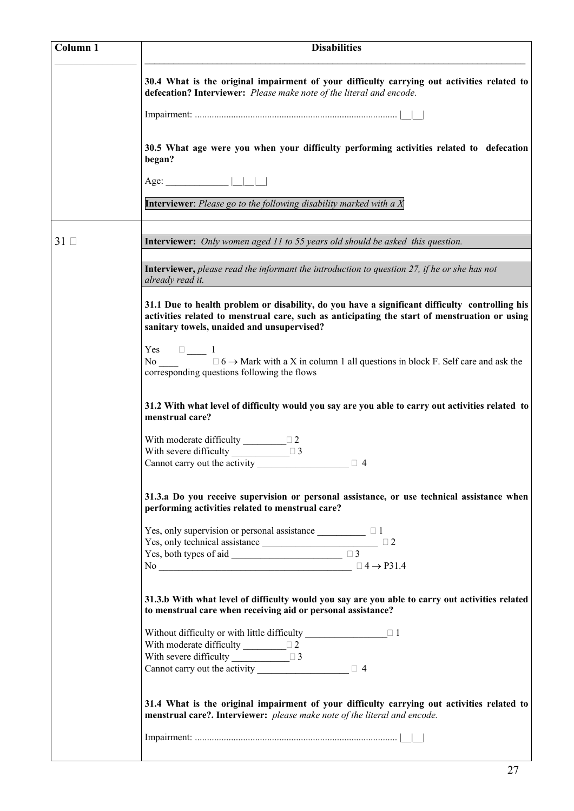| Column <sub>1</sub> | <b>Disabilities</b>                                                                                                                                                                                                                           |
|---------------------|-----------------------------------------------------------------------------------------------------------------------------------------------------------------------------------------------------------------------------------------------|
|                     | 30.4 What is the original impairment of your difficulty carrying out activities related to<br>defecation? Interviewer: Please make note of the literal and encode.                                                                            |
|                     |                                                                                                                                                                                                                                               |
|                     | 30.5 What age were you when your difficulty performing activities related to defecation<br>began?                                                                                                                                             |
|                     |                                                                                                                                                                                                                                               |
|                     | Interviewer: Please go to the following disability marked with a $X$                                                                                                                                                                          |
| $31$ $\Box$         | <b>Interviewer:</b> Only women aged 11 to 55 years old should be asked this question.                                                                                                                                                         |
|                     | <b>Interviewer,</b> please read the informant the introduction to question 27, if he or she has not<br>already read it.                                                                                                                       |
|                     | 31.1 Due to health problem or disability, do you have a significant difficulty controlling his<br>activities related to menstrual care, such as anticipating the start of menstruation or using<br>sanitary towels, unaided and unsupervised? |
|                     | Yes $\Box$ 1<br>No $\square$ 6 $\rightarrow$ Mark with a X in column 1 all questions in block F. Self care and ask the<br>corresponding questions following the flows                                                                         |
|                     | 31.2 With what level of difficulty would you say are you able to carry out activities related to<br>menstrual care?                                                                                                                           |
|                     | With moderate difficulty $\sqrt{2}$<br>With severe difficulty $\Box$ $\Box$<br>Cannot carry out the activity<br>$\Box$ 4                                                                                                                      |
|                     | 31.3.a Do you receive supervision or personal assistance, or use technical assistance when<br>performing activities related to menstrual care?                                                                                                |
|                     | Yes, only supervision or personal assistance $\Box$ $\Box$ $\Box$<br>Yes, only technical assistance $\Box$<br>Yes, both types of aid $\Box$<br>No $\qquad \qquad \Box 4 \rightarrow P31.4$                                                    |
|                     | 31.3.b With what level of difficulty would you say are you able to carry out activities related<br>to menstrual care when receiving aid or personal assistance?                                                                               |
|                     | Without difficulty or with little difficulty $\Box$<br>With moderate difficulty $\sqrt{2}$<br>With severe difficulty $\Box$ 3                                                                                                                 |
|                     | 31.4 What is the original impairment of your difficulty carrying out activities related to<br>menstrual care?. Interviewer: please make note of the literal and encode.                                                                       |
|                     |                                                                                                                                                                                                                                               |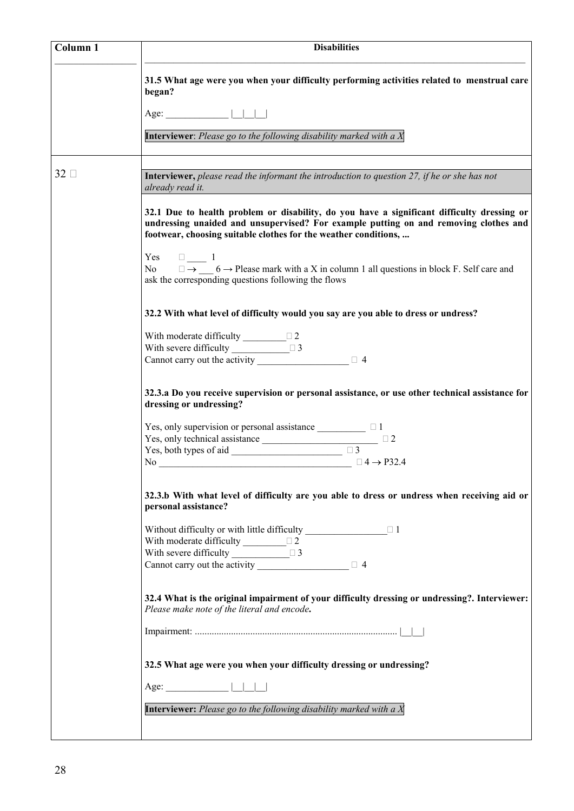| Column 1 | <b>Disabilities</b>                                                                                                                                                                                                                                   |
|----------|-------------------------------------------------------------------------------------------------------------------------------------------------------------------------------------------------------------------------------------------------------|
|          | 31.5 What age were you when your difficulty performing activities related to menstrual care<br>began?                                                                                                                                                 |
|          |                                                                                                                                                                                                                                                       |
|          | <b>Interviewer</b> : Please go to the following disability marked with a $X$                                                                                                                                                                          |
| $32\Box$ | Interviewer, please read the informant the introduction to question 27, if he or she has not<br>already read it.                                                                                                                                      |
|          | 32.1 Due to health problem or disability, do you have a significant difficulty dressing or<br>undressing unaided and unsupervised? For example putting on and removing clothes and<br>footwear, choosing suitable clothes for the weather conditions, |
|          | Yes $\Box$ 1<br>No $\Box \rightarrow$ 6 $\rightarrow$ Please mark with a X in column 1 all questions in block F. Self care and<br>ask the corresponding questions following the flows                                                                 |
|          | 32.2 With what level of difficulty would you say are you able to dress or undress?                                                                                                                                                                    |
|          | With moderate difficulty $\Box$ $\Box$ 2<br>With severe difficulty $\Box$ 3<br>Cannot carry out the activity $\qquad \qquad \square$ 4                                                                                                                |
|          | 32.3.a Do you receive supervision or personal assistance, or use other technical assistance for<br>dressing or undressing?                                                                                                                            |
|          | Yes, only supervision or personal assistance $\Box$ $\Box$ $\Box$<br>Yes, only technical assistance $\qquad \qquad \square$ 2<br>Yes, both types of aid $\qquad \qquad \square$                                                                       |
|          | No $\qquad \qquad \Box 4 \rightarrow P32.4$                                                                                                                                                                                                           |
|          | 32.3.b With what level of difficulty are you able to dress or undress when receiving aid or<br>personal assistance?                                                                                                                                   |
|          | Without difficulty or with little difficulty $\Box$<br>With moderate difficulty $\Box$ $\Box$ 2<br>With severe difficulty $\Box$<br>Cannot carry out the activity $\qquad \qquad \Box$ 4                                                              |
|          | 32.4 What is the original impairment of your difficulty dressing or undressing?. Interviewer:<br>Please make note of the literal and encode.                                                                                                          |
|          |                                                                                                                                                                                                                                                       |
|          | 32.5 What age were you when your difficulty dressing or undressing?                                                                                                                                                                                   |
|          |                                                                                                                                                                                                                                                       |
|          | <b>Interviewer:</b> Please go to the following disability marked with a $X$                                                                                                                                                                           |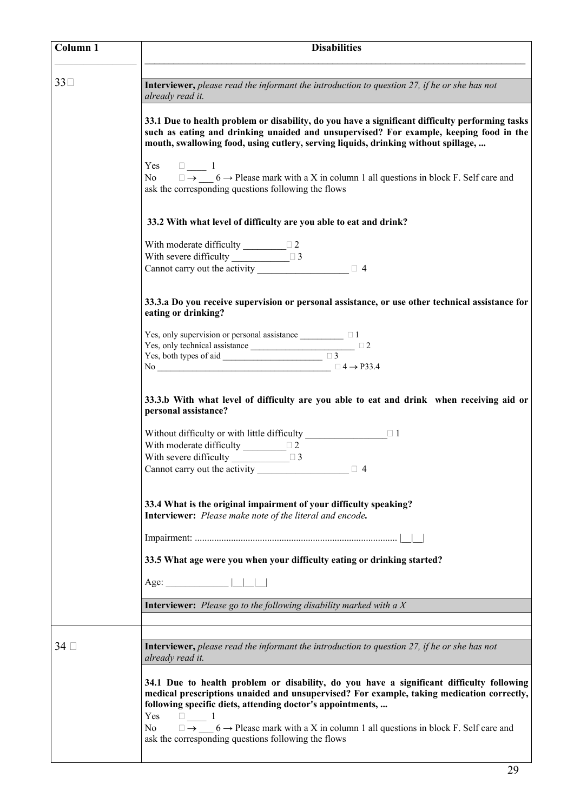| Column 1    | <b>Disabilities</b>                                                                                                                                                                                                                                                                                                                                                                                                                                 |
|-------------|-----------------------------------------------------------------------------------------------------------------------------------------------------------------------------------------------------------------------------------------------------------------------------------------------------------------------------------------------------------------------------------------------------------------------------------------------------|
| $33\square$ | <b>Interviewer</b> , please read the informant the introduction to question 27, if he or she has not<br>already read it.                                                                                                                                                                                                                                                                                                                            |
|             | 33.1 Due to health problem or disability, do you have a significant difficulty performing tasks<br>such as eating and drinking unaided and unsupervised? For example, keeping food in the<br>mouth, swallowing food, using cutlery, serving liquids, drinking without spillage,<br>Yes $\Box$ 1                                                                                                                                                     |
|             | No $\square \rightarrow$ 6 $\rightarrow$ Please mark with a X in column 1 all questions in block F. Self care and<br>ask the corresponding questions following the flows                                                                                                                                                                                                                                                                            |
|             | 33.2 With what level of difficulty are you able to eat and drink?                                                                                                                                                                                                                                                                                                                                                                                   |
|             | With moderate difficulty $\frac{\Box 2}{\Box 2}$<br>With severe difficulty $\Box$ 3<br>Cannot carry out the activity $\Box$ 4                                                                                                                                                                                                                                                                                                                       |
|             | 33.3.a Do you receive supervision or personal assistance, or use other technical assistance for<br>eating or drinking?                                                                                                                                                                                                                                                                                                                              |
|             | Yes, only supervision or personal assistance $\frac{1}{\sqrt{1-\frac{1}{n}}}\square$ 1<br>No $\qquad \qquad \Box$ $\Box$ $\Box$ $\rightarrow$ P33.4                                                                                                                                                                                                                                                                                                 |
|             | 33.3.b With what level of difficulty are you able to eat and drink when receiving aid or<br>personal assistance?                                                                                                                                                                                                                                                                                                                                    |
|             | Without difficulty or with little difficulty $\Box$<br>With moderate difficulty $\sqrt{2}$<br>With severe difficulty $\qquad \qquad \Box$ 3<br>Cannot carry out the activity<br>$\Box$ 4                                                                                                                                                                                                                                                            |
|             | 33.4 What is the original impairment of your difficulty speaking?<br>Interviewer: Please make note of the literal and encode.                                                                                                                                                                                                                                                                                                                       |
|             |                                                                                                                                                                                                                                                                                                                                                                                                                                                     |
|             | 33.5 What age were you when your difficulty eating or drinking started?                                                                                                                                                                                                                                                                                                                                                                             |
|             | <b>Interviewer:</b> Please go to the following disability marked with a $X$                                                                                                                                                                                                                                                                                                                                                                         |
|             |                                                                                                                                                                                                                                                                                                                                                                                                                                                     |
| $34\Box$    | <b>Interviewer</b> , please read the informant the introduction to question 27, if he or she has not<br>already read it.                                                                                                                                                                                                                                                                                                                            |
|             | 34.1 Due to health problem or disability, do you have a significant difficulty following<br>medical prescriptions unaided and unsupervised? For example, taking medication correctly,<br>following specific diets, attending doctor's appointments,<br>Yes<br>$\Box$ 1<br>$\Box \rightarrow$ 6 $\rightarrow$ Please mark with a X in column 1 all questions in block F. Self care and<br>No.<br>ask the corresponding questions following the flows |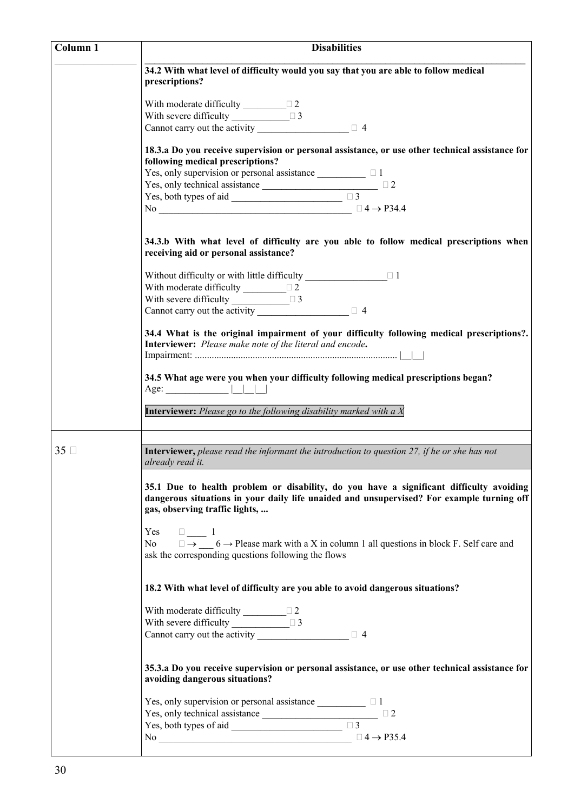| Column <sub>1</sub> | <b>Disabilities</b>                                                                                                                                                                                                    |
|---------------------|------------------------------------------------------------------------------------------------------------------------------------------------------------------------------------------------------------------------|
|                     | 34.2 With what level of difficulty would you say that you are able to follow medical<br>prescriptions?                                                                                                                 |
|                     | With moderate difficulty $\sqrt{2}$<br>With severe difficulty $\Box$ $\Box$ 3<br>Cannot carry out the activity $\qquad \qquad \square$ 4                                                                               |
|                     | 18.3.a Do you receive supervision or personal assistance, or use other technical assistance for<br>following medical prescriptions?                                                                                    |
|                     | Yes, only supervision or personal assistance $\Box$ $\Box$ 1<br>Yes, only technical assistance $\qquad \qquad \square$                                                                                                 |
|                     | Yes, both types of aid $\qquad \qquad \square$ 3<br>No $\qquad \qquad \Box 4 \rightarrow P34.4$                                                                                                                        |
|                     | 34.3.b With what level of difficulty are you able to follow medical prescriptions when<br>receiving aid or personal assistance?                                                                                        |
|                     | Without difficulty or with little difficulty $\Box$<br>With moderate difficulty $\sqrt{2}$<br>With severe difficulty $\Box$ 3<br>Cannot carry out the activity $\boxed{\phantom{2\,2\,3\,4\,}}$                        |
|                     | 34.4 What is the original impairment of your difficulty following medical prescriptions?.<br>Interviewer: Please make note of the literal and encode.                                                                  |
|                     | 34.5 What age were you when your difficulty following medical prescriptions began?                                                                                                                                     |
|                     | <b>Interviewer:</b> Please go to the following disability marked with a $X$                                                                                                                                            |
| $35 \Box$           | Interviewer, please read the informant the introduction to question 27, if he or she has not<br>already read it.                                                                                                       |
|                     | 35.1 Due to health problem or disability, do you have a significant difficulty avoiding<br>dangerous situations in your daily life unaided and unsupervised? For example turning off<br>gas, observing traffic lights, |
|                     | Yes $\Box$ 1<br>No $\Box \rightarrow$ 6 $\rightarrow$ Please mark with a X in column 1 all questions in block F. Self care and<br>ask the corresponding questions following the flows                                  |
|                     | 18.2 With what level of difficulty are you able to avoid dangerous situations?                                                                                                                                         |
|                     | With moderate difficulty $\frac{\Box 2}{\Box 2}$<br>With severe difficulty $\Box$ 3<br>Cannot carry out the activity $\qquad \qquad \square$ 4                                                                         |
|                     | 35.3.a Do you receive supervision or personal assistance, or use other technical assistance for<br>avoiding dangerous situations?                                                                                      |
|                     | Yes, only supervision or personal assistance $\Box$ $\Box$ 1<br>No $\qquad \qquad \Box 4 \rightarrow P35.4$                                                                                                            |
|                     |                                                                                                                                                                                                                        |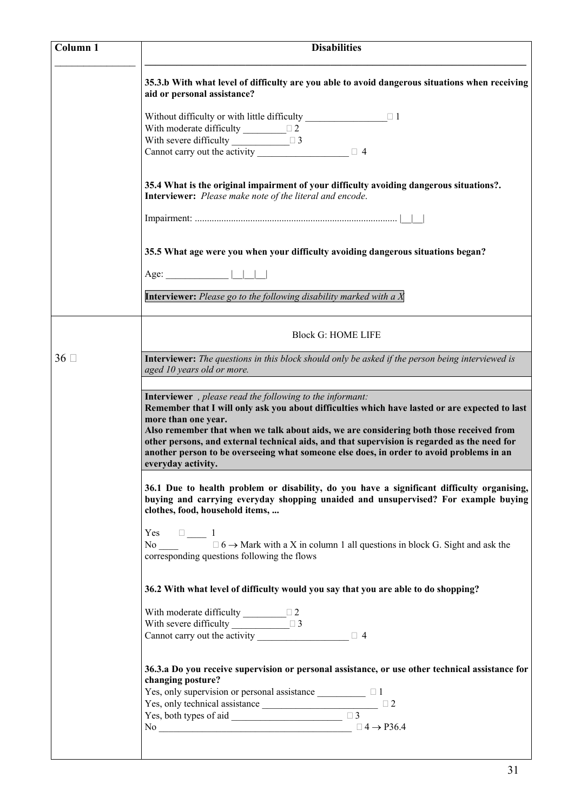| Column 1 | <b>Disabilities</b>                                                                                                                                                                                                                                                                                                                                                                                                                                                                                    |
|----------|--------------------------------------------------------------------------------------------------------------------------------------------------------------------------------------------------------------------------------------------------------------------------------------------------------------------------------------------------------------------------------------------------------------------------------------------------------------------------------------------------------|
|          | 35.3.b With what level of difficulty are you able to avoid dangerous situations when receiving<br>aid or personal assistance?                                                                                                                                                                                                                                                                                                                                                                          |
|          | Without difficulty or with little difficulty $\Box$ $\Box$                                                                                                                                                                                                                                                                                                                                                                                                                                             |
|          | With severe difficulty $\Box$ 3<br>Cannot carry out the activity $\qquad \qquad \square$ 4                                                                                                                                                                                                                                                                                                                                                                                                             |
|          | 35.4 What is the original impairment of your difficulty avoiding dangerous situations?.<br>Interviewer: Please make note of the literal and encode.                                                                                                                                                                                                                                                                                                                                                    |
|          |                                                                                                                                                                                                                                                                                                                                                                                                                                                                                                        |
|          | 35.5 What age were you when your difficulty avoiding dangerous situations began?                                                                                                                                                                                                                                                                                                                                                                                                                       |
|          | Age: $\qquad \qquad$                                                                                                                                                                                                                                                                                                                                                                                                                                                                                   |
|          | Interviewer: Please go to the following disability marked with a $X$                                                                                                                                                                                                                                                                                                                                                                                                                                   |
|          | <b>Block G: HOME LIFE</b>                                                                                                                                                                                                                                                                                                                                                                                                                                                                              |
| $36\Box$ | Interviewer: The questions in this block should only be asked if the person being interviewed is<br>aged 10 years old or more.                                                                                                                                                                                                                                                                                                                                                                         |
|          | <b>Interviewer</b> , please read the following to the informant:<br>Remember that I will only ask you about difficulties which have lasted or are expected to last<br>more than one year.<br>Also remember that when we talk about aids, we are considering both those received from<br>other persons, and external technical aids, and that supervision is regarded as the need for<br>another person to be overseeing what someone else does, in order to avoid problems in an<br>everyday activity. |
|          | 36.1 Due to health problem or disability, do you have a significant difficulty organising,<br>buying and carrying everyday shopping unaided and unsupervised? For example buying<br>clothes, food, household items,                                                                                                                                                                                                                                                                                    |
|          | Yes $\Box$ 1<br>No $\Box$ 6 $\rightarrow$ Mark with a X in column 1 all questions in block G. Sight and ask the<br>corresponding questions following the flows                                                                                                                                                                                                                                                                                                                                         |
|          | 36.2 With what level of difficulty would you say that you are able to do shopping?                                                                                                                                                                                                                                                                                                                                                                                                                     |
|          | With moderate difficulty $\sqrt{2}$<br>With severe difficulty $\Box$ $\Box$ 3<br>Cannot carry out the activity $\qquad \qquad \Box$ 4                                                                                                                                                                                                                                                                                                                                                                  |
|          | 36.3.a Do you receive supervision or personal assistance, or use other technical assistance for<br>changing posture?                                                                                                                                                                                                                                                                                                                                                                                   |
|          | Yes, only supervision or personal assistance $\Box$ $\Box$ 1<br>Yes, only technical assistance $\overline{\qquad \qquad }$ $\Box$ 2<br>Yes, both types of aid $\overline{\qquad \qquad }$                                                                                                                                                                                                                                                                                                              |
|          | No $\qquad \qquad \Box 4 \rightarrow P36.4$                                                                                                                                                                                                                                                                                                                                                                                                                                                            |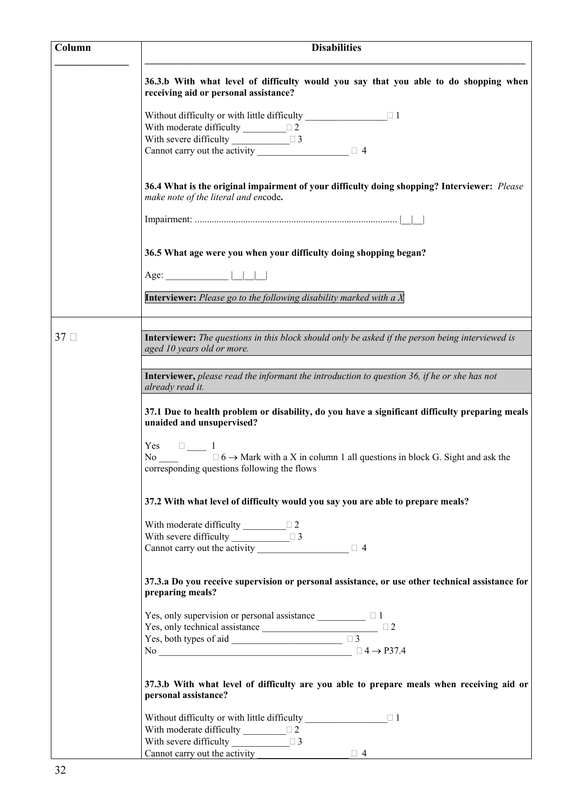| Column          | <b>Disabilities</b>                                                                                                                                                   |
|-----------------|-----------------------------------------------------------------------------------------------------------------------------------------------------------------------|
|                 | 36.3.b With what level of difficulty would you say that you able to do shopping when<br>receiving aid or personal assistance?                                         |
|                 | Without difficulty or with little difficulty $\Box$ $\Box$<br>With moderate difficulty $\sqrt{2}$                                                                     |
|                 | With severe difficulty $\qquad \qquad \Box$ 3<br>Cannot carry out the activity $\qquad \qquad \Box$ 4                                                                 |
|                 | 36.4 What is the original impairment of your difficulty doing shopping? Interviewer: Please<br>make note of the literal and encode.                                   |
|                 |                                                                                                                                                                       |
|                 | 36.5 What age were you when your difficulty doing shopping began?                                                                                                     |
|                 | Age:                                                                                                                                                                  |
|                 | <b>Interviewer:</b> Please go to the following disability marked with a $X$                                                                                           |
| 37 <sub>°</sub> | <b>Interviewer:</b> The questions in this block should only be asked if the person being interviewed is<br>aged 10 years old or more.                                 |
|                 | Interviewer, please read the informant the introduction to question 36, if he or she has not<br>already read it.                                                      |
|                 | 37.1 Due to health problem or disability, do you have a significant difficulty preparing meals<br>unaided and unsupervised?                                           |
|                 | Yes $\Box$ 1<br>No $\Box$ $\Box$ 6 $\rightarrow$ Mark with a X in column 1 all questions in block G. Sight and ask the<br>corresponding questions following the flows |
|                 | 37.2 With what level of difficulty would you say you are able to prepare meals?                                                                                       |
|                 | With moderate difficulty $\frac{\Box 2}{\Box 2}$<br>With severe difficulty $\Box$ 3<br>Cannot carry out the activity $\qquad \qquad \square$ 4                        |
|                 | 37.3.a Do you receive supervision or personal assistance, or use other technical assistance for<br>preparing meals?                                                   |
|                 | Yes, only supervision or personal assistance $\Box$ $\Box$ $\Box$<br>Yes, only technical assistance $\Box$<br>Yes both types of aid $\Box$                            |
|                 | No $\qquad \qquad \Box$ $\Box$ $\Box$ $\rightarrow$ P37.4                                                                                                             |
|                 | 37.3.b With what level of difficulty are you able to prepare meals when receiving aid or<br>personal assistance?                                                      |
|                 | Without difficulty or with little difficulty $\Box$<br>With moderate difficulty $\Box$                                                                                |
|                 | With severe difficulty $\Box$ $\Box$ 3<br>Cannot carry out the activity $\qquad \qquad \Box$ 4                                                                        |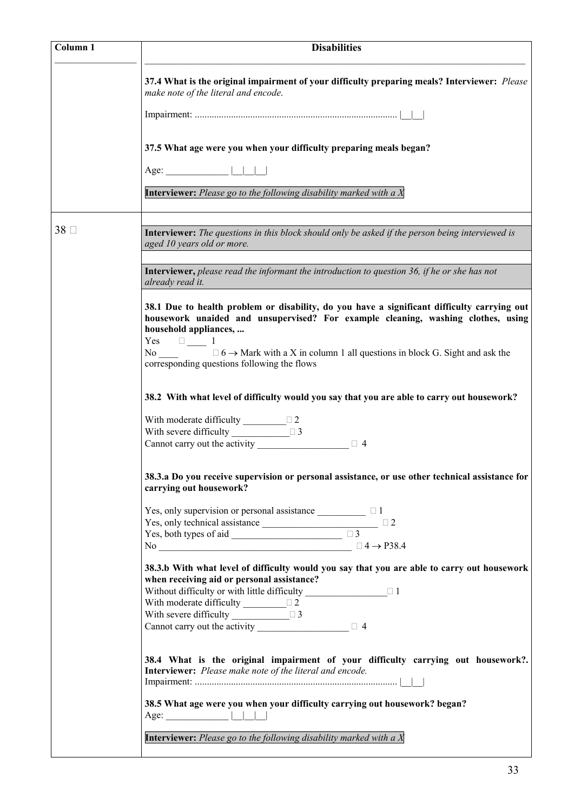| Column <sub>1</sub> | <b>Disabilities</b>                                                                                                                                                                                                                                                                                                                                                           |
|---------------------|-------------------------------------------------------------------------------------------------------------------------------------------------------------------------------------------------------------------------------------------------------------------------------------------------------------------------------------------------------------------------------|
|                     | 37.4 What is the original impairment of your difficulty preparing meals? Interviewer: Please<br>make note of the literal and encode.                                                                                                                                                                                                                                          |
|                     |                                                                                                                                                                                                                                                                                                                                                                               |
|                     | 37.5 What age were you when your difficulty preparing meals began?                                                                                                                                                                                                                                                                                                            |
|                     | Age: $\qquad \qquad$<br><b>Interviewer:</b> Please go to the following disability marked with a $X$                                                                                                                                                                                                                                                                           |
| $38\Box$            | <b>Interviewer:</b> The questions in this block should only be asked if the person being interviewed is<br>aged 10 years old or more.                                                                                                                                                                                                                                         |
|                     | <b>Interviewer</b> , please read the informant the introduction to question 36, if he or she has not<br>already read it.                                                                                                                                                                                                                                                      |
|                     | 38.1 Due to health problem or disability, do you have a significant difficulty carrying out<br>housework unaided and unsupervised? For example cleaning, washing clothes, using<br>household appliances,<br>$\Box$ 1<br>Yes<br>No $\Box$ 6 $\rightarrow$ Mark with a X in column 1 all questions in block G. Sight and ask the<br>corresponding questions following the flows |
|                     | 38.2 With what level of difficulty would you say that you are able to carry out housework?                                                                                                                                                                                                                                                                                    |
|                     | With moderate difficulty $\sqrt{2}$<br>Cannot carry out the activity<br>$\Box$ 4                                                                                                                                                                                                                                                                                              |
|                     | 38.3.a Do you receive supervision or personal assistance, or use other technical assistance for<br>carrying out housework?                                                                                                                                                                                                                                                    |
|                     | Yes, only supervision or personal assistance $\Box$ $\Box$<br>Yes, only technical assistance $\Box$<br>$\Box$ 3<br>No $\qquad \qquad \Box$ $\Box$ $\Box$ $\rightarrow$ P38.4                                                                                                                                                                                                  |
|                     | 38.3.b With what level of difficulty would you say that you are able to carry out housework<br>when receiving aid or personal assistance?<br>Without difficulty or with little difficulty $\Box$<br>With moderate difficulty $\Box$<br>With severe difficulty $\Box$ $\Box$                                                                                                   |
|                     | 38.4 What is the original impairment of your difficulty carrying out housework?.<br>Interviewer: Please make note of the literal and encode.                                                                                                                                                                                                                                  |
|                     | 38.5 What age were you when your difficulty carrying out housework? began?                                                                                                                                                                                                                                                                                                    |
|                     | Interviewer: Please go to the following disability marked with a $X$                                                                                                                                                                                                                                                                                                          |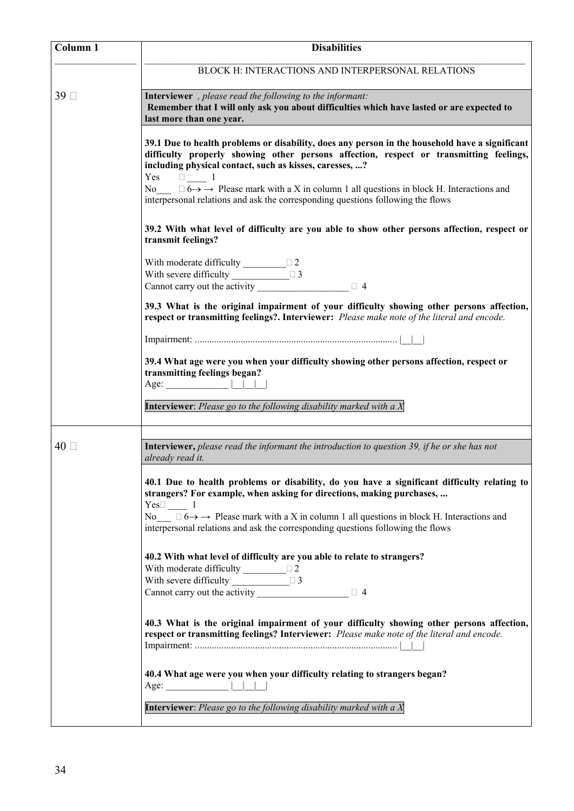| Column <sub>1</sub> | <b>Disabilities</b>                                                                                                                                                                                                                                                                                                                                                                                                                                                             |
|---------------------|---------------------------------------------------------------------------------------------------------------------------------------------------------------------------------------------------------------------------------------------------------------------------------------------------------------------------------------------------------------------------------------------------------------------------------------------------------------------------------|
|                     | BLOCK H: INTERACTIONS AND INTERPERSONAL RELATIONS                                                                                                                                                                                                                                                                                                                                                                                                                               |
| $39$ $\square$      | Interviewer, please read the following to the informant:<br>Remember that I will only ask you about difficulties which have lasted or are expected to<br>last more than one year.                                                                                                                                                                                                                                                                                               |
|                     | 39.1 Due to health problems or disability, does any person in the household have a significant<br>difficulty properly showing other persons affection, respect or transmitting feelings,<br>including physical contact, such as kisses, caresses, ?<br>Yes<br>$\square$ $\square$ 1<br>No $\Box$ 6 $\rightarrow$ Please mark with a X in column 1 all questions in block H. Interactions and<br>interpersonal relations and ask the corresponding questions following the flows |
|                     | 39.2 With what level of difficulty are you able to show other persons affection, respect or<br>transmit feelings?                                                                                                                                                                                                                                                                                                                                                               |
|                     | With moderate difficulty $\sqrt{2}$<br>With severe difficulty $\Box$ 3<br>Cannot carry out the activity $\Box$ 4                                                                                                                                                                                                                                                                                                                                                                |
|                     | 39.3 What is the original impairment of your difficulty showing other persons affection,<br>respect or transmitting feelings?. Interviewer: Please make note of the literal and encode.                                                                                                                                                                                                                                                                                         |
|                     |                                                                                                                                                                                                                                                                                                                                                                                                                                                                                 |
|                     | 39.4 What age were you when your difficulty showing other persons affection, respect or<br>transmitting feelings began?<br>Age: $\qquad$                                                                                                                                                                                                                                                                                                                                        |
|                     | Interviewer: Please go to the following disability marked with a X                                                                                                                                                                                                                                                                                                                                                                                                              |
| $40\ \Box$          | Interviewer, please read the informant the introduction to question 39, if he or she has not<br>already read it.                                                                                                                                                                                                                                                                                                                                                                |
|                     | 40.1 Due to health problems or disability, do you have a significant difficulty relating to<br>strangers? For example, when asking for directions, making purchases,<br>$Yes \square \_ 1$                                                                                                                                                                                                                                                                                      |
|                     | No $\Box$ 6 $\rightarrow$ $\rightarrow$ Please mark with a X in column 1 all questions in block H. Interactions and<br>interpersonal relations and ask the corresponding questions following the flows                                                                                                                                                                                                                                                                          |
|                     | 40.2 With what level of difficulty are you able to relate to strangers?<br>With moderate difficulty $\frac{1}{2}$<br>With severe difficulty<br>$\Box$ 3                                                                                                                                                                                                                                                                                                                         |
|                     | Cannot carry out the activity $\boxed{\square}$ 4                                                                                                                                                                                                                                                                                                                                                                                                                               |
|                     | 40.3 What is the original impairment of your difficulty showing other persons affection,<br>respect or transmitting feelings? Interviewer: Please make note of the literal and encode.                                                                                                                                                                                                                                                                                          |
|                     | 40.4 What age were you when your difficulty relating to strangers began?                                                                                                                                                                                                                                                                                                                                                                                                        |
|                     | Interviewer: Please go to the following disability marked with a $X$                                                                                                                                                                                                                                                                                                                                                                                                            |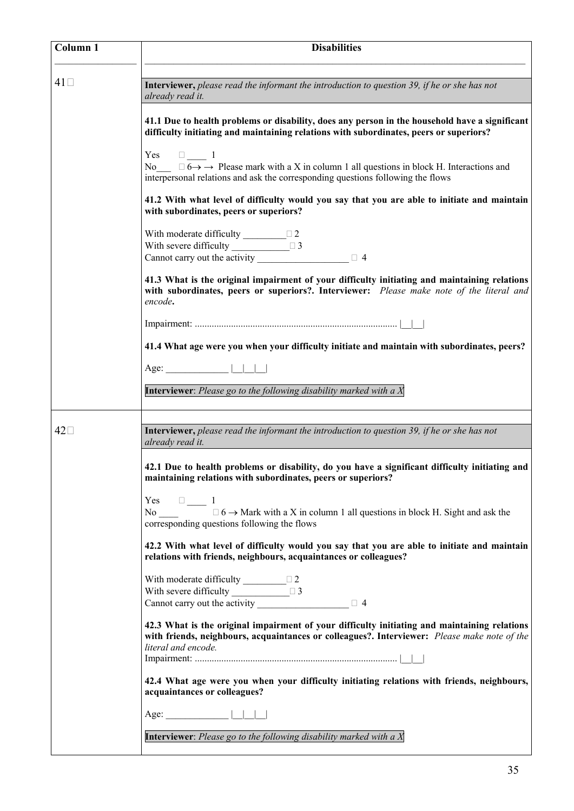| Column 1    | <b>Disabilities</b>                                                                                                                                                                                                 |
|-------------|---------------------------------------------------------------------------------------------------------------------------------------------------------------------------------------------------------------------|
| $41\square$ | Interviewer, please read the informant the introduction to question 39, if he or she has not<br>already read it.                                                                                                    |
|             | 41.1 Due to health problems or disability, does any person in the household have a significant<br>difficulty initiating and maintaining relations with subordinates, peers or superiors?                            |
|             | Yes $\Box$ 1<br>No $\Box$ 6 $\rightarrow$ Please mark with a X in column 1 all questions in block H. Interactions and<br>interpersonal relations and ask the corresponding questions following the flows            |
|             | 41.2 With what level of difficulty would you say that you are able to initiate and maintain<br>with subordinates, peers or superiors?                                                                               |
|             | With moderate difficulty $\sqrt{2}$<br>With severe difficulty $\Box$ $\Box$ 3<br>Cannot carry out the activity $\Box$ 4                                                                                             |
|             | 41.3 What is the original impairment of your difficulty initiating and maintaining relations<br>with subordinates, peers or superiors?. Interviewer: Please make note of the literal and<br>encode.                 |
|             |                                                                                                                                                                                                                     |
|             | 41.4 What age were you when your difficulty initiate and maintain with subordinates, peers?<br>Age: $\vert \vert \vert \vert \vert$                                                                                 |
|             | <b>Interviewer</b> : Please go to the following disability marked with a $X$                                                                                                                                        |
| $42\square$ | Interviewer, please read the informant the introduction to question 39, if he or she has not<br>already read it.                                                                                                    |
|             | 42.1 Due to health problems or disability, do you have a significant difficulty initiating and<br>maintaining relations with subordinates, peers or superiors?                                                      |
|             | Yes $\Box$ 1<br>No $\Box$ 6 $\rightarrow$ Mark with a X in column 1 all questions in block H. Sight and ask the<br>corresponding questions following the flows                                                      |
|             | 42.2 With what level of difficulty would you say that you are able to initiate and maintain<br>relations with friends, neighbours, acquaintances or colleagues?                                                     |
|             | With moderate difficulty $\frac{\Box 2}{\Box 2}$<br>With severe difficulty $\qquad \qquad \Box$ 3<br>Cannot carry out the activity $\Box$ 4                                                                         |
|             | 42.3 What is the original impairment of your difficulty initiating and maintaining relations<br>with friends, neighbours, acquaintances or colleagues?. Interviewer: Please make note of the<br>literal and encode. |
|             | 42.4 What age were you when your difficulty initiating relations with friends, neighbours,<br>acquaintances or colleagues?                                                                                          |
|             |                                                                                                                                                                                                                     |
|             | Interviewer: Please go to the following disability marked with a $X$                                                                                                                                                |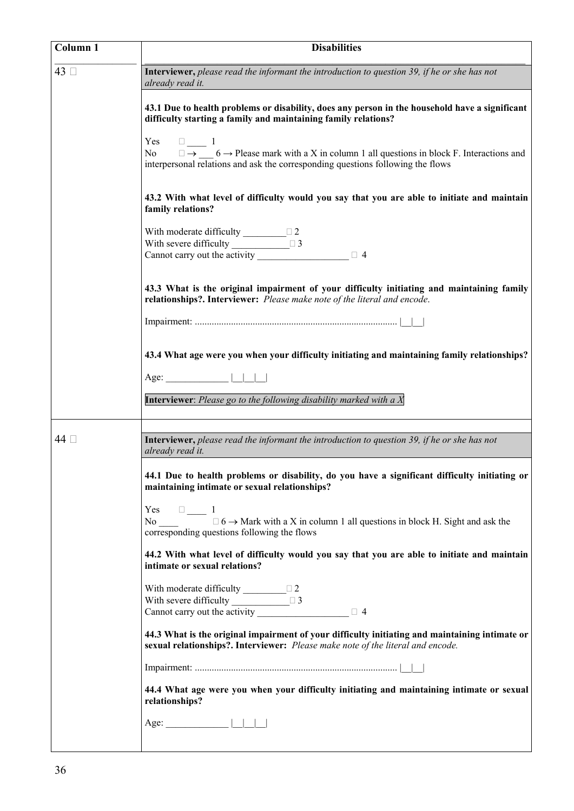| Column 1     | <b>Disabilities</b>                                                                                                                                                                                                  |
|--------------|----------------------------------------------------------------------------------------------------------------------------------------------------------------------------------------------------------------------|
| 43 □         | Interviewer, please read the informant the introduction to question 39, if he or she has not<br>already read it.                                                                                                     |
|              | 43.1 Due to health problems or disability, does any person in the household have a significant<br>difficulty starting a family and maintaining family relations?                                                     |
|              | Yes $\Box$ 1<br>No $\Box \rightarrow$ 6 $\rightarrow$ Please mark with a X in column 1 all questions in block F. Interactions and<br>interpersonal relations and ask the corresponding questions following the flows |
|              | 43.2 With what level of difficulty would you say that you are able to initiate and maintain<br>family relations?                                                                                                     |
|              | With moderate difficulty $\Box$ $\Box$ 2<br>With severe difficulty $\Box$ $\Box$ 3                                                                                                                                   |
|              | Cannot carry out the activity $\qquad \qquad \square$ 4                                                                                                                                                              |
|              | 43.3 What is the original impairment of your difficulty initiating and maintaining family<br>relationships?. Interviewer: Please make note of the literal and encode.                                                |
|              |                                                                                                                                                                                                                      |
|              | 43.4 What age were you when your difficulty initiating and maintaining family relationships?                                                                                                                         |
|              | Age: $\qquad \qquad$                                                                                                                                                                                                 |
|              | Interviewer: Please go to the following disability marked with a $X$                                                                                                                                                 |
| 44 $\square$ | Interviewer, please read the informant the introduction to question 39, if he or she has not<br>already read it.                                                                                                     |
|              | 44.1 Due to health problems or disability, do you have a significant difficulty initiating or<br>maintaining intimate or sexual relationships?                                                                       |
|              | Yes $\Box$ 1<br>$\Box$ 6 $\rightarrow$ Mark with a X in column 1 all questions in block H. Sight and ask the<br>corresponding questions following the flows                                                          |
|              | 44.2 With what level of difficulty would you say that you are able to initiate and maintain<br>intimate or sexual relations?                                                                                         |
|              | With moderate difficulty $\Box$<br>With severe difficulty $\Box$ $\Box$ 3                                                                                                                                            |
|              | 44.3 What is the original impairment of your difficulty initiating and maintaining intimate or<br>sexual relationships?. Interviewer: Please make note of the literal and encode.                                    |
|              |                                                                                                                                                                                                                      |
|              | 44.4 What age were you when your difficulty initiating and maintaining intimate or sexual<br>relationships?                                                                                                          |
|              |                                                                                                                                                                                                                      |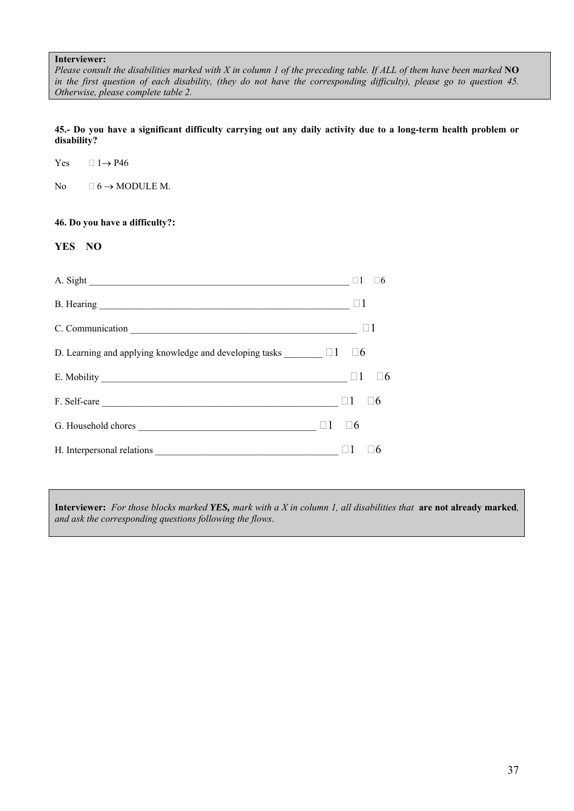## **Interviewer:**

*Please consult the disabilities marked with X in column 1 of the preceding table. If ALL of them have been marked* **NO**  in the first question of each disability, (they do not have the corresponding difficulty), please go to question 45. *Otherwise, please complete table 2.*

**45.- Do you have a significant difficulty carrying out any daily activity due to a long-term health problem or disability?** 

Yes  $\Box$  1→ P46

No  $\Box 6 \rightarrow \text{MODULE M}.$ 

## **46. Do you have a difficulty?:**

## **YES NO**

|                                   | $\Box$ 1                                           | 16          |
|-----------------------------------|----------------------------------------------------|-------------|
|                                   | $\sqcup\hspace{-.15cm}\sqcup\hspace{-.15cm}\sqcup$ |             |
| $C.$ Communication $\Box$         |                                                    |             |
|                                   |                                                    |             |
|                                   |                                                    | $\square 6$ |
| F. Self-care $\qquad \qquad \Box$ |                                                    |             |
| G. Household chores $\Box$        |                                                    |             |
|                                   |                                                    | 6           |

**Interviewer:** *For those blocks marked YES, mark with a X in column 1, all disabilities that* **are not already marked***, and ask the corresponding questions following the flows*.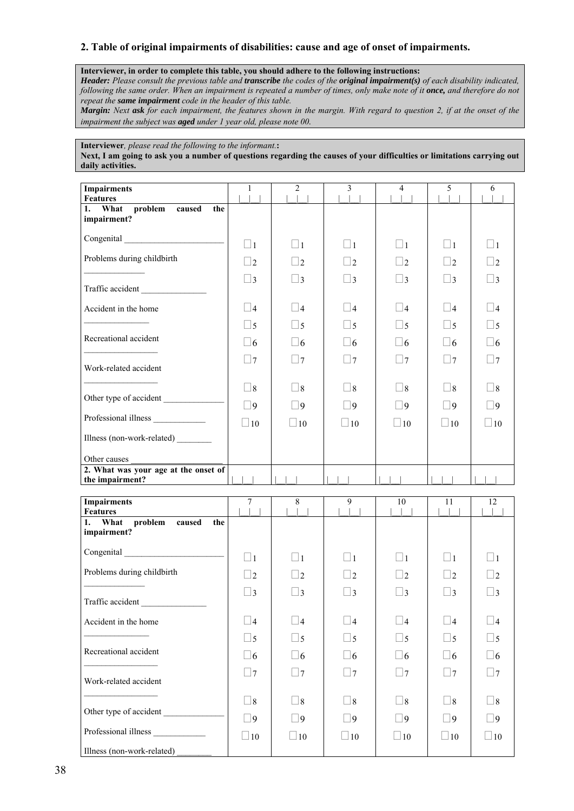## **2. Table of original impairments of disabilities: cause and age of onset of impairments.**

## **Interviewer, in order to complete this table, you should adhere to the following instructions:**

*Header: Please consult the previous table and transcribe the codes of the original impairment(s) of each disability indicated, following the same order. When an impairment is repeated a number of times, only make note of it once, and therefore do not repeat the same impairment code in the header of this table.* 

*Margin: Next ask for each impairment, the features shown in the margin. With regard to question 2, if at the onset of the impairment the subject was aged under 1 year old, please note 00.* 

#### **Interviewer***, please read the following to the informant.***:**

**Next, I am going to ask you a number of questions regarding the causes of your difficulties or limitations carrying out daily activities.** 

| <b>Impairments</b><br><b>Features</b>                   | 1               | $\overline{2}$ | $\overline{3}$  | $\overline{4}$ | 5           | 6           |
|---------------------------------------------------------|-----------------|----------------|-----------------|----------------|-------------|-------------|
| problem<br>caused<br>1. What<br>the<br>impairment?      |                 |                |                 |                |             |             |
|                                                         | $\Box$ 1        | $\Box$ 1       | $\Box$ 1        | $\Box$ 1       | $\Box$ 1    | $\square_1$ |
| Problems during childbirth                              | $\Box$ 2        | $\Box$ 2       | $\Box$ 2        | $\Box$ 2       | $\Box$ 2    | $\square$ 2 |
|                                                         | $\square$ 3     | $\square$ 3    | $\square$ 3     | $\square$ 3    | $\square$ 3 | $\square$ 3 |
| Accident in the home                                    | $\Box$ 4        | $\Box$ 4       | $\Box$ 4        | $\Box$ 4       | $\Box$ 4    | $\square$ 4 |
|                                                         | $\Box$ 5        | $\Box$ 5       | $\square$ 5     | $\square$ 5    | $\Box$ 5    | $\square$ 5 |
| Recreational accident                                   | $\square$ 6     | $\square$ 6    | $\square$ 6     | $\square$ 6    | $\square$ 6 | $\square$ 6 |
| Work-related accident                                   | $\Box$ 7        | $\Box$ 7       | $\Box$ 7        | $\Box$ 7       | $\Box$ 7    | $\Box$ 7    |
|                                                         | $\Box$ 8        | $\square$      | $\Box$ 8        | $\square$      | $\square$   | $\square$ 8 |
| Other type of accident                                  | $\Box$ 9        | $\Box$ 9       | $\Box$ 9        | $\square$ 9    | $\square$   | $\square$ 9 |
|                                                         | $\Box$ 10       | $\Box$ 10      | $\Box$ 10       | $\Box$ 10      | $\Box$ 10   | $\Box$ 10   |
| Illness (non-work-related)                              |                 |                |                 |                |             |             |
| Other causes                                            |                 |                |                 |                |             |             |
|                                                         |                 |                |                 |                |             |             |
| 2. What was your age at the onset of<br>the impairment? |                 |                |                 |                |             |             |
|                                                         | $7\overline{ }$ | 8              | 9               | 10             | 11          | 12          |
| <b>Impairments</b><br><b>Features</b>                   |                 |                |                 |                |             |             |
| 1. What problem<br>caused<br>the<br>impairment?         |                 |                |                 |                |             |             |
|                                                         | $\Box$ 1        | $\Box$ 1       | $\sqcup$ 1      | $\Box$ 1       | $\Box$ 1    | $\square_1$ |
| Problems during childbirth                              | $\Box$ 2        | $\Box$ 2       | $\vert \vert_2$ | $\Box$ 2       | $\Box$ 2    | $\Box$ 2    |
| Traffic accident                                        | $\square$ 3     | $\square$ 3    | $\Box$ 3        | $\Box$ 3       | $\square$ 3 | $\Box$ 3    |
| Accident in the home                                    | $\square$ 4     | $\square$ 4    | $\Box$ 4        | $\Box$ 4       | $\square$ 4 | $\Box$ 4    |
|                                                         | $\square$ 5     | $\Box$ 5       | $\square$ 5     | $\Box$ 5       | $\Box$ 5    | $\square$ 5 |
| Recreational accident                                   | $\Box$ 6        | $\square$ 6    | $\Box$ 6        | $\square$ 6    | $\Box$ 6    | $\square$ 6 |
| Work-related accident                                   | $\Box$ 7        | $\Box$ 7       | $\Box$ 7        | $\Box$ 7       | $\Box$ 7    | $\Box$ 7    |
|                                                         | $\square$       | $\square$      | $\square$       | $\square$      | $\square$   | $\square$ 8 |
| Other type of accident                                  | $\square$ 9     | $\square$ 9    | $\Box$ 9        | $\square$ 9    | $\square$ 9 | $\square$ 9 |
| Professional illness                                    | $\square$ 10    | $\Box$ 10      | $\Box$ 10       | $\Box$ 10      | $\Box$ 10   | $\Box$ 10   |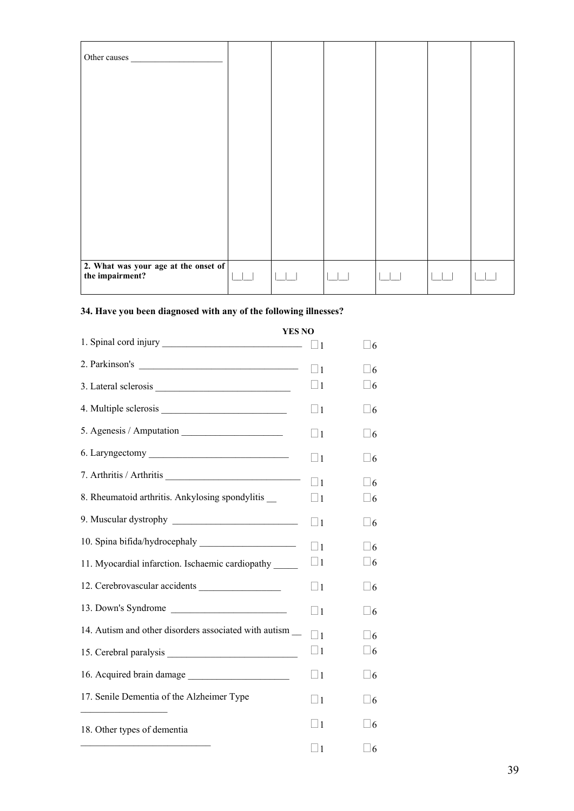| Other causes                         |  |  |  |
|--------------------------------------|--|--|--|
|                                      |  |  |  |
|                                      |  |  |  |
|                                      |  |  |  |
|                                      |  |  |  |
|                                      |  |  |  |
|                                      |  |  |  |
|                                      |  |  |  |
| 2. What was your age at the onset of |  |  |  |
| the impairment?                      |  |  |  |

## **34. Have you been diagnosed with any of the following illnesses?**

| YES NO                                                 |                |            |
|--------------------------------------------------------|----------------|------------|
|                                                        | $\mathbf{1}$   | ∃6         |
| 2. Parkinson's                                         | $\vert$ 1      | $\sqrt{6}$ |
| 3. Lateral sclerosis                                   | $\sqcup$ 1     | $\Box 6$   |
|                                                        | $\sqcup$ 1     | $\Box 6$   |
|                                                        | $\Box$ 1       | $\sqcup 6$ |
| 6. Laryngectomy                                        | $\blacksquare$ | 16         |
| 7. Arthritis / Arthritis                               | $\vert$ 1      | 16         |
| 8. Rheumatoid arthritis. Ankylosing spondylitis        | $\Box$ 1       | $\sqcup 6$ |
|                                                        | $\vert$ 1      | $\vert$ 6  |
|                                                        | $\square$ 1    | $\vert$ 6  |
| 11. Myocardial infarction. Ischaemic cardiopathy _____ | $\sqcup$ 1     | $\sqcup 6$ |
| 12. Cerebrovascular accidents                          | $\sqcup$ 1     | $\sqcup 6$ |
| 13. Down's Syndrome                                    | $\Box$ 1       | $\sqcup 6$ |
| 14. Autism and other disorders associated with autism  | $\Box$ 1       | $\sqcup 6$ |
|                                                        | $\sqcup 1$     | $\Box 6$   |
|                                                        | $\blacksquare$ | $\Box 6$   |
| 17. Senile Dementia of the Alzheimer Type              | $\vert$ 1      | $\vert$ 6  |
| 18. Other types of dementia                            | $\blacksquare$ | $\vert$ 16 |
|                                                        | $\Box$ 1       | $\Box 6$   |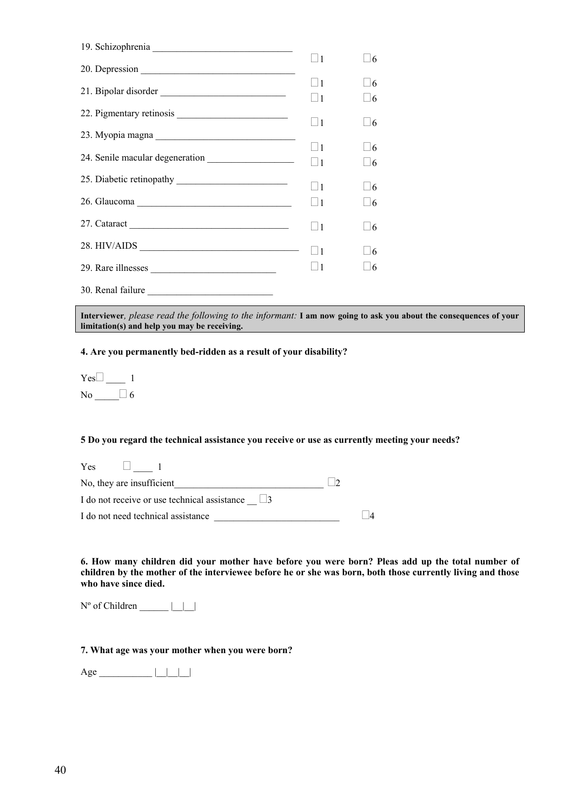|                                                                                                                                                                   | $\Box$ 1             | $\Box$ 6                                                                                                              |
|-------------------------------------------------------------------------------------------------------------------------------------------------------------------|----------------------|-----------------------------------------------------------------------------------------------------------------------|
| 21. Bipolar disorder                                                                                                                                              | $\Box$ 1             | $\Box$ 6                                                                                                              |
|                                                                                                                                                                   | $\Box$ 1             | $\Box$ 6                                                                                                              |
|                                                                                                                                                                   | $\square$ 1          | $\Box$ 6                                                                                                              |
|                                                                                                                                                                   | $\square$ 1          |                                                                                                                       |
| 24. Senile macular degeneration                                                                                                                                   | $\Box$ 1             | $\Box$ 6<br>$\Box$ 6                                                                                                  |
| 25. Diabetic retinopathy                                                                                                                                          |                      |                                                                                                                       |
|                                                                                                                                                                   | $\Box$ 1<br>$\Box$ 1 | $\Box$ 6<br>$\Box$ 6                                                                                                  |
|                                                                                                                                                                   |                      |                                                                                                                       |
|                                                                                                                                                                   | $\Box$ 1             | $\Box$ 6                                                                                                              |
| 28. HIV/AIDS                                                                                                                                                      | $\Box$ 1             | $\Box$ 6                                                                                                              |
|                                                                                                                                                                   | $\Box$ 1             | $\Box$ 6                                                                                                              |
| 30. Renal failure                                                                                                                                                 |                      |                                                                                                                       |
| Interviewer, please read the following to the informant: I am now going to ask you about the consequences of your<br>limitation(s) and help you may be receiving. |                      | <u> 1989 - Andrea Station Barbara, amerikan personal di sebagai personal di sebagai personal di sebagai personal </u> |
| 4. Are you permanently bed-ridden as a result of your disability?                                                                                                 |                      |                                                                                                                       |
| $Yes \Box$ 1                                                                                                                                                      |                      |                                                                                                                       |
| No $\Box$ 6                                                                                                                                                       |                      |                                                                                                                       |
|                                                                                                                                                                   |                      |                                                                                                                       |
| 5 Do you regard the technical assistance you receive or use as currently meeting your needs?                                                                      |                      |                                                                                                                       |
| $\Box$ 1<br>Yes                                                                                                                                                   |                      |                                                                                                                       |
| No, they are insufficient                                                                                                                                         | $\square$ 2          |                                                                                                                       |

| I do not receive or use technical assistance $\Box$ 3 |        |
|-------------------------------------------------------|--------|
| I do not need technical assistance                    | $\Box$ |

**6. How many children did your mother have before you were born? Pleas add up the total number of children by the mother of the interviewee before he or she was born, both those currently living and those who have since died.** 

N° of Children | | |

**7. What age was your mother when you were born?** 

 $Age \_$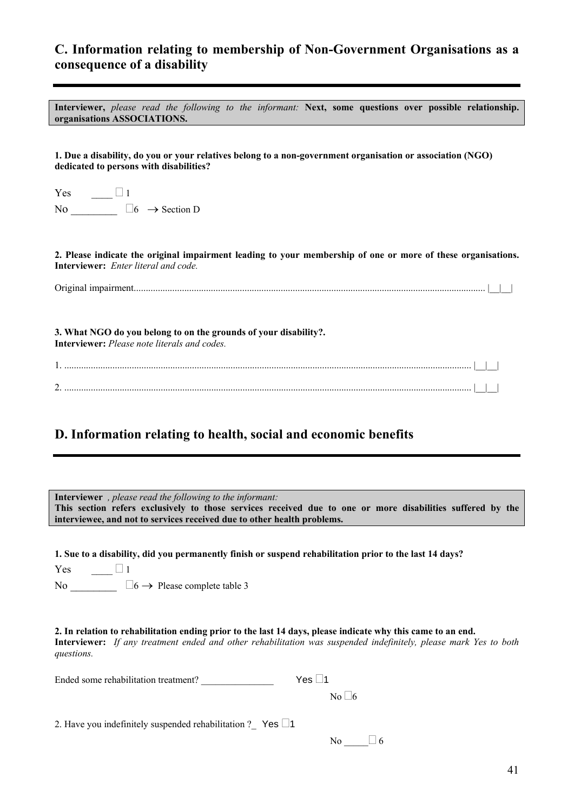# **C. Information relating to membership of Non-Government Organisations as a consequence of a disability**

| Interviewer, please read the following to the informant: Next, some questions over possible relationship.<br>organisations ASSOCIATIONS.                    |
|-------------------------------------------------------------------------------------------------------------------------------------------------------------|
|                                                                                                                                                             |
| 1. Due a disability, do you or your relatives belong to a non-government organisation or association (NGO)<br>dedicated to persons with disabilities?       |
| Yes $\Box$ 1                                                                                                                                                |
| No $\qquad \qquad \Box 6 \rightarrow$ Section D                                                                                                             |
|                                                                                                                                                             |
| 2. Please indicate the original impairment leading to your membership of one or more of these organisations.<br><b>Interviewer:</b> Enter literal and code. |
|                                                                                                                                                             |
|                                                                                                                                                             |
| 3. What NGO do you belong to on the grounds of your disability?.<br><b>Interviewer:</b> Please note literals and codes.                                     |
|                                                                                                                                                             |
|                                                                                                                                                             |
|                                                                                                                                                             |
| D. Information relating to health, social and economic benefits                                                                                             |

**Interviewer** *, please read the following to the informant:*  **This section refers exclusively to those services received due to one or more disabilities suffered by the interviewee, and not to services received due to other health problems.**

**1. Sue to a disability, did you permanently finish or suspend rehabilitation prior to the last 14 days?** 

| Yes            | $\Box$ 1                                     |
|----------------|----------------------------------------------|
| N <sub>0</sub> | $\Box 6 \rightarrow$ Please complete table 3 |

**2. In relation to rehabilitation ending prior to the last 14 days, please indicate why this came to an end. Interviewer:** *If any treatment ended and other rehabilitation was suspended indefinitely, please mark Yes to both questions.* 

Ended some rehabilitation treatment?  $\blacksquare$  Yes  $\blacksquare$  1

 $N$ <sup>0</sup>  $\Box$ 6

2. Have you indefinitely suspended rehabilitation ? Yes  $\Box$ 1

No  $\Box$  6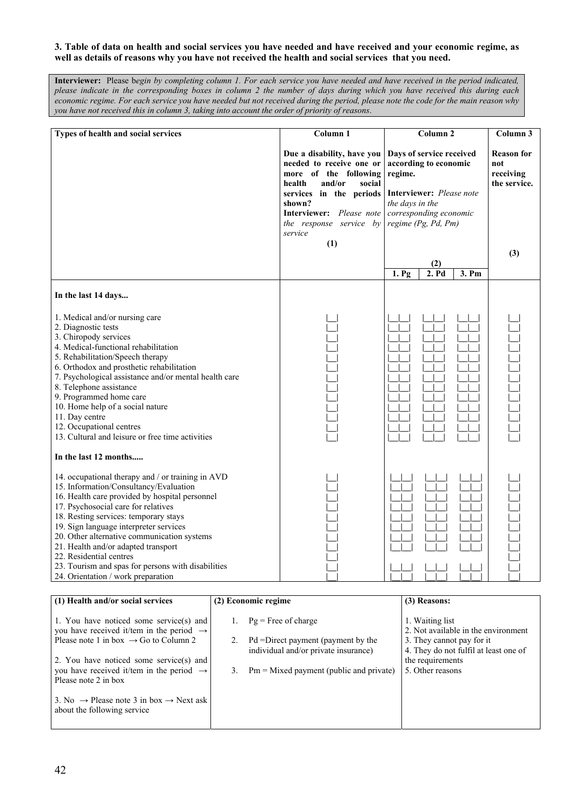## **3. Table of data on health and social services you have needed and have received and your economic regime, as well as details of reasons why you have not received the health and social services that you need.**

**Interviewer:** Please b*egin by completing column 1. For each service you have needed and have received in the period indicated, please indicate in the corresponding boxes in column 2 the number of days during which you have received this during each economic regime. For each service you have needed but not received during the period, please note the code for the main reason why you have not received this in column 3, taking into account the order of priority of reasons*.

| Types of health and social services                                                                                                                                                                                                                                                                                                                                                                                                                                                  |                     | Column 1                                                                                                                                                                                                             |                            | Column <sub>2</sub>                                                                                                            |                                                       | Column 3                                                                     |
|--------------------------------------------------------------------------------------------------------------------------------------------------------------------------------------------------------------------------------------------------------------------------------------------------------------------------------------------------------------------------------------------------------------------------------------------------------------------------------------|---------------------|----------------------------------------------------------------------------------------------------------------------------------------------------------------------------------------------------------------------|----------------------------|--------------------------------------------------------------------------------------------------------------------------------|-------------------------------------------------------|------------------------------------------------------------------------------|
|                                                                                                                                                                                                                                                                                                                                                                                                                                                                                      |                     | Due a disability, have you<br>needed to receive one or<br>more of the following<br>health<br>and/or<br>social<br>services in the periods<br>shown?<br>Interviewer: Please note<br>the response service by<br>service | regime.<br>the days in the | Days of service received<br>according to economic<br>Interviewer: Please note<br>corresponding economic<br>regime (Pg, Pd, Pm) | <b>Reason</b> for<br>not<br>receiving<br>the service. |                                                                              |
|                                                                                                                                                                                                                                                                                                                                                                                                                                                                                      |                     | (1)                                                                                                                                                                                                                  |                            |                                                                                                                                |                                                       | (3)                                                                          |
|                                                                                                                                                                                                                                                                                                                                                                                                                                                                                      |                     |                                                                                                                                                                                                                      |                            | (2)                                                                                                                            |                                                       |                                                                              |
|                                                                                                                                                                                                                                                                                                                                                                                                                                                                                      |                     |                                                                                                                                                                                                                      | 1. <sub>Pg</sub>           | 2. Pd                                                                                                                          | 3. Pm                                                 |                                                                              |
| In the last 14 days                                                                                                                                                                                                                                                                                                                                                                                                                                                                  |                     |                                                                                                                                                                                                                      |                            |                                                                                                                                |                                                       |                                                                              |
| 1. Medical and/or nursing care<br>2. Diagnostic tests<br>3. Chiropody services<br>4. Medical-functional rehabilitation<br>5. Rehabilitation/Speech therapy<br>6. Orthodox and prosthetic rehabilitation<br>7. Psychological assistance and/or mental health care<br>8. Telephone assistance                                                                                                                                                                                          |                     |                                                                                                                                                                                                                      |                            |                                                                                                                                |                                                       |                                                                              |
| 9. Programmed home care<br>10. Home help of a social nature<br>11. Day centre<br>12. Occupational centres<br>13. Cultural and leisure or free time activities                                                                                                                                                                                                                                                                                                                        |                     |                                                                                                                                                                                                                      |                            |                                                                                                                                |                                                       |                                                                              |
| In the last 12 months                                                                                                                                                                                                                                                                                                                                                                                                                                                                |                     |                                                                                                                                                                                                                      |                            |                                                                                                                                |                                                       |                                                                              |
| 14. occupational therapy and / or training in AVD<br>15. Information/Consultancy/Evaluation<br>16. Health care provided by hospital personnel<br>17. Psychosocial care for relatives<br>18. Resting services: temporary stays<br>19. Sign language interpreter services<br>20. Other alternative communication systems<br>21. Health and/or adapted transport<br>22. Residential centres<br>23. Tourism and spas for persons with disabilities<br>24. Orientation / work preparation |                     |                                                                                                                                                                                                                      |                            |                                                                                                                                |                                                       |                                                                              |
| (1) Health and/or social services                                                                                                                                                                                                                                                                                                                                                                                                                                                    | (2) Economic regime |                                                                                                                                                                                                                      |                            | (3) Reasons:                                                                                                                   |                                                       |                                                                              |
| 1. You have noticed some service(s) and<br>you have received it/tem in the period $\rightarrow$<br>Please note 1 in box $\rightarrow$ Go to Column 2<br>2. You have noticed some service(s) and                                                                                                                                                                                                                                                                                      | 1.<br>2.            | $Pg = Free of charge$<br>Pd = Direct payment (payment by the<br>individual and/or private insurance)                                                                                                                 |                            | 1. Waiting list<br>3. They cannot pay for it<br>the requirements                                                               |                                                       | 2. Not available in the environment<br>4. They do not fulfil at least one of |

3. Pm = Mixed payment (public and private)

5. Other reasons

3. No  $\rightarrow$  Please note 3 in box  $\rightarrow$  Next ask about the following service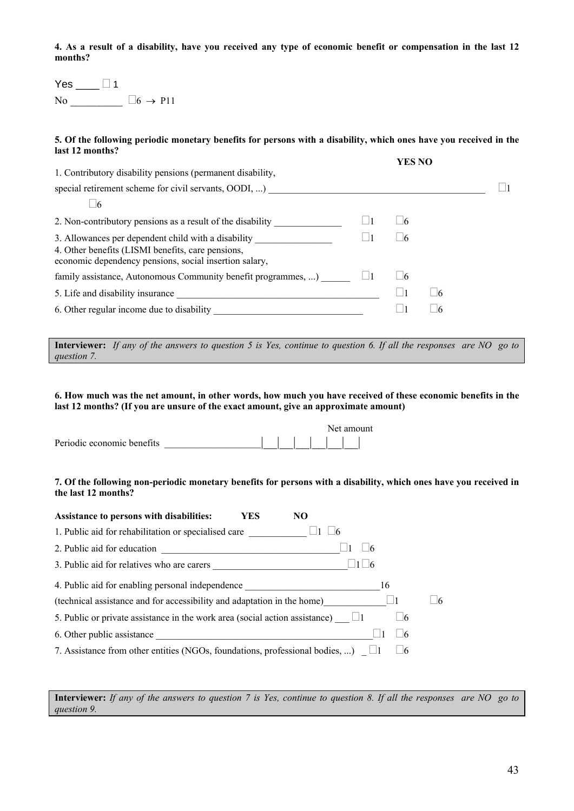**4. As a result of a disability, have you received any type of economic benefit or compensation in the last 12 months?** 

Yes  $\_\_\_\_\$  1 No  $\qquad \qquad \Box 6 \rightarrow P11$ 

## **5. Of the following periodic monetary benefits for persons with a disability, which ones have you received in the last 12 months?**

|                                                                                                                                                                    |        | <b>YES NO</b> |   |  |
|--------------------------------------------------------------------------------------------------------------------------------------------------------------------|--------|---------------|---|--|
| 1. Contributory disability pensions (permanent disability,                                                                                                         |        |               |   |  |
| special retirement scheme for civil servants, OODI, )                                                                                                              |        |               |   |  |
| - 16                                                                                                                                                               |        |               |   |  |
| 2. Non-contributory pensions as a result of the disability                                                                                                         | l 11   | $\vert$ 6     |   |  |
| 3. Allowances per dependent child with a disability<br>4. Other benefits (LISMI benefits, care pensions,<br>economic dependency pensions, social insertion salary, |        | l 16          |   |  |
| family assistance, Autonomous Community benefit programmes, )                                                                                                      | $\Box$ | $\vert$ 6     |   |  |
| 5. Life and disability insurance                                                                                                                                   |        | 1             | 6 |  |
| 6. Other regular income due to disability                                                                                                                          |        |               |   |  |

**Interviewer:** *If any of the answers to question 5 is Yes, continue to question 6. If all the responses are NO go to question 7.* 

**6. How much was the net amount, in other words, how much you have received of these economic benefits in the last 12 months? (If you are unsure of the exact amount, give an approximate amount)** 

|                            |  |  | Net amount |  |
|----------------------------|--|--|------------|--|
| Periodic economic benefits |  |  |            |  |

## **7. Of the following non-periodic monetary benefits for persons with a disability, which ones have you received in the last 12 months?**

| Assistance to persons with disabilities:<br>N <sub>O</sub><br><b>YES</b>                           |  |
|----------------------------------------------------------------------------------------------------|--|
| 1. Public aid for rehabilitation or specialised care                                               |  |
| 16                                                                                                 |  |
| 3. Public aid for relatives who are carers<br>1<br>- 16                                            |  |
| 4. Public aid for enabling personal independence<br>16                                             |  |
| (technical assistance and for accessibility and adaptation in the home) $\Box$ 1                   |  |
| 5. Public or private assistance in the work area (social action assistance) $\Box$ 1<br>$\vert$ 6  |  |
| 6. Other public assistance<br>- 16                                                                 |  |
| 7. Assistance from other entities (NGOs, foundations, professional bodies, ) $\Box$ 1<br>$\vert$ 6 |  |

**Interviewer:** *If any of the answers to question 7 is Yes, continue to question 8. If all the responses are NO go to question 9.*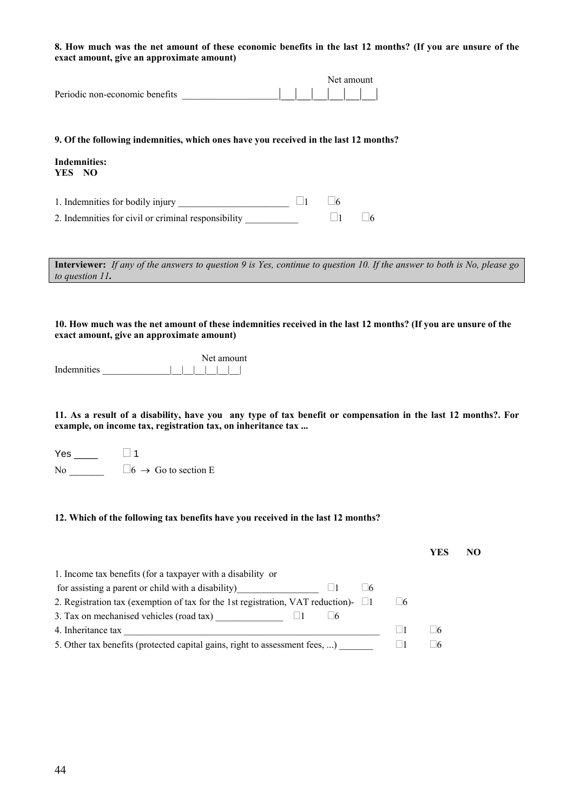## **8. How much was the net amount of these economic benefits in the last 12 months? (If you are unsure of the exact amount, give an approximate amount)**

|                                |  |  | Net amount |  |
|--------------------------------|--|--|------------|--|
| Periodic non-economic benefits |  |  |            |  |

## **9. Of the following indemnities, which ones have you received in the last 12 months?**

### **Indemnities: YES NO**

1. Indemnities for bodily injury  $\Box$  1  $\Box$  6

2. Indemnities for civil or criminal responsibility  $\Box$  1  $\Box$  6

**Interviewer:** *If any of the answers to question 9 is Yes, continue to question 10. If the answer to both is No, please go to question 11.*

## **10. How much was the net amount of these indemnities received in the last 12 months? (If you are unsure of the exact amount, give an approximate amount)**

|                    |  |  | Net amount |  |
|--------------------|--|--|------------|--|
| <b>Indemnities</b> |  |  |            |  |

**11. As a result of a disability, have you any type of tax benefit or compensation in the last 12 months?. For example, on income tax, registration tax, on inheritance tax ...** 

| Yes            | $\Box$ 1                             |
|----------------|--------------------------------------|
| N <sub>0</sub> | $\Box 6 \rightarrow$ Go to section E |

#### **12. Which of the following tax benefits have you received in the last 12 months?**

|                                                                                          |   | YES | NO. |
|------------------------------------------------------------------------------------------|---|-----|-----|
| 1. Income tax benefits (for a taxpayer with a disability or                              |   |     |     |
| for assisting a parent or child with a disability)<br>-16                                |   |     |     |
| 2. Registration tax (exemption of tax for the 1st registration, VAT reduction)- $\Box$ 1 | 6 |     |     |
| 3. Tax on mechanised vehicles (road tax)                                                 |   |     |     |
| 4. Inheritance tax                                                                       |   | 6   |     |
| 5. Other tax benefits (protected capital gains, right to assessment fees, )              |   | - 6 |     |
|                                                                                          |   |     |     |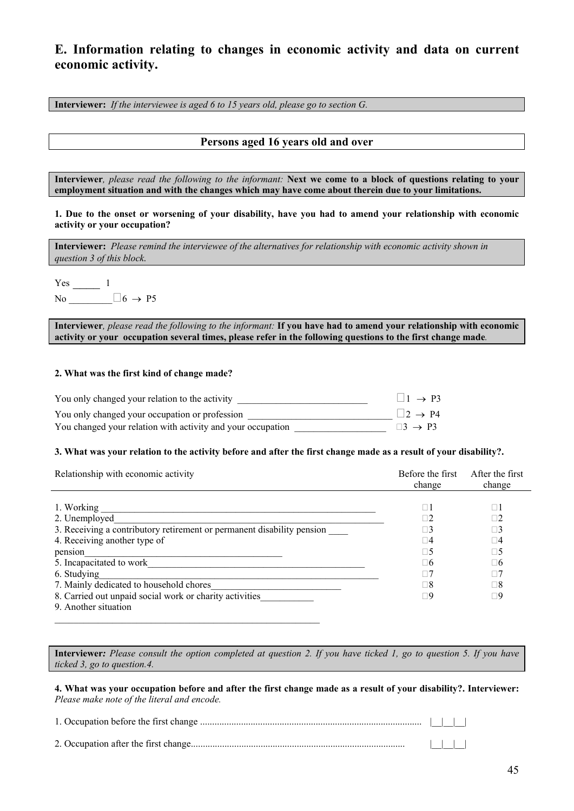# **E. Information relating to changes in economic activity and data on current economic activity.**

**Interviewer:** *If the interviewee is aged 6 to 15 years old, please go to section G.* 

## **Persons aged 16 years old and over**

**Interviewer**, please read the following to the informant: **Next we come to a block of questions relating to your employment situation and with the changes which may have come about therein due to your limitations.**

**1. Due to the onset or worsening of your disability, have you had to amend your relationship with economic activity or your occupation?** 

**Interviewer:** *Please remind the interviewee of the alternatives for relationship with economic activity shown in question 3 of this block.* 

 $Yes \_ 1$ No  $\Box 6 \rightarrow P5$ 

**Interviewer***, please read the following to the informant:* **If you have had to amend your relationship with economic activity or your occupation several times, please refer in the following questions to the first change made***.* 

## **2. What was the first kind of change made?**

 $\mathcal{L}_\text{max}$  and the contract of the contract of the contract of the contract of the contract of the contract of the contract of the contract of the contract of the contract of the contract of the contract of the contrac

| You only changed your relation to the activity              | $1 \rightarrow P3$      |
|-------------------------------------------------------------|-------------------------|
| You only changed your occupation or profession              | $ 2 \rightarrow P4$     |
| You changed your relation with activity and your occupation | $\Box 3 \rightarrow P3$ |

#### **3. What was your relation to the activity before and after the first change made as a result of your disability?.**

| Relationship with economic activity                                    | Before the first<br>change | After the first<br>change |
|------------------------------------------------------------------------|----------------------------|---------------------------|
|                                                                        |                            |                           |
| 1. Working                                                             |                            |                           |
| 2. Unemployed                                                          | $\Box$                     | $\Box 2$                  |
| 3. Receiving a contributory retirement or permanent disability pension | $\Box$ 3                   | $\Box$ 3                  |
| 4. Receiving another type of                                           | $\Box 4$                   | $\square 4$               |
| pension                                                                | $\Box 5$                   | $\Box 5$                  |
| 5. Incapacitated to work                                               | $\Box 6$                   | Π6                        |
| 6. Studying                                                            |                            |                           |
| 7. Mainly dedicated to household chores                                | $\Box$ 8                   | $\sqcap 8$                |
| 8. Carried out unpaid social work or charity activities                | Π9                         | □9                        |
| 9. Another situation                                                   |                            |                           |

**Interviewer***: Please consult the option completed at question 2. If you have ticked 1, go to question 5. If you have ticked 3, go to question.4.* 

**4. What was your occupation before and after the first change made as a result of your disability?. Interviewer:**  *Please make note of the literal and encode.*

| <b>TERM</b> |
|-------------|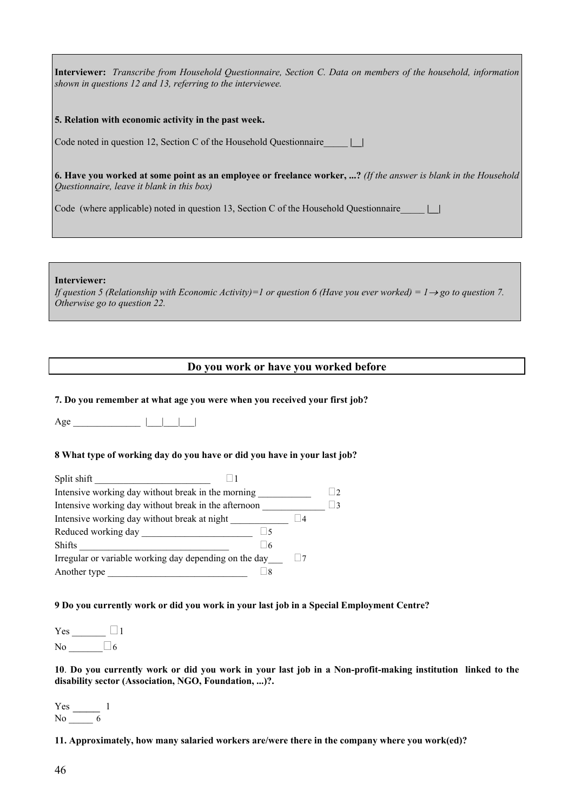**Interviewer:** *Transcribe from Household Questionnaire, Section C. Data on members of the household, information shown in questions 12 and 13, referring to the interviewee.* 

**5. Relation with economic activity in the past week.** 

Code noted in question 12, Section C of the Household Questionnaire\_\_\_\_\_ **|\_\_|** 

**6. Have you worked at some point as an employee or freelance worker, ...?** *(If the answer is blank in the Household Questionnaire, leave it blank in this box)*

Code (where applicable) noted in question 13, Section C of the Household Questionnaire\_\_\_\_\_ **|\_\_|** 

**Interviewer:** 

*If question 5 (Relationship with Economic Activity)=1 or question 6 (Have you ever worked) =*  $1 \rightarrow$  *go to question 7. Otherwise go to question 22.* 

## **Do you work or have you worked before**

#### **7. Do you remember at what age you were when you received your first job?**

Age  $\qquad \qquad | \qquad | \qquad |$ 

#### **8 What type of working day do you have or did you have in your last job?**

| Split shift                                            |           |
|--------------------------------------------------------|-----------|
| Intensive working day without break in the morning     |           |
| Intensive working day without break in the afternoon   | $\Box$ 3  |
| Intensive working day without break at night           | $\vert$ 4 |
| Reduced working day                                    |           |
| Shifts                                                 | 6         |
| Irregular or variable working day depending on the day |           |
| Another type                                           |           |
|                                                        |           |

#### **9 Do you currently work or did you work in your last job in a Special Employment Centre?**

Yes \_\_\_\_\_\_\_ 1 No  $\Box$ 6

**10**. **Do you currently work or did you work in your last job in a Non-profit-making institution linked to the disability sector (Association, NGO, Foundation, ...)?.** 

Yes 1 No  $\qquad \qquad 6$ 

**11. Approximately, how many salaried workers are/were there in the company where you work(ed)?**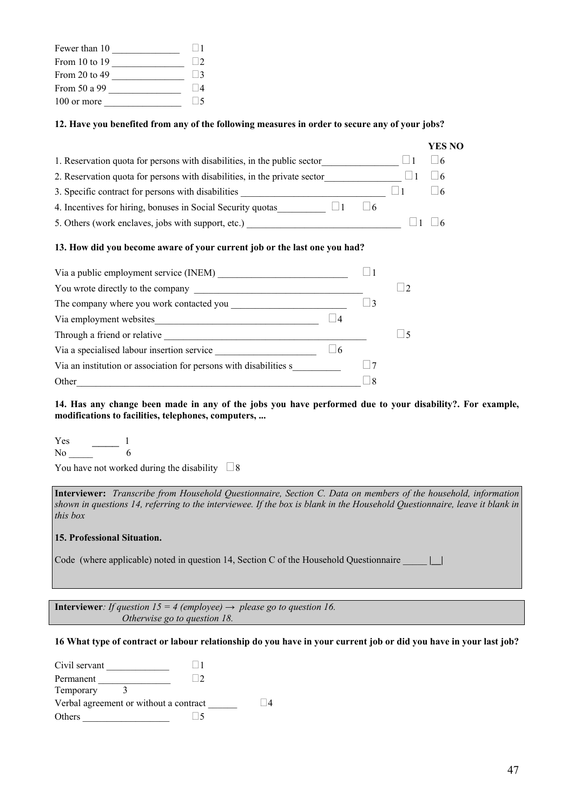| Fewer than 10 |                   |
|---------------|-------------------|
| From 10 to 19 |                   |
| From 20 to 49 | $\vert \ \vert$ 3 |
| From 50 a 99  |                   |
| 100 or more   |                   |

## **12. Have you benefited from any of the following measures in order to secure any of your jobs?**

|                                                                                    |                | YES NO     |
|------------------------------------------------------------------------------------|----------------|------------|
| 1. Reservation quota for persons with disabilities, in the public sector           | $\sqcup$ 1     | $\vert$ 6  |
| 2. Reservation quota for persons with disabilities, in the private sector $\Box$ 1 |                | $\Box$ 6   |
| 3. Specific contract for persons with disabilities $\Box$                          |                | $\Box$ 6   |
|                                                                                    |                |            |
| 5. Others (work enclaves, jobs with support, etc.) _____________________________   |                | $\sqrt{6}$ |
| 13. How did you become aware of your current job or the last one you had?          |                |            |
| $\sqcup 1$                                                                         |                |            |
|                                                                                    | $\overline{2}$ |            |
| $\sqcup$ 3                                                                         |                |            |
| $\Box$ 4                                                                           |                |            |
|                                                                                    | $\Box$ 5       |            |
| $\Box$ 6                                                                           |                |            |
| Via an institution or association for persons with disabilities s                  | 7              |            |
| Other                                                                              | $\sqcup 8$     |            |

**14. Has any change been made in any of the jobs you have performed due to your disability?. For example, modifications to facilities, telephones, computers, ...** 

Yes  $\qquad \qquad$  1 No \_\_\_\_\_ 6

You have not worked during the disability  $\Box$  8

**Interviewer:** *Transcribe from Household Questionnaire, Section C. Data on members of the household, information shown in questions 14, referring to the interviewee. If the box is blank in the Household Questionnaire, leave it blank in this box* 

## **15. Professional Situation.**

Code (where applicable) noted in question 14, Section C of the Household Questionnaire \_\_\_\_\_ **|\_\_|** 

**Interviewer**: *If question 15 = 4 (employee)*  $\rightarrow$  *please go to question 16. Otherwise go to question 18.* 

## **16 What type of contract or labour relationship do you have in your current job or did you have in your last job?**

| Civil servant                          |  |
|----------------------------------------|--|
| Permanent                              |  |
| Temporary                              |  |
| Verbal agreement or without a contract |  |
| Others                                 |  |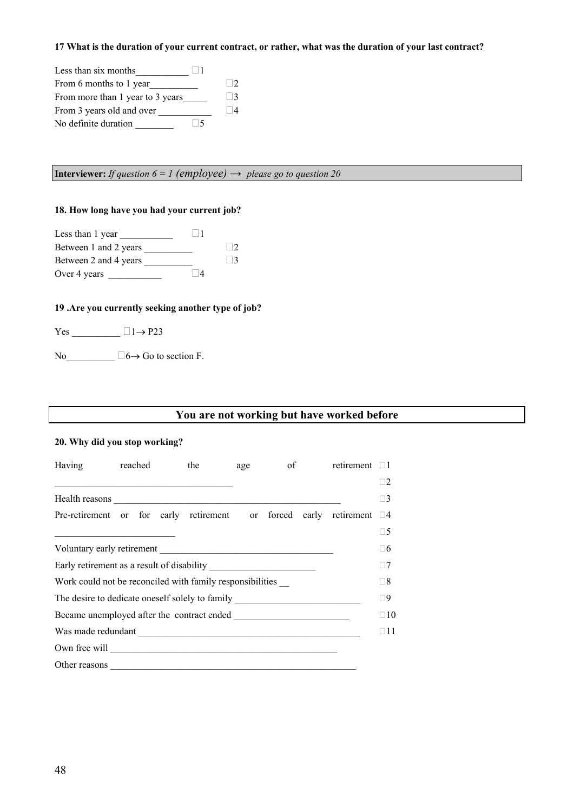#### **17 What is the duration of your current contract, or rather, what was the duration of your last contract?**

| Less than six months             |                          |                |
|----------------------------------|--------------------------|----------------|
| From 6 months to 1 year          |                          | $\Box$         |
| From more than 1 year to 3 years |                          | $\vert$ 3      |
| From 3 years old and over        |                          | $\overline{A}$ |
| No definite duration             | $\overline{\phantom{a}}$ |                |

**Interviewer:** *If question 6 = 1 (employee)*  $\rightarrow$  *please go to question 20* 

## **18. How long have you had your current job?**

| Less than 1 year      | - 11 |             |
|-----------------------|------|-------------|
| Between 1 and 2 years |      | $\Box$      |
| Between 2 and 4 years |      | $\vert$   3 |
| Over 4 years          |      |             |

## **19 .Are you currently seeking another type of job?**

Yes  $\Box 1 \rightarrow P23$ 

No  $\Box 6 \rightarrow$  Go to section F.

## **You are not working but have worked before**

## **20. Why did you stop working?**

| Having reached                                                                            |                                                                                   | the |  | age of retirement □1 |              |
|-------------------------------------------------------------------------------------------|-----------------------------------------------------------------------------------|-----|--|----------------------|--------------|
|                                                                                           |                                                                                   |     |  |                      | $\Box 2$     |
|                                                                                           |                                                                                   |     |  |                      | $\square 3$  |
|                                                                                           | Pre-retirement or for early retirement or forced early retirement $\Box$ 4        |     |  |                      |              |
| the control of the control of the control of the control of the control of the control of |                                                                                   |     |  |                      | $\square 5$  |
|                                                                                           | Voluntary early retirement                                                        |     |  |                      | $\square 6$  |
|                                                                                           |                                                                                   |     |  |                      | $\Box 7$     |
|                                                                                           | Work could not be reconciled with family responsibilities                         |     |  |                      | $\square 8$  |
|                                                                                           | The desire to dedicate oneself solely to family _________________________________ |     |  |                      | □9           |
|                                                                                           |                                                                                   |     |  |                      | $\square 10$ |
|                                                                                           | Was made redundant                                                                |     |  |                      | $\square$ 11 |
|                                                                                           |                                                                                   |     |  |                      |              |
|                                                                                           |                                                                                   |     |  |                      |              |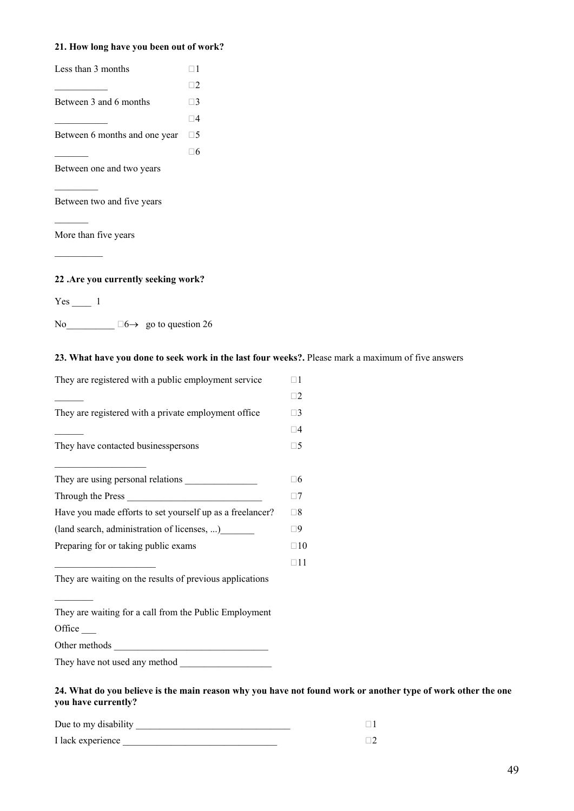## **21. How long have you been out of work?**

| Less than 3 months               |            |
|----------------------------------|------------|
|                                  | $\Box 2$   |
| Between 3 and 6 months           | $\Box$ 3   |
|                                  | $\sqcap 4$ |
| Between 6 months and one year    | $\Box 5$   |
|                                  | ∃6         |
| Between one and two years        |            |
| Between two and five years       |            |
| More than five years             |            |
| A no you quanontly sooking would |            |

**22 .Are you currently seeking work?** 

Yes 1

 $\mathcal{L}=\mathcal{L}$ 

No  $\Box 6 \rightarrow \Box 6$  go to question 26

## **23. What have you done to seek work in the last four weeks?.** Please mark a maximum of five answers

| They are registered with a public employment service      | $\neg$ 1     |
|-----------------------------------------------------------|--------------|
|                                                           | $\sqcap2$    |
| They are registered with a private employment office      | $\Box 3$     |
|                                                           | $\Box 4$     |
| They have contacted businesspersons                       | $\Box 5$     |
|                                                           |              |
| They are using personal relations                         | Π6           |
| Through the Press                                         | $\Box 7$     |
| Have you made efforts to set yourself up as a freelancer? | $\Box 8$     |
| (land search, administration of licenses, )               | ∏9           |
| Preparing for or taking public exams                      | $\exists 10$ |
|                                                           |              |
| Thoy are weiting on the results of previous epplications  |              |

They are waiting on the results of previous applications

They are waiting for a call from the Public Employment Office \_\_\_

Other methods \_\_\_\_\_\_\_\_\_\_\_\_\_\_\_\_\_\_\_\_\_\_\_\_\_\_\_\_\_\_\_\_

They have not used any method \_\_\_\_\_\_\_\_\_\_\_\_\_\_\_\_\_\_\_

**24. What do you believe is the main reason why you have not found work or another type of work other the one you have currently?** 

| Due to my disability |  |
|----------------------|--|
| I lack experience    |  |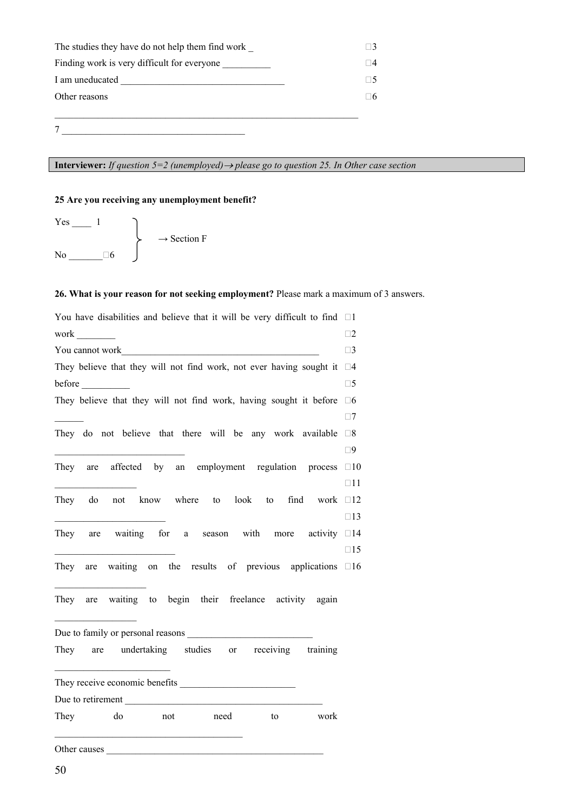| The studies they have do not help them find work | 3        |
|--------------------------------------------------|----------|
| Finding work is very difficult for everyone      | $\Box 4$ |
| I am uneducated                                  | $\Box 5$ |
| Other reasons                                    | Π6       |

7 \_\_\_\_\_\_\_\_\_\_\_\_\_\_\_\_\_\_\_\_\_\_\_\_\_\_\_\_\_\_\_\_\_\_\_\_\_\_

**Interviewer:** *If question 5=2 (unemployed)*→ *please go to question 25. In Other case section*

## **25 Are you receiving any unemployment benefit?**

| Yes                 | $\rightarrow$ Section F |
|---------------------|-------------------------|
| N <sub>0</sub><br>6 |                         |

## **26. What is your reason for not seeking employment?** Please mark a maximum of 3 answers.

| You have disabilities and believe that it will be very difficult to find $\square$ 1 |              |
|--------------------------------------------------------------------------------------|--------------|
| work $\qquad$                                                                        | $\square$ 2  |
| You cannot work                                                                      | $\square$ 3  |
| They believe that they will not find work, not ever having sought it $\square 4$     |              |
| before $\_\_$                                                                        | $\square 5$  |
| They believe that they will not find work, having sought it before                   | $\square 6$  |
|                                                                                      | $\Box$ 7     |
| They do not believe that there will be any work available $\square 8$                |              |
|                                                                                      | $\square$    |
| They are affected by an employment regulation process $\square 10$                   |              |
|                                                                                      | $\square$ 11 |
| They do not know where to look to find work $\square$ 12                             |              |
|                                                                                      | $\square$ 13 |
| They are waiting for a season with more activity $\Box$ 14                           |              |
|                                                                                      | $\square$ 15 |
| They are waiting on the results of previous applications $\square 16$                |              |
| They are waiting to begin their freelance activity again                             |              |
|                                                                                      |              |
| They are undertaking studies or receiving training                                   |              |
|                                                                                      |              |
| Due to retirement                                                                    |              |
| not need<br>They do<br>to to<br>work                                                 |              |
|                                                                                      |              |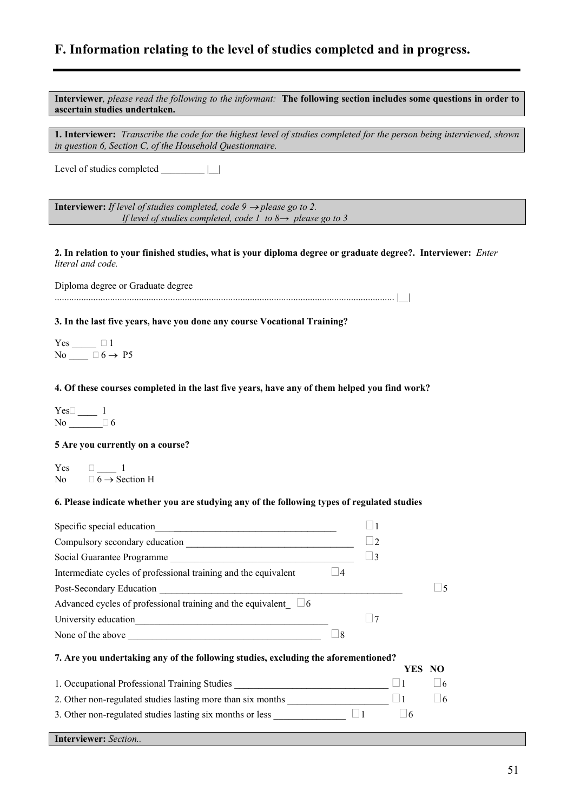# **F. Information relating to the level of studies completed and in progress.**

| Interviewer, please read the following to the informant: The following section includes some questions in order to<br>ascertain studies undertaken.                                        |
|--------------------------------------------------------------------------------------------------------------------------------------------------------------------------------------------|
| <b>1. Interviewer:</b> Transcribe the code for the highest level of studies completed for the person being interviewed, shown<br>in question 6, Section C, of the Household Questionnaire. |
|                                                                                                                                                                                            |
| <b>Interviewer:</b> If level of studies completed, code $9 \rightarrow$ please go to 2.<br>If level of studies completed, code 1 to $8 \rightarrow$ please go to 3                         |
| 2. In relation to your finished studies, what is your diploma degree or graduate degree?. Interviewer: Enter<br>literal and code.                                                          |
| Diploma degree or Graduate degree                                                                                                                                                          |
| 3. In the last five years, have you done any course Vocational Training?                                                                                                                   |
| Yes ______________ $\Box$ 1<br>No $\overline{\square}$ $6 \rightarrow P5$                                                                                                                  |
| 4. Of these courses completed in the last five years, have any of them helped you find work?                                                                                               |
| $Yes\square$ 1<br>No $\Box$ 6                                                                                                                                                              |
| 5 Are you currently on a course?                                                                                                                                                           |
| Yes<br>$\Box$ 1<br>$\Box$ 6 $\rightarrow$ Section H<br>No                                                                                                                                  |
| 6. Please indicate whether you are studying any of the following types of regulated studies                                                                                                |
| Specific special education<br>$\sqcup$ 1<br><u> 1989 - Johann John Stein, markin fizik eta idazlea (</u>                                                                                   |
| $\exists$ 2                                                                                                                                                                                |
| Social Guarantee Programme<br>$\Box$ 3                                                                                                                                                     |
| Intermediate cycles of professional training and the equivalent<br>$\Box$ 4                                                                                                                |
| $\square$ 5                                                                                                                                                                                |
| Advanced cycles of professional training and the equivalent $\Box 6$                                                                                                                       |
| $\Box$ 7<br>$\square$                                                                                                                                                                      |
|                                                                                                                                                                                            |
| 7. Are you undertaking any of the following studies, excluding the aforementioned?                                                                                                         |
| YES NO<br>1. Occupational Professional Training Studies __________________________________<br>$\Box$ 6<br>$\sqcup$ 1                                                                       |
| $\square$ 1<br>2. Other non-regulated studies lasting more than six months<br>$\Box$ 6                                                                                                     |
| 3. Other non-regulated studies lasting six months or less $\Box$ $\Box$ 1<br>$\square$ 6                                                                                                   |
| Interviewer: Section                                                                                                                                                                       |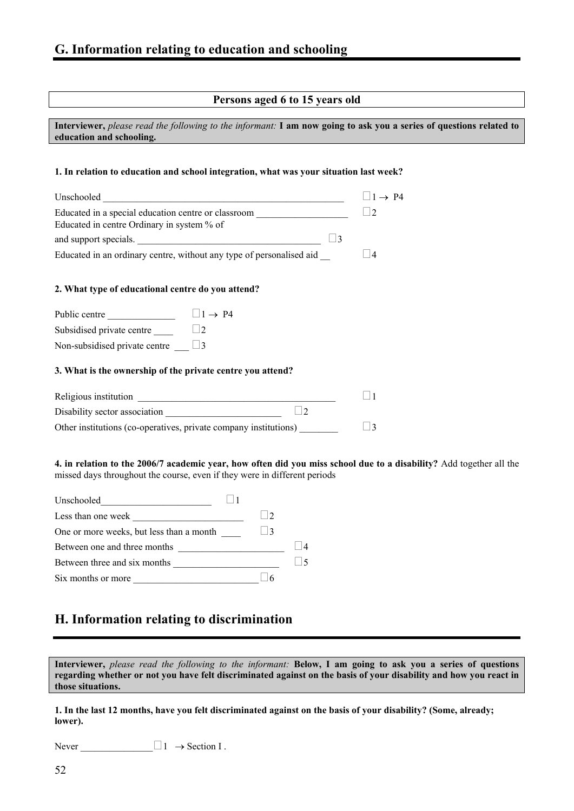## **Persons aged 6 to 15 years old**

**Interviewer,** *please read the following to the informant:* **I am now going to ask you a series of questions related to education and schooling.**

#### **1. In relation to education and school integration, what was your situation last week?**

| Unschooled                                                                                        |                          | $11 \rightarrow P4$ |
|---------------------------------------------------------------------------------------------------|--------------------------|---------------------|
| Educated in a special education centre or classroom<br>Educated in centre Ordinary in system % of |                          |                     |
| and support specials.                                                                             | $\overline{\phantom{a}}$ |                     |
| Educated in an ordinary centre, without any type of personalised aid                              |                          | $\vert$ 4           |

### **2. What type of educational centre do you attend?**

| Public centre                 | $11 \rightarrow P4$ |
|-------------------------------|---------------------|
| Subsidised private centre     | $\Box$              |
| Non-subsidised private centre | $\vert$ $\vert$ 3   |

#### **3. What is the ownership of the private centre you attend?**

| Religious institution                                            |  |
|------------------------------------------------------------------|--|
| Disability sector association                                    |  |
| Other institutions (co-operatives, private company institutions) |  |

## **4. in relation to the 2006/7 academic year, how often did you miss school due to a disability?** Add together all the missed days throughout the course, even if they were in different periods

| Unschooled                               |           |  |
|------------------------------------------|-----------|--|
| Less than one week                       |           |  |
| One or more weeks, but less than a month | $\vert$ 3 |  |
| Between one and three months             |           |  |
| Between three and six months             |           |  |
| Six months or more                       |           |  |

# **H. Information relating to discrimination**

**Interviewer,** *please read the following to the informant:* **Below, I am going to ask you a series of questions regarding whether or not you have felt discriminated against on the basis of your disability and how you react in those situations.**

**1. In the last 12 months, have you felt discriminated against on the basis of your disability? (Some, already; lower).** 

Never  $\Box 1 \rightarrow$  Section I .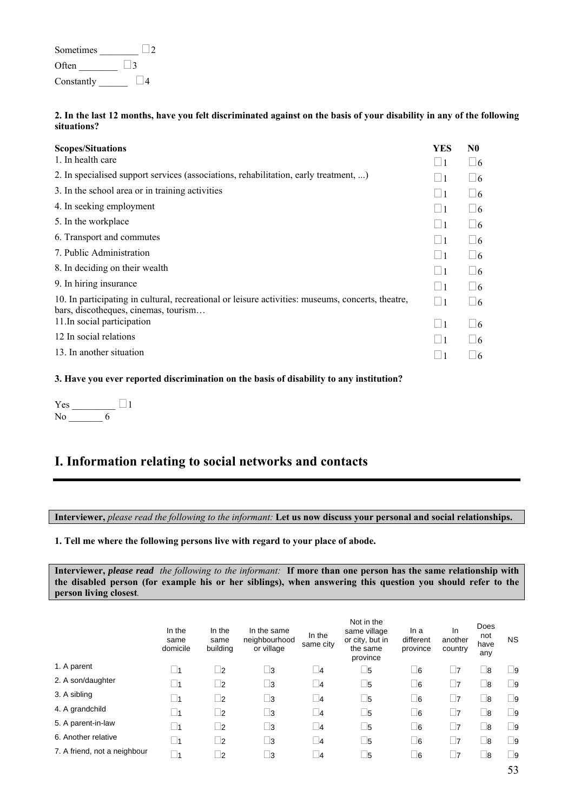| Sometimes  |  |
|------------|--|
| Often      |  |
| Constantly |  |

## **2. In the last 12 months, have you felt discriminated against on the basis of your disability in any of the following situations?**

| <b>Scopes/Situations</b>                                                                                                                  | YES               | N0         |
|-------------------------------------------------------------------------------------------------------------------------------------------|-------------------|------------|
| 1. In health care                                                                                                                         | 1                 | $\Box 6$   |
| 2. In specialised support services (associations, rehabilitation, early treatment, )                                                      | $\Box$ 1          | $\Box 6$   |
| 3. In the school area or in training activities                                                                                           | $\Box$ 1          | $\vert$ 6  |
| 4. In seeking employment                                                                                                                  | 1                 | $\Box 6$   |
| 5. In the workplace                                                                                                                       | $\Box$ 1          | $\vert$ 6  |
| 6. Transport and commutes                                                                                                                 | $\vert$ $\vert$ 1 | $\vert$ 6  |
| 7. Public Administration                                                                                                                  | $\vert$ $\vert$ 1 | $\vert$ 6  |
| 8. In deciding on their wealth                                                                                                            | 1                 | $\vert$ 6  |
| 9. In hiring insurance                                                                                                                    | $\vert$ $\vert$ 1 | $\Box$ 6   |
| 10. In participating in cultural, recreational or leisure activities: museums, concerts, theatre,<br>bars, discotheques, cinemas, tourism | $\vert$ $\vert$ 1 | $\vert$ 6  |
| 11. In social participation                                                                                                               | $\vert \ \vert_1$ | $\sqrt{6}$ |
| 12 In social relations                                                                                                                    | $\Box$ 1          | $\sqrt{6}$ |
| 13. In another situation                                                                                                                  |                   | $\sqrt{6}$ |

## **3. Have you ever reported discrimination on the basis of disability to any institution?**

| Y es |  |
|------|--|
| N٥   |  |

# **I. Information relating to social networks and contacts**

**Interviewer,** *please read the following to the informant:* **Let us now discuss your personal and social relationships.**

**1. Tell me where the following persons live with regard to your place of abode.** 

**Interviewer,** *please read the following to the informant:* **If more than one person has the same relationship with the disabled person (for example his or her siblings), when answering this question you should refer to the person living closest***.* 

|                              | In the<br>same<br>domicile | In the<br>same<br>building | In the same<br>neighbourhood<br>or village | In the<br>same city | Not in the<br>same village<br>or city, but in<br>the same<br>province | In a<br>different<br>province | In.<br>another<br>country | Does<br>not<br>have<br>any | <b>NS</b> |
|------------------------------|----------------------------|----------------------------|--------------------------------------------|---------------------|-----------------------------------------------------------------------|-------------------------------|---------------------------|----------------------------|-----------|
| 1. A parent                  | 1                          | $\sqcup$ 2                 | ∟з                                         | $\sqcup$ 4          | $\_5$                                                                 | $\_6$                         | $\sqcup$ 7                | _8                         | _ 9       |
| 2. A son/daughter            | 1                          | $\sqcup$ 2                 | $\sqcup_3$                                 | $\Box$ 4            | $\_5$                                                                 | ∟6                            | $\Box$ 7                  | _8                         | _ 9       |
| 3. A sibling                 | - 11                       | $\sqcup$ 2                 | $\_3$                                      | $\Box$ 4            | $\_5$                                                                 | $\Box 6$                      | $\Box$ 7                  | _8                         | _9        |
| 4. A grandchild              | $\sqcup$ 1                 | $\Box$ 2                   | $\_3$                                      | $\Box$ 4            | $\_5$                                                                 | $\_6$                         | $\Box$ 7                  | _8                         | _9        |
| 5. A parent-in-law           | 1                          | $\sqcup$ 2                 | $\_3$                                      | $\Box$ 4            | $\_5$                                                                 | $\Box 6$                      | $\Box$ 7                  | - 18                       | _9        |
| 6. Another relative          | 1                          | $\sqsupset$                | $\_3$                                      | $\Box$ 4            | $\_5$                                                                 | $\_6$                         | $\sqcup$ 7                | _8                         | _ 9       |
| 7. A friend, not a neighbour | $\_11$                     | $\vert$ 2                  | - 3                                        | $\Box$ 4            | $\_5$                                                                 | $\Box$ 6                      | $\Box$ 7                  | -8                         | - 19      |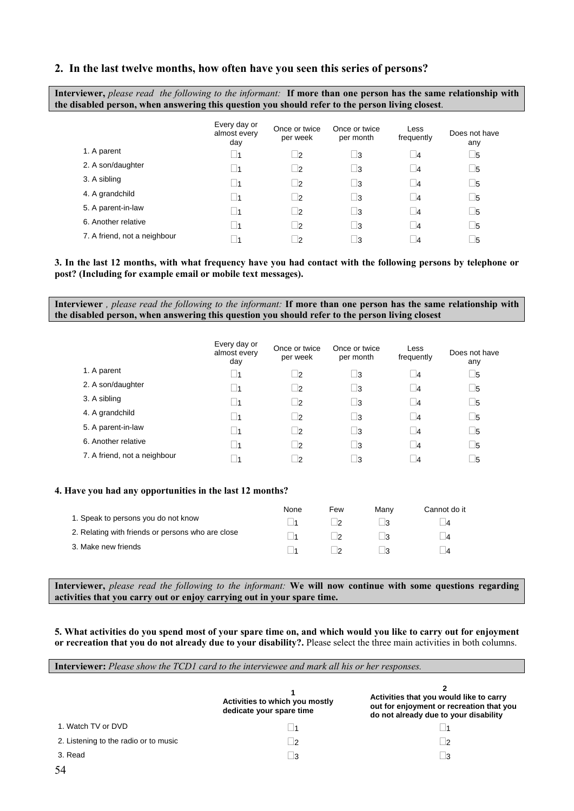## **2. In the last twelve months, how often have you seen this series of persons?**

**Interviewer,** *please read the following to the informant:* **If more than one person has the same relationship with the disabled person, when answering this question you should refer to the person living closest**.

|                              | Every day or<br>almost every<br>day | Once or twice<br>per week | Once or twice<br>per month | Less<br>frequently | Does not have<br>any |
|------------------------------|-------------------------------------|---------------------------|----------------------------|--------------------|----------------------|
| 1. A parent                  | - 11                                | $\vert$ 2                 | ∟з                         | 4                  | $\_5$                |
| 2. A son/daughter            | - 11                                | $\vert$ 2                 | $\vert$ 3                  | 4                  | - 15                 |
| 3. A sibling                 | - 11                                | $\vert$ 2                 | 3                          | 4                  | $\Box$ 5             |
| 4. A grandchild              | - 11                                | $\vert$ 2                 | 3                          | 4                  | $\Box$ 5             |
| 5. A parent-in-law           | - 11                                | $\vert$ 2                 | 3                          | 4                  | $\_5$                |
| 6. Another relative          | - 11                                | $\vert$ 2                 | 3                          | 4                  | $\_5$                |
| 7. A friend, not a neighbour | - 11                                | $\vert$                   | ∣ ¦3                       | $\overline{4}$     | - 15                 |

**3. In the last 12 months, with what frequency have you had contact with the following persons by telephone or post? (Including for example email or mobile text messages).** 

**Interviewer** *, please read the following to the informant:* **If more than one person has the same relationship with the disabled person, when answering this question you should refer to the person living closest**

|                              | Every day or<br>almost every<br>day | Once or twice<br>per week | Once or twice<br>per month | Less<br>frequently | Does not have<br>any |
|------------------------------|-------------------------------------|---------------------------|----------------------------|--------------------|----------------------|
| 1. A parent                  | $\vert$ 1                           | $\vert$ 2                 | ∣ ¦3                       | 4                  | $\_5$                |
| 2. A son/daughter            | $\vert$ 1                           | $\vert$ 2                 | ∣ 3                        | 4                  | $\_5$                |
| 3. A sibling                 |                                     | $\vert$ 2                 | 3                          | 4                  | $\_5$                |
| 4. A grandchild              |                                     | $\vert$ 2                 | 3                          | 4                  | $\_5$                |
| 5. A parent-in-law           |                                     | $\vert$ 2                 | I3                         | 4                  | $\_5$                |
| 6. Another relative          |                                     | $\vert$ 2                 | 3                          | 4                  | $\_5$                |
| 7. A friend, not a neighbour |                                     | $\vert$ 2                 | ⊟3                         | $\vert$ 4          | $\_5$                |

## **4. Have you had any opportunities in the last 12 months?**

|                                                   | None | Few | Manv | Cannot do it   |
|---------------------------------------------------|------|-----|------|----------------|
| 1. Speak to persons you do not know               |      |     |      | $\overline{A}$ |
| 2. Relating with friends or persons who are close |      |     |      | $\overline{A}$ |
| 3. Make new friends                               |      |     |      | $\overline{A}$ |

**Interviewer,** *please read the following to the informant:* **We will now continue with some questions regarding activities that you carry out or enjoy carrying out in your spare time.**

**5. What activities do you spend most of your spare time on, and which would you like to carry out for enjoyment or recreation that you do not already due to your disability?.** Please select the three main activities in both columns.

**Interviewer:** *Please show the TCD1 card to the interviewee and mark all his or her responses.* 

|                                       | Activities to which you mostly<br>dedicate your spare time | Activities that you would like to carry<br>out for enjoyment or recreation that you<br>do not already due to your disability |
|---------------------------------------|------------------------------------------------------------|------------------------------------------------------------------------------------------------------------------------------|
| 1. Watch TV or DVD                    |                                                            |                                                                                                                              |
| 2. Listening to the radio or to music |                                                            |                                                                                                                              |
| 3. Read                               | -3                                                         |                                                                                                                              |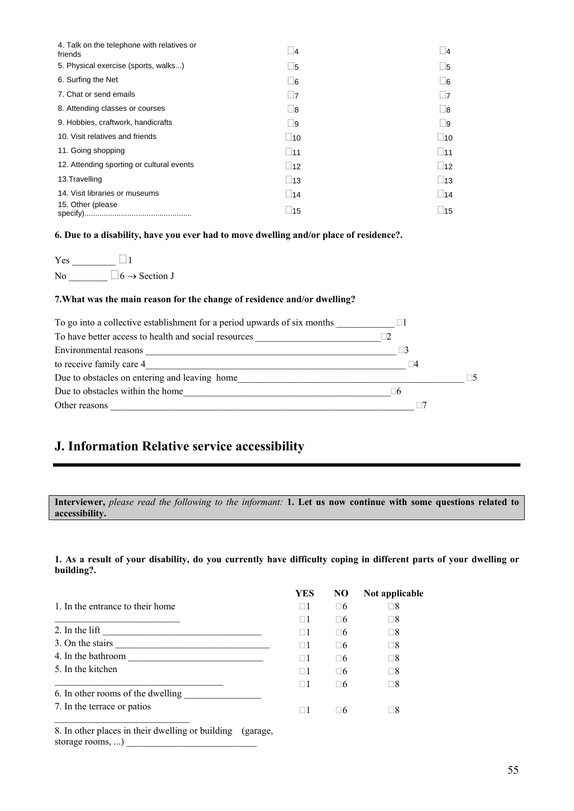| 4. Talk on the telephone with relatives or<br>friends | 4          | 4           |
|-------------------------------------------------------|------------|-------------|
| 5. Physical exercise (sports, walks)                  | 5          | $\Box$ 5    |
| 6. Surfing the Net                                    | $\vert$ 6  | $\Box$ 6    |
| 7. Chat or send emails                                | $\vert$ 7  | $\vert$ 7   |
| 8. Attending classes or courses                       | $\sqcup$ 8 | 8           |
| 9. Hobbies, craftwork, handicrafts                    | 9          | I9          |
| 10. Visit relatives and friends                       | $\Box$ 10  | $\Box$ 10   |
| 11. Going shopping                                    | 11         | $\Box$ 11   |
| 12. Attending sporting or cultural events             | $\vert$ 12 | $\vert$ 12  |
| 13. Travelling                                        | $\vert$ 13 | $\vert$ 13  |
| 14. Visit libraries or museums                        | 14         | $\vert$ 14  |
| 15. Other (please)                                    | $\_15$     | $\sqcup$ 15 |

**6. Due to a disability, have you ever had to move dwelling and/or place of residence?.** 

 $Yes \_$ No  $\_\_\_\_\_\_\_\$  6  $\rightarrow$  Section J

## **7.What was the main reason for the change of residence and/or dwelling?**

| To go into a collective establishment for a period upwards of six months |    |  |
|--------------------------------------------------------------------------|----|--|
| To have better access to health and social resources                     |    |  |
| Environmental reasons                                                    |    |  |
| to receive family care 4                                                 | -4 |  |
| Due to obstacles on entering and leaving home                            |    |  |
| Due to obstacles within the home                                         | ⊓6 |  |
| Other reasons                                                            |    |  |

# **J. Information Relative service accessibility**

**Interviewer,** *please read the following to the informant:* **1. Let us now continue with some questions related to accessibility.**

## **1. As a result of your disability, do you currently have difficulty coping in different parts of your dwelling or building?.**

|                                   | YES      | NO             | Not applicable |
|-----------------------------------|----------|----------------|----------------|
| 1. In the entrance to their home  | $\Box$ 1 | Ξ6             | $\Box 8$       |
|                                   | $\Box$ 1 | Ξ6             | $\Box 8$       |
| 2. In the lift                    | $\Box$ 1 | Ξ6             | $\Box$ 8       |
| 3. On the stairs                  | Пl       | Ξ6             | $\square 8$    |
| 4. In the bathroom                | $\Box$ 1 | Ξ6             | $\square 8$    |
| 5. In the kitchen                 | $\Box$ 1 | ∃6             | $\Box$ 8       |
| 6. In other rooms of the dwelling | ПI       | $\Box 6$       | $\square 8$    |
| 7. In the terrace or patios       | Пl       | $\overline{6}$ | $\sqcap 8$     |

8. In other places in their dwelling or building (garage, storage rooms,  $\ldots$ )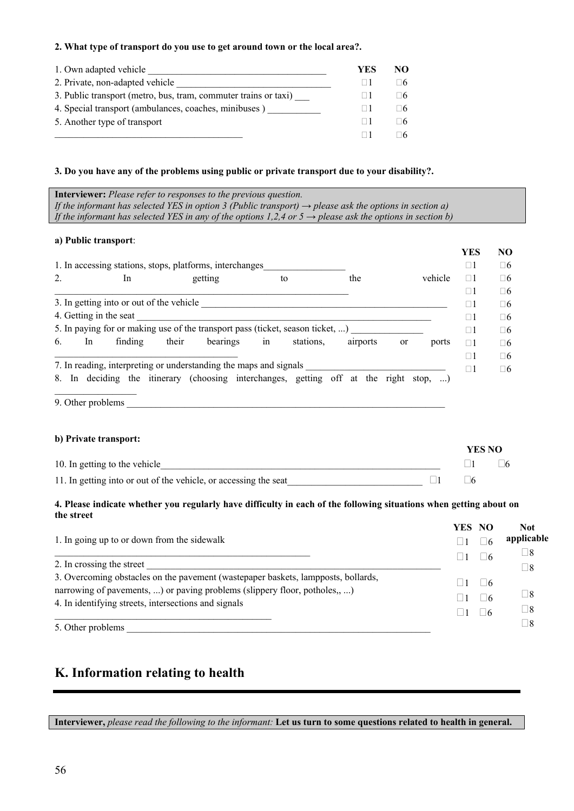## **2. What type of transport do you use to get around town or the local area?.**

| 1. Own adapted vehicle                                          | YES | NO. |
|-----------------------------------------------------------------|-----|-----|
| 2. Private, non-adapted vehicle                                 |     | ⊟6⊣ |
| 3. Public transport (metro, bus, tram, commuter trains or taxi) |     | ⊟6⊹ |
| 4. Special transport (ambulances, coaches, minibuses)           |     | ⊟6⊹ |
| 5. Another type of transport                                    |     | ⊟6⊹ |
|                                                                 |     |     |

## **3. Do you have any of the problems using public or private transport due to your disability?.**

| Interviewer: Please refer to responses to the previous question.<br>If the informant has selected YES in option 3 (Public transport) $\rightarrow$ please ask the options in section a)<br>If the informant has selected YES in any of the options 1,2,4 or $5 \rightarrow$ please ask the options in section b)                                                                                                                                                                                                                     |                                                                       |                                                                      |                                                                              |
|--------------------------------------------------------------------------------------------------------------------------------------------------------------------------------------------------------------------------------------------------------------------------------------------------------------------------------------------------------------------------------------------------------------------------------------------------------------------------------------------------------------------------------------|-----------------------------------------------------------------------|----------------------------------------------------------------------|------------------------------------------------------------------------------|
| a) Public transport:                                                                                                                                                                                                                                                                                                                                                                                                                                                                                                                 |                                                                       |                                                                      |                                                                              |
|                                                                                                                                                                                                                                                                                                                                                                                                                                                                                                                                      | <b>YES</b>                                                            |                                                                      | N <sub>O</sub>                                                               |
| 1. In accessing stations, stops, platforms, interchanges                                                                                                                                                                                                                                                                                                                                                                                                                                                                             | $\Box$ 1                                                              |                                                                      | $\square 6$                                                                  |
| getting<br>the<br>2.<br>In<br>$\mathsf{to}$<br>vehicle                                                                                                                                                                                                                                                                                                                                                                                                                                                                               | $\square$                                                             |                                                                      | $\square 6$                                                                  |
| the control of the control of the control of the control of the control of                                                                                                                                                                                                                                                                                                                                                                                                                                                           | $\Box$ 1                                                              |                                                                      | $\square 6$                                                                  |
|                                                                                                                                                                                                                                                                                                                                                                                                                                                                                                                                      | $\Box$ 1                                                              |                                                                      | $\square 6$                                                                  |
|                                                                                                                                                                                                                                                                                                                                                                                                                                                                                                                                      | $\Box$ 1                                                              |                                                                      | $\square 6$                                                                  |
| 5. In paying for or making use of the transport pass (ticket, season ticket, ) _________________                                                                                                                                                                                                                                                                                                                                                                                                                                     | $\Box$ 1                                                              |                                                                      | $\square 6$                                                                  |
| or<br>In<br>finding<br>bearings<br>airports<br>6.<br>their<br>in<br>stations,<br>ports                                                                                                                                                                                                                                                                                                                                                                                                                                               | $\Box$ 1                                                              |                                                                      | $\square 6$                                                                  |
| 7. In reading, interpreting or understanding the maps and signals __________________________________                                                                                                                                                                                                                                                                                                                                                                                                                                 | $\Box$ 1                                                              |                                                                      | $\square 6$                                                                  |
| 8. In deciding the itinerary (choosing interchanges, getting off at the right stop, )                                                                                                                                                                                                                                                                                                                                                                                                                                                | $\Box$ 1                                                              |                                                                      | $\square 6$                                                                  |
|                                                                                                                                                                                                                                                                                                                                                                                                                                                                                                                                      |                                                                       |                                                                      |                                                                              |
|                                                                                                                                                                                                                                                                                                                                                                                                                                                                                                                                      |                                                                       |                                                                      |                                                                              |
| b) Private transport:                                                                                                                                                                                                                                                                                                                                                                                                                                                                                                                | $\Box$ 1                                                              | <b>YES NO</b>                                                        | $\square 6$                                                                  |
| 11. In getting into or out of the vehicle, or accessing the seat_________________<br>$\square$ 1                                                                                                                                                                                                                                                                                                                                                                                                                                     | $\square 6$                                                           |                                                                      |                                                                              |
| 4. Please indicate whether you regularly have difficulty in each of the following situations when getting about on<br>the street<br>1. In going up to or down from the sidewalk<br>the control of the control of the control of the control of the control of the control of<br>2. In crossing the street<br>3. Overcoming obstacles on the pavement (wastepaper baskets, lampposts, bollards,<br>narrowing of pavements, ) or paving problems (slippery floor, potholes,, )<br>4. In identifying streets, intersections and signals | YES NO<br>$\Box$ 1<br>$\Box$ 1<br>$\Box$ 1<br>$\square$ 1<br>$\Box$ 1 | $\square$ 6<br>$\square$ 6<br>$\square$ 6<br>$\Box$ 6<br>$\square$ 6 | <b>Not</b><br>applicable<br>$\square$<br>$\square$<br>$\square$<br>$\square$ |
|                                                                                                                                                                                                                                                                                                                                                                                                                                                                                                                                      |                                                                       |                                                                      | $\square$ 8                                                                  |
|                                                                                                                                                                                                                                                                                                                                                                                                                                                                                                                                      |                                                                       |                                                                      |                                                                              |

# **K. Information relating to health**

**Interviewer,** *please read the following to the informant:* **Let us turn to some questions related to health in general.**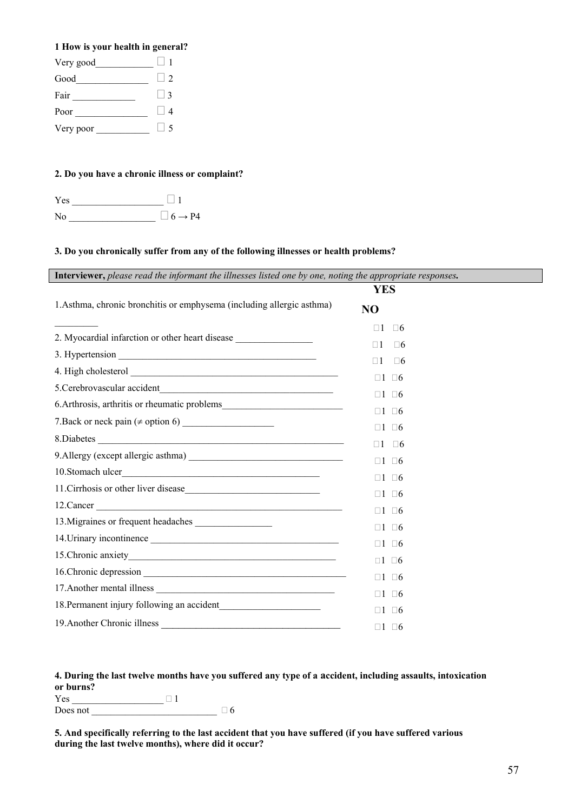## **1 How is your health in general?**

| Very good |                   |
|-----------|-------------------|
| Good      | $\Box$ 2          |
| Fair      | $\vert$ $\vert$ 3 |
| Poor      | $\lceil$   4      |
| Very poor | $\frac{1}{2}$     |

## **2. Do you have a chronic illness or complaint?**

 $Yes \_$ No \_\_\_\_\_\_\_\_\_\_\_\_\_\_\_\_\_\_ 6 → P4

## **3. Do you chronically suffer from any of the following illnesses or health problems?**

| Interviewer, please read the informant the illnesses listed one by one, noting the appropriate responses. |                         |  |
|-----------------------------------------------------------------------------------------------------------|-------------------------|--|
|                                                                                                           | <b>YES</b>              |  |
| 1. Asthma, chronic bronchitis or emphysema (including allergic asthma)                                    | NO                      |  |
|                                                                                                           | $\Box$ 1<br>$\square 6$ |  |
| 2. Myocardial infarction or other heart disease ________________________________                          | $\Box$ 1<br>$\Box$ 6    |  |
|                                                                                                           | $\Box$ 1<br>$\square 6$ |  |
|                                                                                                           | $\square 6$<br>$\Box$ 1 |  |
|                                                                                                           |                         |  |
|                                                                                                           | $\Box 1$ $\Box 6$       |  |
| 7. Back or neck pain $(\neq$ option 6)                                                                    | $\Box 1$ $\Box 6$       |  |
|                                                                                                           | $\Box 1$ $\Box 6$       |  |
|                                                                                                           | $\Box 1$ $\Box 6$       |  |
|                                                                                                           | $\Box 1$ $\Box 6$       |  |
|                                                                                                           | $\Box 1$ $\Box 6$       |  |
|                                                                                                           | $\Box 1$ $\Box 6$       |  |
| 12. Cancer                                                                                                | $\Box 1$ $\Box 6$       |  |
| 13. Migraines or frequent headaches                                                                       | $\Box 1$ $\Box 6$       |  |
|                                                                                                           | $\Box 1$ $\Box 6$       |  |
|                                                                                                           | $\Box 1$ $\Box 6$       |  |
|                                                                                                           | $\Box 1$ $\Box 6$       |  |
|                                                                                                           | $\Box 1$ $\Box 6$       |  |
|                                                                                                           | $\Box 1$ $\Box 6$       |  |
|                                                                                                           | $\Box 1$ $\Box 6$       |  |
|                                                                                                           |                         |  |

**4. During the last twelve months have you suffered any type of a accident, including assaults, intoxication or burns?**  Yes  $\Box$  1

Does not  $\Box$ 

**5. And specifically referring to the last accident that you have suffered (if you have suffered various during the last twelve months), where did it occur?**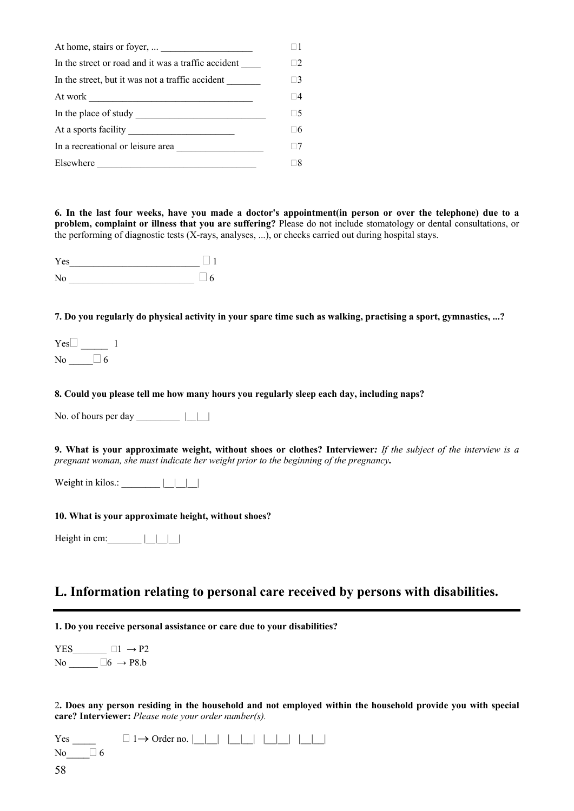| In the street or road and it was a traffic accident | $\Box$ 2    |
|-----------------------------------------------------|-------------|
| In the street, but it was not a traffic accident    | $\square 3$ |
|                                                     | $\Box 4$    |
|                                                     | $\Box 5$    |
| At a sports facility                                | $\square 6$ |
| In a recreational or leisure area                   | $\Box 7$    |
| Elsewhere                                           | $\sqcap 8$  |

**6. In the last four weeks, have you made a doctor's appointment(in person or over the telephone) due to a problem, complaint or illness that you are suffering?** Please do not include stomatology or dental consultations, or the performing of diagnostic tests (X-rays, analyses, ...), or checks carried out during hospital stays.

Yes\_\_\_\_\_\_\_\_\_\_\_\_\_\_\_\_\_\_\_\_\_\_\_\_\_\_\_ 1 No  $\Box$  6

**7. Do you regularly do physical activity in your spare time such as walking, practising a sport, gymnastics, ...?** 

 $Yes \Box$  1 No  $\Box$  6

#### **8. Could you please tell me how many hours you regularly sleep each day, including naps?**

No. of hours per day \_\_\_\_\_\_\_\_\_\_ |\_|\_|\_\_|

**9. What is your approximate weight, without shoes or clothes? Interviewer***: If the subject of the interview is a pregnant woman, she must indicate her weight prior to the beginning of the pregnancy.* 

Weight in kilos.:  $|| \cdot || ||$ 

#### **10. What is your approximate height, without shoes?**

| Height in cm: |  |  |  |
|---------------|--|--|--|
|               |  |  |  |

# **L. Information relating to personal care received by persons with disabilities.**

**1. Do you receive personal assistance or care due to your disabilities?** 

YES  $\Box 1 \rightarrow P2$ No \_\_\_\_\_\_ 6 *→* P8.b

2**. Does any person residing in the household and not employed within the household provide you with special care? Interviewer:** *Please note your order number(s).* 

| Yes         | $\Box$ 1 $\rightarrow$ Order no. $\boxed{\phantom{0}}$ $\boxed{\phantom{0}}$ $\boxed{\phantom{0}}$ $\boxed{\phantom{0}}$ $\boxed{\phantom{0}}$ |  |  |
|-------------|------------------------------------------------------------------------------------------------------------------------------------------------|--|--|
| No $\Box$ 6 |                                                                                                                                                |  |  |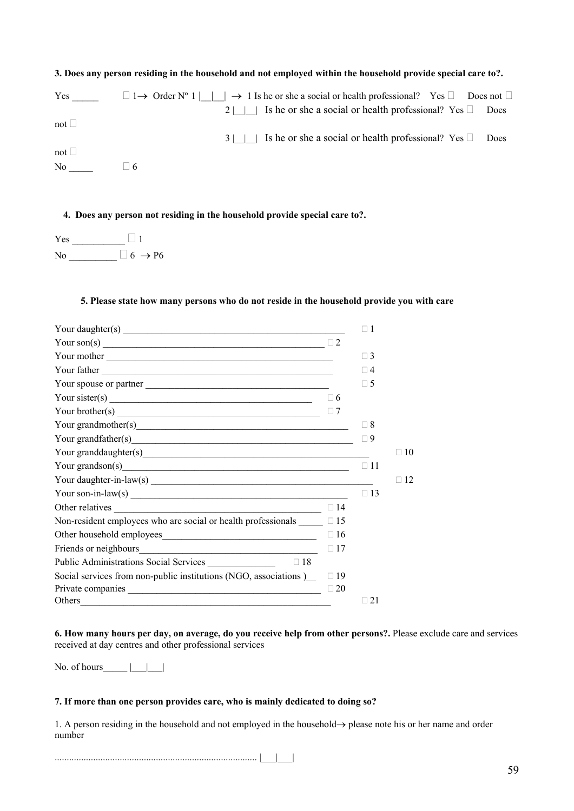| $Yes \tightharpoonup$ |          | $\Box$ 1 $\rightarrow$ Order N° 1     $\rightarrow$ 1 Is he or she a social or health professional? Yes $\Box$ Does not $\Box$ |      |
|-----------------------|----------|--------------------------------------------------------------------------------------------------------------------------------|------|
|                       |          | $2 \mid \cdot \cdot \cdot \mid$ Is he or she a social or health professional? Yes $\Box$ Does                                  |      |
| not $\Box$            |          | $3 \mid \cdot \cdot \cdot \cdot$ Is he or she a social or health professional? Yes $\Box$                                      | Does |
| not $\Box$            |          |                                                                                                                                |      |
| No no                 | $\Box$ 6 |                                                                                                                                |      |

## **3. Does any person residing in the household and not employed within the household provide special care to?.**

## **4. Does any person not residing in the household provide special care to?.**

Yes  $\Box$  1 No  $\overline{\qquad \qquad }$   $\Box$  6  $\rightarrow$  P6

## **5. Please state how many persons who do not reside in the household provide you with care**

|                                                                                                                                                                                                                                                                                                                                                                                                      |           | $\Box$ 1  |           |
|------------------------------------------------------------------------------------------------------------------------------------------------------------------------------------------------------------------------------------------------------------------------------------------------------------------------------------------------------------------------------------------------------|-----------|-----------|-----------|
|                                                                                                                                                                                                                                                                                                                                                                                                      |           |           |           |
| Your mother                                                                                                                                                                                                                                                                                                                                                                                          |           | $\Box$ 3  |           |
| Your father                                                                                                                                                                                                                                                                                                                                                                                          |           | $\Box$ 4  |           |
|                                                                                                                                                                                                                                                                                                                                                                                                      |           | $\Box$ 5  |           |
| Your sister(s) $\frac{1}{2}$                                                                                                                                                                                                                                                                                                                                                                         | $\Box$ 6  |           |           |
| Your brother(s) $\frac{1}{\sqrt{1-\frac{1}{2}}\sqrt{1-\frac{1}{2}}\sqrt{1-\frac{1}{2}}\sqrt{1-\frac{1}{2}}\sqrt{1-\frac{1}{2}}\sqrt{1-\frac{1}{2}}\sqrt{1-\frac{1}{2}}\sqrt{1-\frac{1}{2}}\sqrt{1-\frac{1}{2}}\sqrt{1-\frac{1}{2}}\sqrt{1-\frac{1}{2}}\sqrt{1-\frac{1}{2}}\sqrt{1-\frac{1}{2}}\sqrt{1-\frac{1}{2}}\sqrt{1-\frac{1}{2}}\sqrt{1-\frac{1}{2}}\sqrt{1-\frac{1}{2}}\sqrt{1-\frac{1}{2}}\$ | $\Box$ 7  |           |           |
|                                                                                                                                                                                                                                                                                                                                                                                                      |           | $\Box$ 8  |           |
|                                                                                                                                                                                                                                                                                                                                                                                                      |           | $\Box$ 9  |           |
|                                                                                                                                                                                                                                                                                                                                                                                                      |           |           | $\Box$ 10 |
| Your grandson(s) $\qquad \qquad$ $\qquad \qquad$ $\qquad$ $\qquad \qquad$ $\qquad \qquad$ $\qquad \qquad$ $\qquad \qquad$ $\qquad \qquad$ $\qquad \qquad$ $\qquad \qquad$ $\qquad \qquad$ $\qquad \qquad$ $\qquad \qquad$ $\qquad \qquad$ $\qquad \qquad$ $\qquad \qquad$ $\qquad \qquad$ $\qquad \qquad$ $\qquad \qquad$ $\qquad \qquad$ $\qquad \qquad$ $\qquad \qquad$ $\qquad \qquad$            |           | $\Box$ 11 |           |
|                                                                                                                                                                                                                                                                                                                                                                                                      |           |           | $\Box$ 12 |
| Your son-in-law(s) $\qquad \qquad$                                                                                                                                                                                                                                                                                                                                                                   |           | $\Box$ 13 |           |
| Other relatives<br>the control of the control of the control of the control of the control of the control of                                                                                                                                                                                                                                                                                         | $\Box$ 14 |           |           |
| Non-resident employees who are social or health professionals                                                                                                                                                                                                                                                                                                                                        | $\Box$ 15 |           |           |
|                                                                                                                                                                                                                                                                                                                                                                                                      | $\Box$ 16 |           |           |
|                                                                                                                                                                                                                                                                                                                                                                                                      | $\Box$ 17 |           |           |
|                                                                                                                                                                                                                                                                                                                                                                                                      |           |           |           |
| Social services from non-public institutions (NGO, associations)                                                                                                                                                                                                                                                                                                                                     | $\Box$ 19 |           |           |
|                                                                                                                                                                                                                                                                                                                                                                                                      | $\Box$ 20 |           |           |
| Others                                                                                                                                                                                                                                                                                                                                                                                               |           | 21        |           |

**6. How many hours per day, on average, do you receive help from other persons?.** Please exclude care and services received at day centres and other professional services

No. of hours  $|| \cdot ||$ 

### **7. If more than one person provides care, who is mainly dedicated to doing so?**

1. A person residing in the household and not employed in the household→ please note his or her name and order number

.................................................................................... |\_\_\_|\_\_\_|